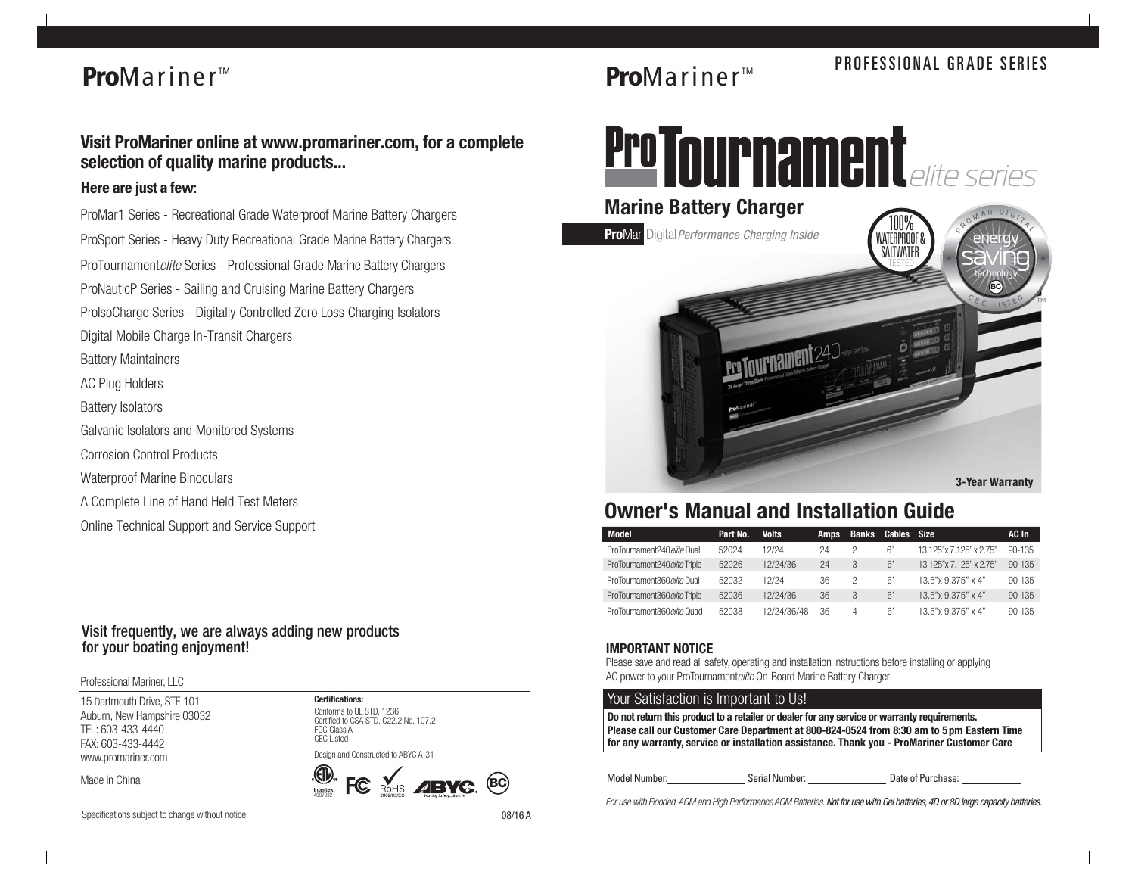## **Pro**Mariner<sup>™</sup>

### **Visit ProMariner online at www.promariner.com, for a complete selection of quality marine products...**

#### *Here are just a few:*

*ProMar1 Series - Recreational Grade Waterproof Marine Battery Chargers ProSport Series - Heavy Duty Recreational Grade Marine Battery Chargers ProTournamentelite Series - Professional Grade Marine Battery Chargers ProNauticP Series - Sailing and Cruising Marine Battery Chargers ProIsoCharge Series - Digitally Controlled Zero Loss Charging Isolators Digital Mobile Charge In-Transit Chargers Battery Maintainers AC Plug Holders Battery Isolators Galvanic Isolators and Monitored Systems Corrosion Control Products Waterproof Marine Binoculars A Complete Line of Hand Held Test Meters*

*Online Technical Support and Service Support*

#### Visit frequently, we are always adding new products for your boating enjoyment!

*Professional Mariner, LLC*

*15 Dartmouth Drive, STE 101 Auburn, New Hampshire 03032 TEL: 603-433-4440 FAX: 603-433-4442 www.promariner.com*

*Made in China*



ROHS **AIBYC BC** 4007032

*Specifications subject to change without notice*

# **PROFESSIONAL GRADE SERIES**<br>**PROFESSIONAL GRADE SERIES**

# Pro Tournament



### **Owner's Manual and Installation Guide**

| Model                         | Part No. | <b>Volts</b> | <b>Amps</b> | <b>Banks</b> | Cables Size |                         | AC In      |
|-------------------------------|----------|--------------|-------------|--------------|-------------|-------------------------|------------|
| ProTournament240 elite Dual   | 52024    | 12/24        | 24          |              | 6'          | 13.125"x 7.125" x 2.75" | $90 - 135$ |
| ProTournament240 elite Triple | 52026    | 12/24/36     | 24          |              | 6'          | 13.125"x 7.125" x 2.75" | $90 - 135$ |
| ProTournament360 elite Dual   | 52032    | 12/24        | 36          |              | 6'          | 13.5"x 9.375" x 4"      | $90 - 135$ |
| ProTournament360eliteTriple   | 52036    | 12/24/36     | 36          | 3            | 6'          | 13.5"x 9.375" x 4"      | $90 - 135$ |
| ProTournament360 elite Quad   | 52038    | 12/24/36/48  | 36          | Δ            | 6'          | 13.5"x 9.375" x 4"      | $90 - 135$ |

#### **IMPORTANT NOTICE**

*Please save and read all safety, operating and installation instructions before installing or applying AC power to your ProTournamentelite On-Board Marine Battery Charger.*

#### *Your Satisfaction is Important to Us!*

**Please call our Customer Care Department at 800-824-0524 from 8:30 am to 5pm Eastern Time for any warranty, service or installation assistance. Thank you - ProMariner Customer Care Do not return this product to a retailer or dealer for any service or warranty requirements.**

Model Number: Serial Number: Date of Purchase:

*For use with Flooded, AGM and High Performance AGM Batteries.* Not for use with Gel batteries, 4D or 8D large capacity batteries.

08/16 A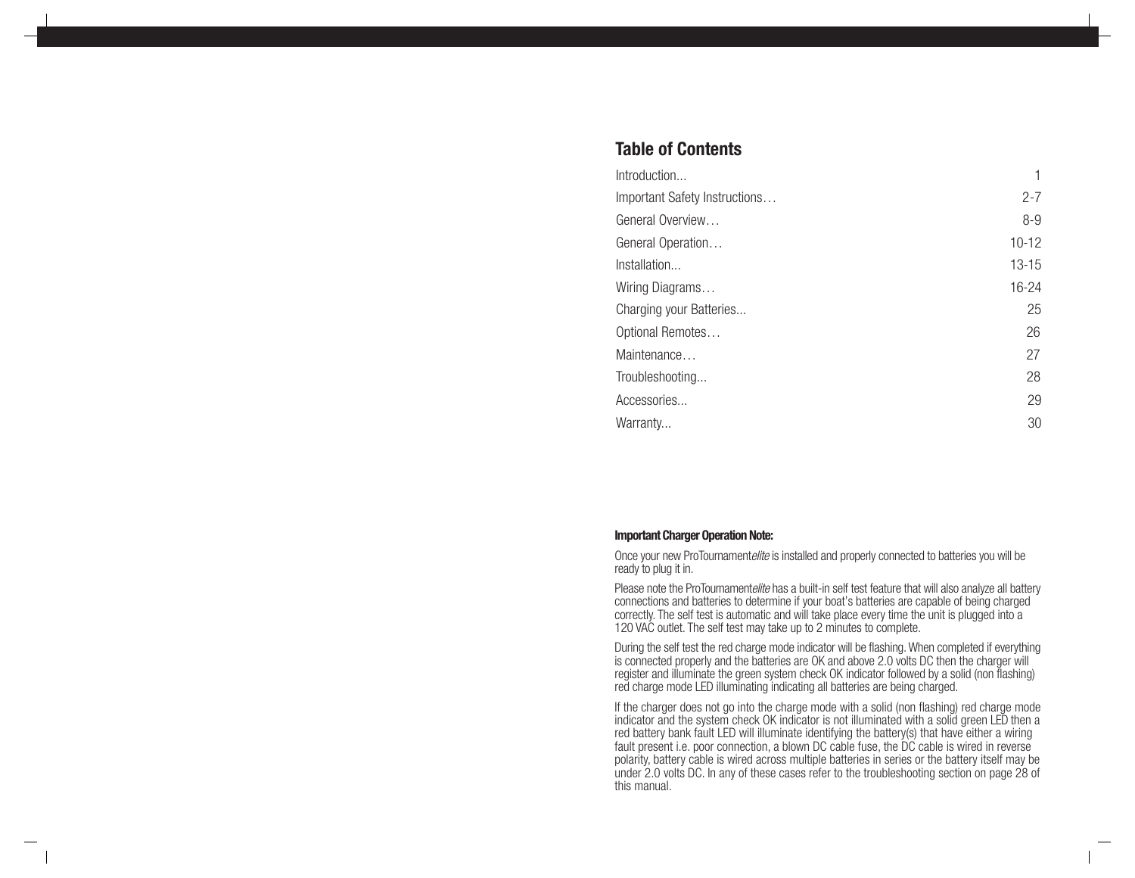### **Table of Contents**

| Introduction                  |           |
|-------------------------------|-----------|
| Important Safety Instructions | $2 - 7$   |
| General Overview              | $8-9$     |
| General Operation             | $10 - 12$ |
| Installation                  | $13 - 15$ |
| Wiring Diagrams               | 16-24     |
| Charging your Batteries       | 25        |
| Optional Remotes              | 26        |
| Maintenance                   | 27        |
| Troubleshooting               | 28        |
| Accessories                   | 29        |
| Warranty                      | 30        |

#### **Important Charger Operation Note:**

Once your new ProTournamentelite is installed and properly connected to batteries you will be ready to plug it in.

Please note the ProTournamentelite has a built-in self test feature that will also analyze all battery connections and batteries to determine if your boat's batteries are capable of being charged correctly. The self test is automatic and will take place every time the unit is plugged into a 120 VAC outlet. The self test may take up to 2 minutes to complete.

During the self test the red charge mode indicator will be flashing. When completed if everything is connected properly and the batteries are OK and above 2.0 volts DC then the charger will register and illuminate the green system check OK indicator followed by a solid (non flashing) red charge mode LED illuminating indicating all batteries are being charged.

If the charger does not go into the charge mode with a solid (non flashing) red charge mode indicator and the system check OK indicator is not illuminated with a solid green LED then a red battery bank fault LED will illuminate identifying the battery(s) that have either a wiring fault present i.e. poor connection, a blown DC cable fuse, the DC cable is wired in reverse polarity, battery cable is wired across multiple batteries in series or the battery itself may be under 2.0 volts DC. In any of these cases refer to the troubleshooting section on page 28 of this manual.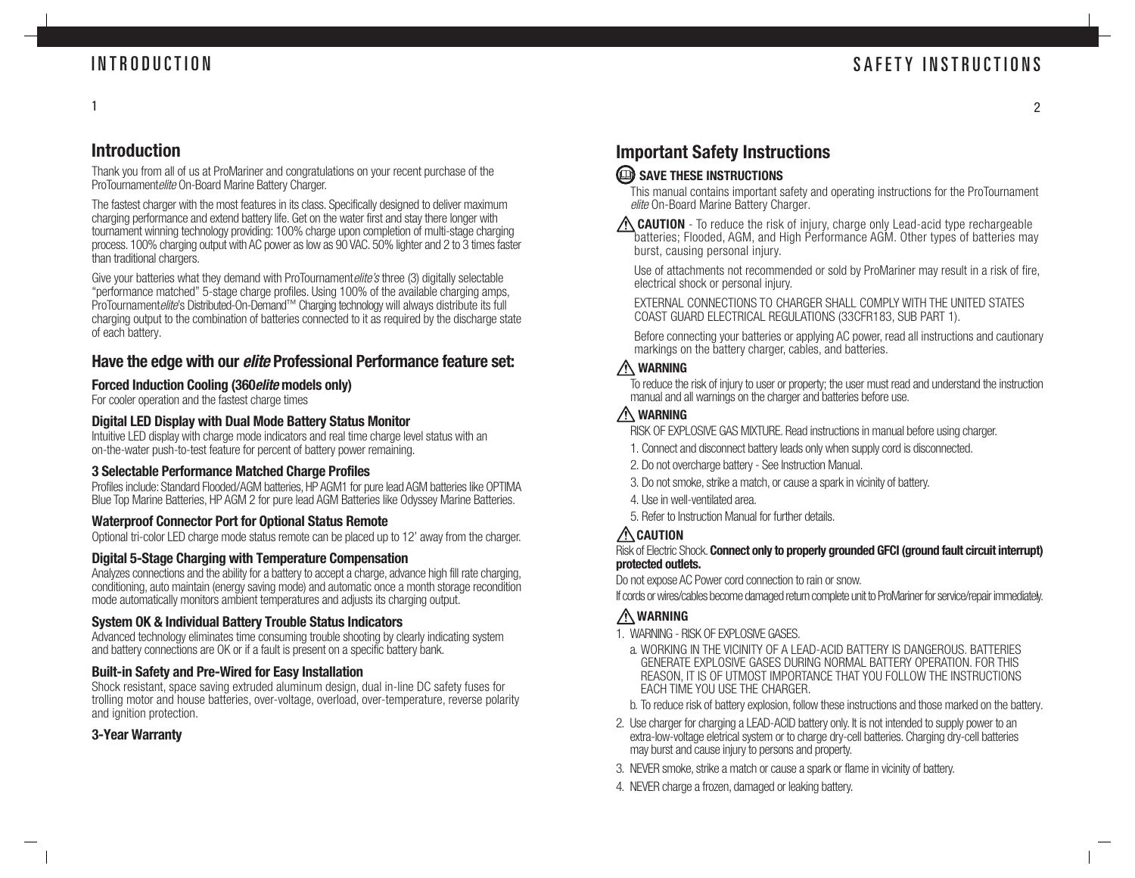### INTRODUCTION

 $\mathfrak{p}$ 

#### 1

### **Introduction**

Thank you from all of us at ProMariner and congratulations on your recent purchase of the ProTournamentelite On-Board Marine Battery Charger.

The fastest charger with the most features in its class. Specifically designed to deliver maximum charging performance and extend battery life. Get on the water first and stay there longer with tournament winning technology providing: 100% charge upon completion of multi-stage charging process. 100% charging output with AC power as low as 90 VAC. 50% lighter and 2 to 3 times faster than traditional chargers.

Give your batteries what they demand with ProTournament *elite's* three (3) digitally selectable "performance matched" 5-stage charge profiles. Using 100% of the available charging amps, ProTournament*elite*'s Distributed-On-Demand™ Charging technology will always distribute its full charging output to the combination of batteries connected to it as required by the discharge state of each battery.

### **Have the edge with our elite Professional Performance feature set:**

#### **Forced Induction Cooling (360elite models only)**

For cooler operation and the fastest charge times

#### **Digital LED Display with Dual Mode Battery Status Monitor**

Intuitive LED display with charge mode indicators and real time charge level status with an on-the-water push-to-test feature for percent of battery power remaining.

#### **3 Selectable Performance Matched Charge Profiles**

Profiles include: Standard Flooded/AGM batteries, HP AGM1 for pure lead AGM batteries like OPTIMA Blue Top Marine Batteries, HP AGM 2 for pure lead AGM Batteries like Odyssey Marine Batteries.

#### **Waterproof Connector Port for Optional Status Remote**

Optional tri-color LED charge mode status remote can be placed up to 12' away from the charger.

#### **Digital 5-Stage Charging with Temperature Compensation**

Analyzes connections and the ability for a battery to accept a charge, advance high fill rate charging, conditioning, auto maintain (energy saving mode) and automatic once a month storage recondition mode automatically monitors ambient temperatures and adjusts its charging output.

#### **System OK & Individual Battery Trouble Status Indicators**

Advanced technology eliminates time consuming trouble shooting by clearly indicating system and battery connections are OK or if a fault is present on a specific battery bank.

#### **Built-in Safety and Pre-Wired for Easy Installation**

Shock resistant, space saving extruded aluminum design, dual in-line DC safety fuses for trolling motor and house batteries, over-voltage, overload, over-temperature, reverse polarity and ignition protection.

#### **3-Year Warranty**

### **Important Safety Instructions**

### **SAVE THESE INSTRUCTIONS**

This manual contains important safety and operating instructions for the ProTournament elite On-Board Marine Battery Charger.

 **CAUTION** - To reduce the risk of injury, charge only Lead-acid type rechargeable batteries; Flooded, AGM, and High Performance AGM. Other types of batteries may burst, causing personal injury.

Use of attachments not recommended or sold by ProMariner may result in a risk of fire, electrical shock or personal injury.

EXTERNAL CONNECTIONS TO CHARGER SHALL COMPLY WITH THE UNITED STATES COAST GUARD ELECTRICAL REGULATIONS (33CFR183, SUB PART 1).

Before connecting your batteries or applying AC power, read all instructions and cautionary markings on the battery charger, cables, and batteries.

### **WARNING**

To reduce the risk of injury to user or property; the user must read and understand the instruction manual and all warnings on the charger and batteries before use.

### **WARNING**

RISK OF EXPLOSIVE GAS MIXTURE. Read instructions in manual before using charger.

- 1. Connect and disconnect battery leads only when supply cord is disconnected.
- 2. Do not overcharge battery See Instruction Manual.
- 3. Do not smoke, strike a match, or cause a spark in vicinity of battery.
- 4. Use in well-ventilated area.
- 5. Refer to Instruction Manual for further details.

### **CAUTION**

#### Risk of Electric Shock. **Connect only to properly grounded GFCI (ground fault circuit interrupt) protected outlets.**

Do not expose AC Power cord connection to rain or snow.

If cords or wires/cables become damaged return complete unit to ProMariner for service/repair immediately.

### **WARNING**

- 1. WARNING RISK OF FXPI OSIVE GASES.
	- a. WORKING IN THE VICINITY OF A LEAD-ACID BATTERY IS DANGEROUS. BATTERIES GENERATE EXPLOSIVE GASES DURING NORMAL BATTERY OPERATION. FOR THIS REASON, IT IS OF UTMOST IMPORTANCE THAT YOU FOLLOW THE INSTRUCTIONS EACH TIME YOU USE THE CHARGER.
	- b. To reduce risk of battery explosion, follow these instructions and those marked on the battery.
- 2. Use charger for charging a LEAD-ACID battery only. It is not intended to supply power to an extra-low-voltage eletrical system or to charge dry-cell batteries. Charging dry-cell batteries may burst and cause injury to persons and property.
- 3. NEVER smoke, strike a match or cause a spark or flame in vicinity of battery.
- 4. NEVER charge a frozen, damaged or leaking battery.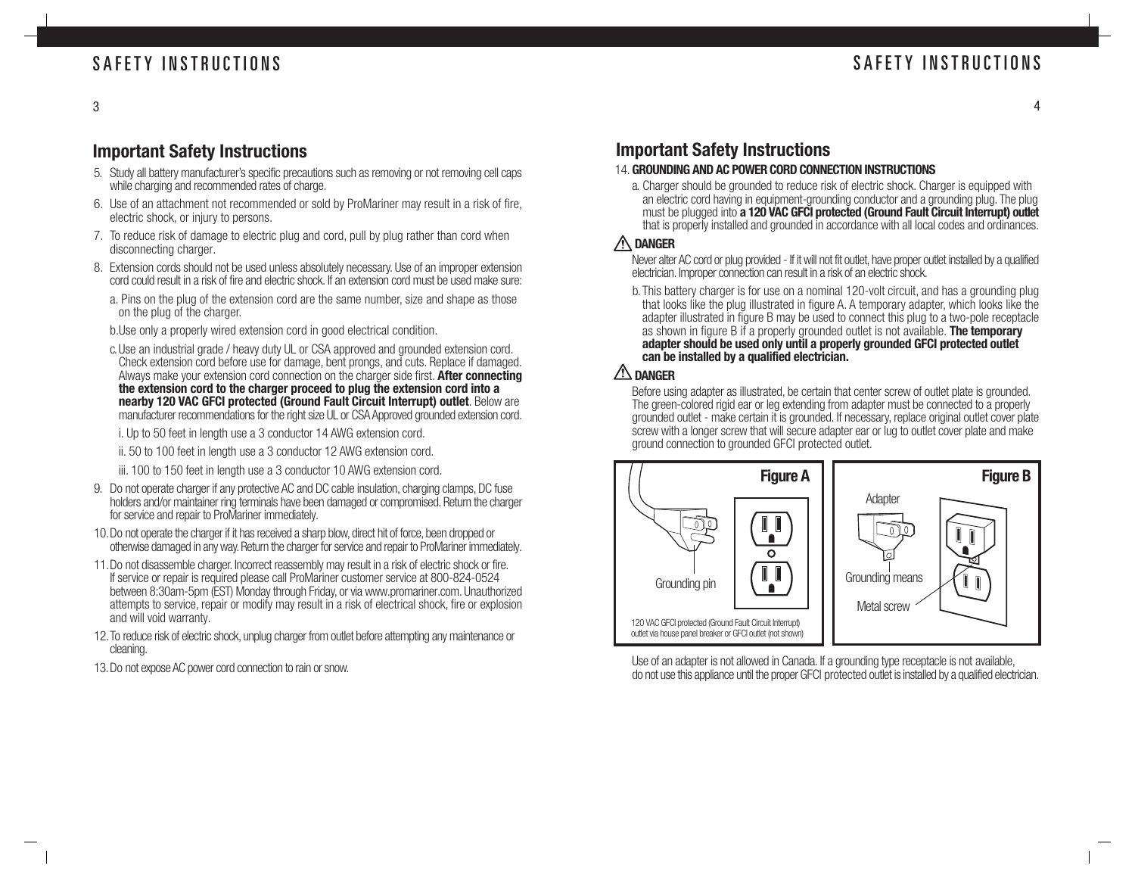3

### **Important Safety Instructions**

- 5. Study all battery manufacturer's specific precautions such as removing or not removing cell caps while charging and recommended rates of charge.
- 6. Use of an attachment not recommended or sold by ProMariner may result in a risk of fire, electric shock, or injury to persons.
- 7. To reduce risk of damage to electric plug and cord, pull by plug rather than cord when disconnecting charger.
- 8. Extension cords should not be used unless absolutely necessary. Use of an improper extension cord could result in a risk of fire and electric shock. If an extension cord must be used make sure:
	- a. Pins on the plug of the extension cord are the same number, size and shape as those on the plug of the charger.
	- b.Use only a properly wired extension cord in good electrical condition.
	- c.Use an industrial grade / heavy duty UL or CSA approved and grounded extension cord. Check extension cord before use for damage, bent prongs, and cuts. Replace if damaged. Always make your extension cord connection on the charger side first. **After connecting the extension cord to the charger proceed to plug the extension cord into a nearby 120 VAC GFCI protected (Ground Fault Circuit Interrupt) outlet**. Below are manufacturer recommendations for the right size UL or CSA Approved grounded extension cord.
		- i. Up to 50 feet in length use a 3 conductor 14 AWG extension cord.
		- ii. 50 to 100 feet in length use a 3 conductor 12 AWG extension cord.
		- iii. 100 to 150 feet in length use a 3 conductor 10 AWG extension cord.
- 9. Do not operate charger if any protective AC and DC cable insulation, charging clamps, DC fuse holders and/or maintainer ring terminals have been damaged or compromised. Return the charger for service and repair to ProMariner immediately.
- 10.Do not operate the charger if it has received a sharp blow, direct hit of force, been dropped or otherwise damaged in any way. Return the charger for service and repair to ProMariner immediately.
- 11.Do not disassemble charger. Incorrect reassembly may result in a risk of electric shock or fire. If service or repair is required please call ProMariner customer service at 800-824-0524 between 8:30am-5pm (EST) Monday through Friday, or via www.promariner.com. Unauthorized attempts to service, repair or modify may result in a risk of electrical shock, fire or explosion and will void warranty.
- 12.To reduce risk of electric shock, unplug charger from outlet before attempting any maintenance or cleaning.
- 13.Do not expose AC power cord connection to rain or snow.

### **Important Safety Instructions**

- 14. **GROUNDING AND AC POWER CORD CONNECTION INSTRUCTIONS**
	- a. Charger should be grounded to reduce risk of electric shock. Charger is equipped with an electric cord having in equipment-grounding conductor and a grounding plug. The plug must be plugged into **a 120 VAC GFCI protected (Ground Fault Circuit Interrupt) outlet** that is properly installed and grounded in accordance with all local codes and ordinances.

#### **DANGER**

Never alter AC cord or plug provided - If it will not fit outlet, have proper outlet installed by a qualified electrician. Improper connection can result in a risk of an electric shock.

b.This battery charger is for use on a nominal 120-volt circuit, and has a grounding plug that looks like the plug illustrated in figure A. A temporary adapter, which looks like the adapter illustrated in figure B may be used to connect this plug to a two-pole receptacle as shown in figure B if a properly grounded outlet is not available. **The temporary adapter should be used only until a properly grounded GFCI protected outlet can be installed by a qualified electrician.**

### **DANGER**

Before using adapter as illustrated, be certain that center screw of outlet plate is grounded. The green-colored rigid ear or leg extending from adapter must be connected to a properly grounded outlet - make certain it is grounded. If necessary, replace original outlet cover plate screw with a longer screw that will secure adapter ear or lug to outlet cover plate and make ground connection to grounded GFCI protected outlet.



Use of an adapter is not allowed in Canada. If a grounding type receptacle is not available, do not use this appliance until the proper GFCI protected outlet is installed by a qualified electrician.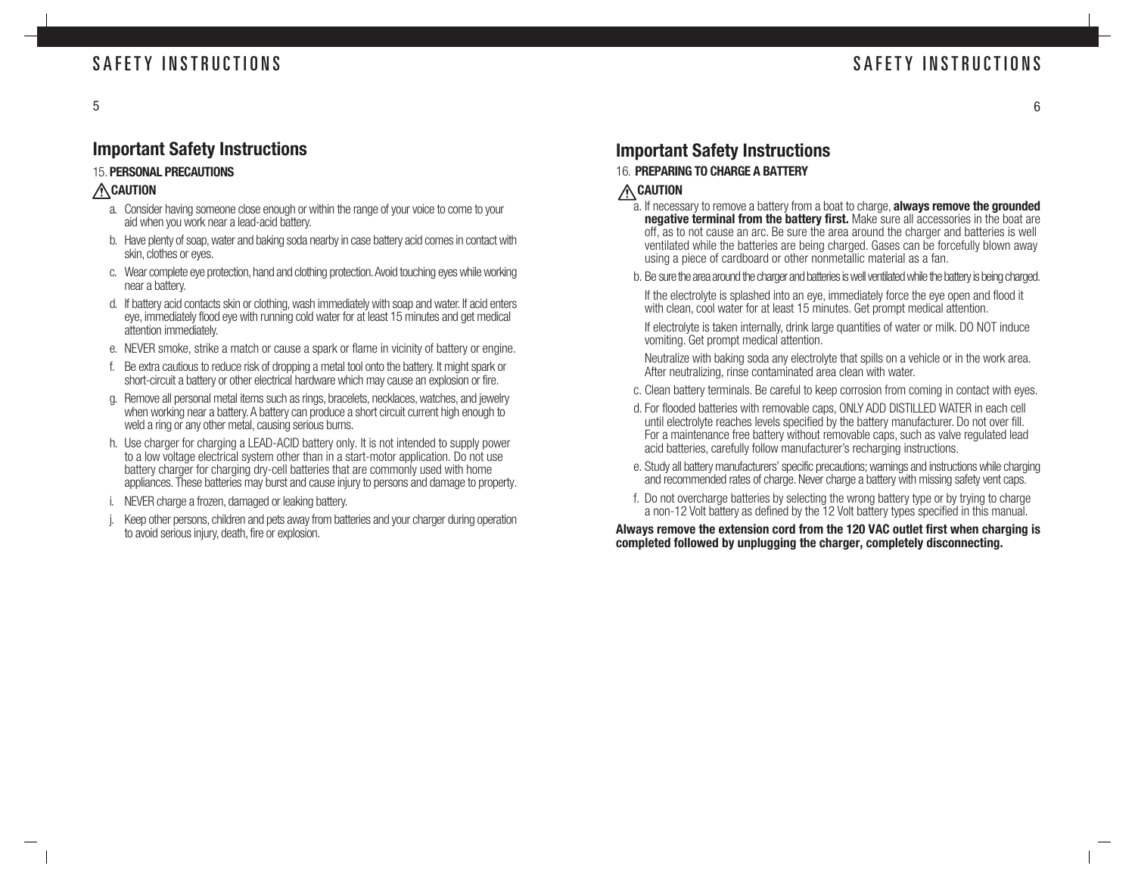### **Important Safety Instructions**

#### 15. **PERSONAL PRECAUTIONS**

#### **CAUTION**

- a. Consider having someone close enough or within the range of your voice to come to your aid when you work near a lead-acid battery.
- b. Have plenty of soap, water and baking soda nearby in case battery acid comes in contact with skin, clothes or eyes.
- c. Wear complete eye protection, hand and clothing protection. Avoid touching eyes while working near a battery.
- d. If battery acid contacts skin or clothing, wash immediately with soap and water. If acid enters eye, immediately flood eye with running cold water for at least 15 minutes and get medical attention immediately.
- e. NEVER smoke, strike a match or cause a spark or flame in vicinity of battery or engine.
- f. Be extra cautious to reduce risk of dropping a metal tool onto the battery. It might spark or short-circuit a battery or other electrical hardware which may cause an explosion or fire.
- g. Remove all personal metal items such as rings, bracelets, necklaces, watches, and jewelry when working near a battery. A battery can produce a short circuit current high enough to weld a ring or any other metal, causing serious burns.
- h. Use charger for charging a LEAD-ACID battery only. It is not intended to supply power to a low voltage electrical system other than in a start-motor application. Do not use battery charger for charging dry-cell batteries that are commonly used with home appliances. These batteries may burst and cause injury to persons and damage to property.
- i. NEVER charge a frozen, damaged or leaking battery.
- Keep other persons, children and pets away from batteries and your charger during operation to avoid serious injury, death, fire or explosion.

### **Important Safety Instructions**

- 16. **PREPARING TO CHARGE A BATTERY**
- **CAUTION**
	- a. If necessary to remove a battery from a boat to charge, **always remove the grounded negative terminal from the battery first.** Make sure all accessories in the boat are off, as to not cause an arc. Be sure the area around the charger and batteries is well ventilated while the batteries are being charged. Gases can be forcefully blown away using a piece of cardboard or other nonmetallic material as a fan.
	- b. Be sure the area around the charger and batteries is well ventilated while the battery is being charged.

If the electrolyte is splashed into an eye, immediately force the eye open and flood it with clean, cool water for at least 15 minutes. Get prompt medical attention.

If electrolyte is taken internally, drink large quantities of water or milk. DO NOT induce vomiting. Get prompt medical attention.

Neutralize with baking soda any electrolyte that spills on a vehicle or in the work area. After neutralizing, rinse contaminated area clean with water.

- c. Clean battery terminals. Be careful to keep corrosion from coming in contact with eyes.
- d. For flooded batteries with removable caps, ONLY ADD DISTILLED WATER in each cell until electrolyte reaches levels specified by the battery manufacturer. Do not over fill. For a maintenance free battery without removable caps, such as valve regulated lead acid batteries, carefully follow manufacturer's recharging instructions.
- e. Study all battery manufacturers' specific precautions; warnings and instructions while charging and recommended rates of charge. Never charge a battery with missing safety vent caps.
- f. Do not overcharge batteries by selecting the wrong battery type or by trying to charge a non-12 Volt battery as defined by the 12 Volt battery types specified in this manual.

#### **Always remove the extension cord from the 120 VAC outlet first when charging is completed followed by unplugging the charger, completely disconnecting.**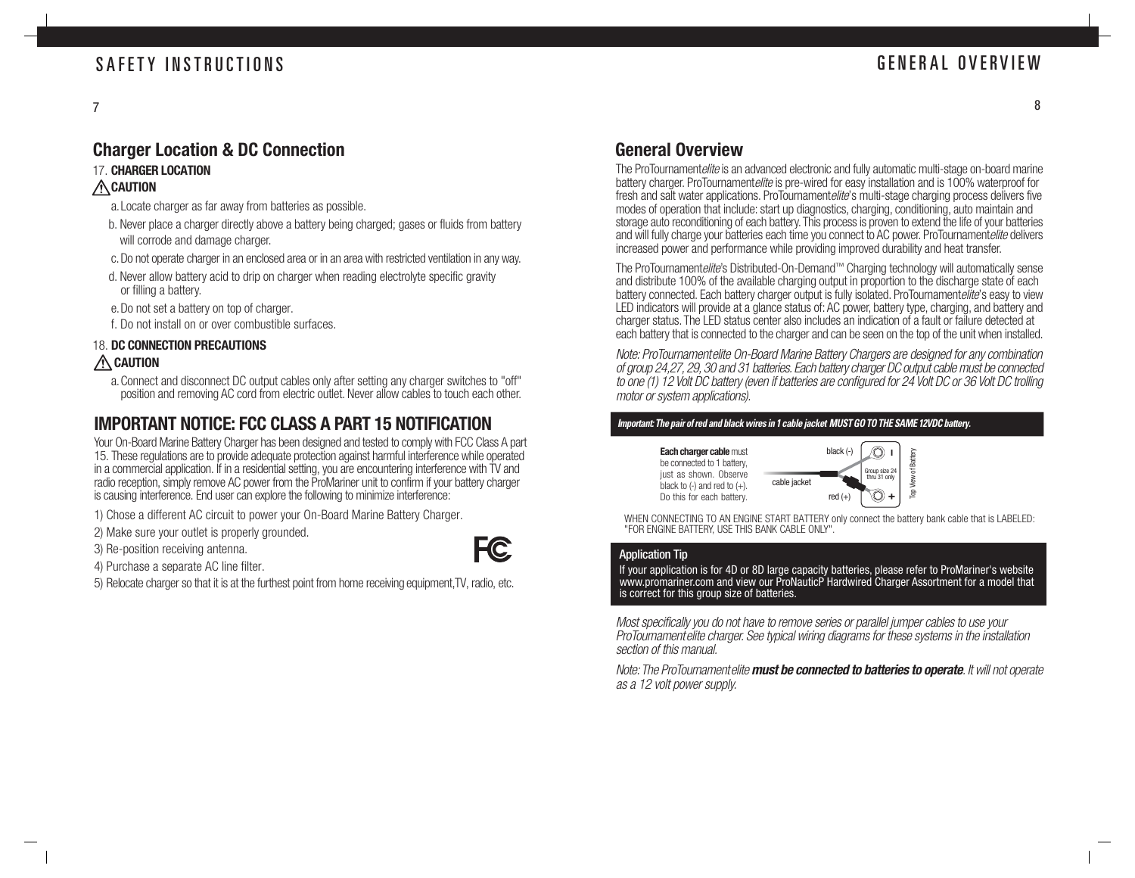### GENERAL OVERVIEW

### **Charger Location & DC Connection**

### 17. **CHARGER LOCATION**

### **CAUTION**

- a.Locate charger as far away from batteries as possible.
- b. Never place a charger directly above a battery being charged; gases or fluids from battery will corrode and damage charger.
- c.Do not operate charger in an enclosed area or in an area with restricted ventilation in any way.
- d. Never allow battery acid to drip on charger when reading electrolyte specific gravity or filling a battery.
- e. Do not set a battery on top of charger.
- f. Do not install on or over combustible surfaces.

#### 18. **DC CONNECTION PRECAUTIONS CAUTION**

- a.Connect and disconnect DC output cables only after setting any charger switches to "off"
	- position and removing AC cord from electric outlet. Never allow cables to touch each other.

### **IMPORTANT NOTICE: FCC CLASS A PART 15 NOTIFICATION**

Your On-Board Marine Battery Charger has been designed and tested to comply with FCC Class A part 15. These regulations are to provide adequate protection against harmful interference while operated in a commercial application. If in a residential setting, you are encountering interference with TV and radio reception, simply remove AC power from the ProMariner unit to confirm if your battery charger is causing interference. End user can explore the following to minimize interference:

- 1) Chose a different AC circuit to power your On-Board Marine Battery Charger.
- 2) Make sure your outlet is properly grounded.

3) Re-position receiving antenna.

4) Purchase a separate AC line filter.

5) Relocate charger so that it is at the furthest point from home receiving equipment,TV, radio, etc.

### **General Overview**

The ProTournamentelite is an advanced electronic and fully automatic multi-stage on-board marine battery charger. ProTournamentelite is pre-wired for easy installation and is 100% waterproof for fresh and salt water applications. ProTournamentelite's multi-stage charging process delivers five modes of operation that include: start up diagnostics, charging, conditioning, auto maintain and storage auto reconditioning of each battery. This process is proven to extend the life of your batteries and will fully charge your batteries each time you connect to AC power. ProTournamentelite delivers increased power and performance while providing improved durability and heat transfer.

The ProTournamentelite's Distributed-On-Demand™ Charging technology will automatically sense and distribute 100% of the available charging output in proportion to the discharge state of each battery connected. Each battery charger output is fully isolated. ProTournamentelite's easy to view LED indicators will provide at a glance status of: AC power, battery type, charging, and battery and charger status. The LED status center also includes an indication of a fault or failure detected at each battery that is connected to the charger and can be seen on the top of the unit when installed.

Note: ProTournamentelite On-Board Marine Battery Chargers are designed for any combination of group 24,27, 29, 30 and 31 batteries. Each battery charger DC output cable must be connected to one (1) 12 Volt DC battery (even if batteries are configured for 24 Volt DC or 36 Volt DC trolling motor or system applications).

#### **Important: The pair of red and black wires in 1 cable jacket MUST GO TO THE SAME 12VDC battery.**



WHEN CONNECTING TO AN ENGINE START BATTERY only connect the battery bank cable that is LABELED: "FOR ENGINE BATTERY, USE THIS BANK CABLE ONLY".

#### Application Tip

EC

If your application is for 4D or 8D large capacity batteries, please refer to ProMariner's website www.promariner.com and view our ProNauticP Hardwired Charger Assortment for a model that is correct for this group size of batteries.

Most specifically you do not have to remove series or parallel jumper cables to use your ProTournamentelite charger. See typical wiring diagrams for these systems in the installation section of this manual.

Note: The ProTournamentelite **must be connected to batteries to operate**. It will not operate as a 12 volt power supply.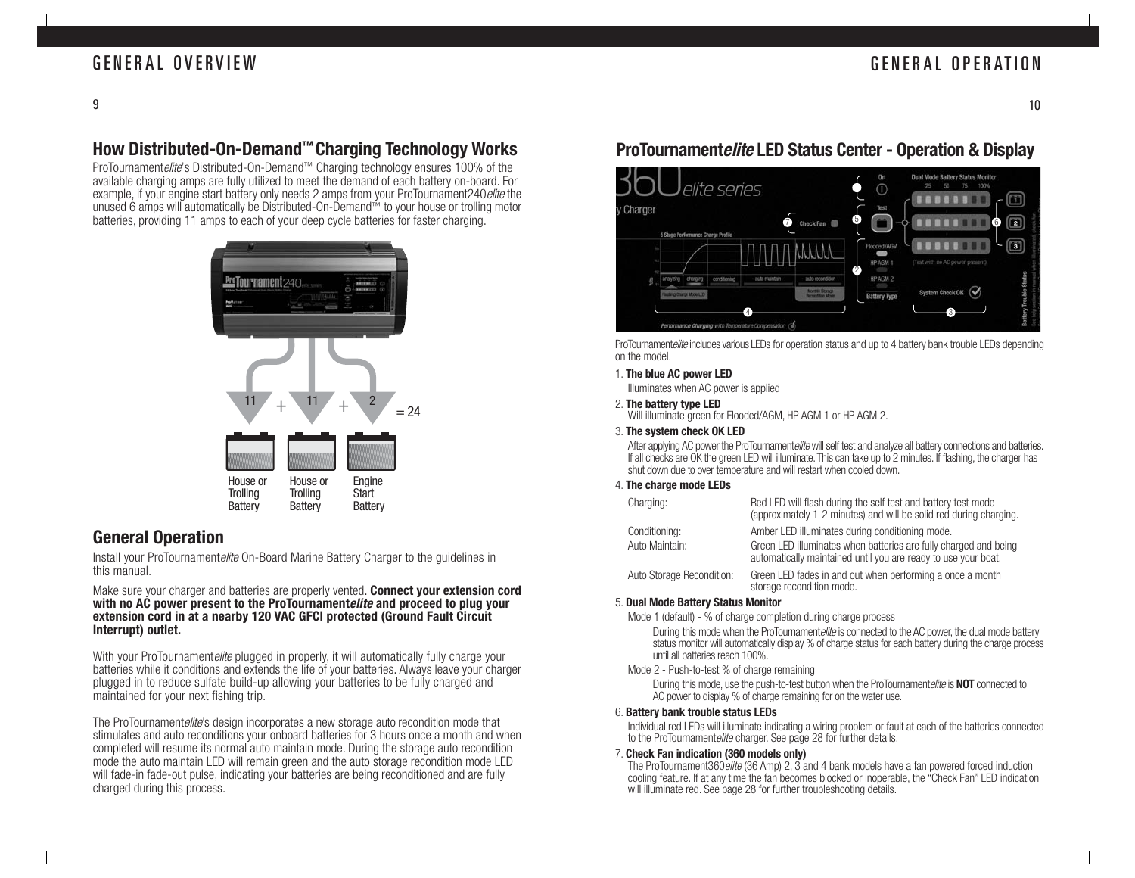### GENERAL OVERVIEW

### GENERAL OPERATION

### **How Distributed-On-Demand™ Charging Technology Works**

ProTournamentelite's Distributed-On-Demand™ Charging technology ensures 100% of the available charging amps are fully utilized to meet the demand of each battery on-board. For example, if your engine start battery only needs 2 amps from your ProTournament240 elite the unused 6 amps will automatically be Distributed-On-Demand™ to your house or trolling motor batteries, providing 11 amps to each of your deep cycle batteries for faster charging.



### **General Operation**

Install your ProTournamentelite On-Board Marine Battery Charger to the quidelines in this manual.

#### Make sure your charger and batteries are properly vented. **Connect your extension cord with no AC power present to the ProTournamentelite and proceed to plug your extension cord in at a nearby 120 VAC GFCI protected (Ground Fault Circuit Interrupt) outlet.**

With your ProTournamentelite plugged in properly, it will automatically fully charge your batteries while it conditions and extends the life of your batteries. Always leave your charger plugged in to reduce sulfate build-up allowing your batteries to be fully charged and maintained for your next fishing trip.

The ProTournamentelite's design incorporates a new storage auto recondition mode that stimulates and auto reconditions your onboard batteries for 3 hours once a month and when completed will resume its normal auto maintain mode. During the storage auto recondition mode the auto maintain LED will remain green and the auto storage recondition mode LED will fade-in fade-out pulse, indicating your batteries are being reconditioned and are fully charged during this process.

### **ProTournamentelite LED Status Center - Operation & Display**



ProTournamentelite includes various LEDs for operation status and up to 4 battery bank trouble LEDs depending on the model.

#### 1. **The blue AC power LED**

Illuminates when AC power is applied

#### 2. **The battery type LED**

Will illuminate green for Flooded/AGM, HP AGM 1 or HP AGM 2.

#### 3. **The system check OK LED**

After applying AC power the ProTournamentelite will self test and analyze all battery connections and batteries. If all checks are OK the green LED will illuminate. This can take up to 2 minutes. If flashing, the charger has shut down due to over temperature and will restart when cooled down.

#### 4. **The charge mode LEDs**

| Charging:                 | Red LED will flash during the self test and battery test mode<br>(approximately 1-2 minutes) and will be solid red during charging. |
|---------------------------|-------------------------------------------------------------------------------------------------------------------------------------|
| Conditioning:             | Amber LED illuminates during conditioning mode.                                                                                     |
| Auto Maintain:            | Green LED illuminates when batteries are fully charged and being<br>automatically maintained until you are ready to use your boat.  |
| Auto Storage Recondition: | Green LED fades in and out when performing a once a month<br>storage recondition mode.                                              |

#### 5. **Dual Mode Battery Status Monitor**

Mode 1 (default) - % of charge completion during charge process

During this mode when the ProTournamentelite is connected to the AC power, the dual mode battery status monitor will automatically display % of charge status for each battery during the charge process until all batteries reach 100%.

Mode 2 - Push-to-test % of charge remaining

During this mode, use the push-to-test button when the ProTournamentelite is **NOT** connected to AC power to display % of charge remaining for on the water use.

#### 6. **Battery bank trouble status LEDs**

Individual red LEDs will illuminate indicating a wiring problem or fault at each of the batteries connected to the ProTournamentelite charger. See page 28 for further details.

#### 7. **Check Fan indication (360 models only)**

The ProTournament360elite (36 Amp) 2, 3 and 4 bank models have a fan powered forced induction cooling feature. If at any time the fan becomes blocked or inoperable, the "Check Fan" LED indication will illuminate red. See page 28 for further troubleshooting details.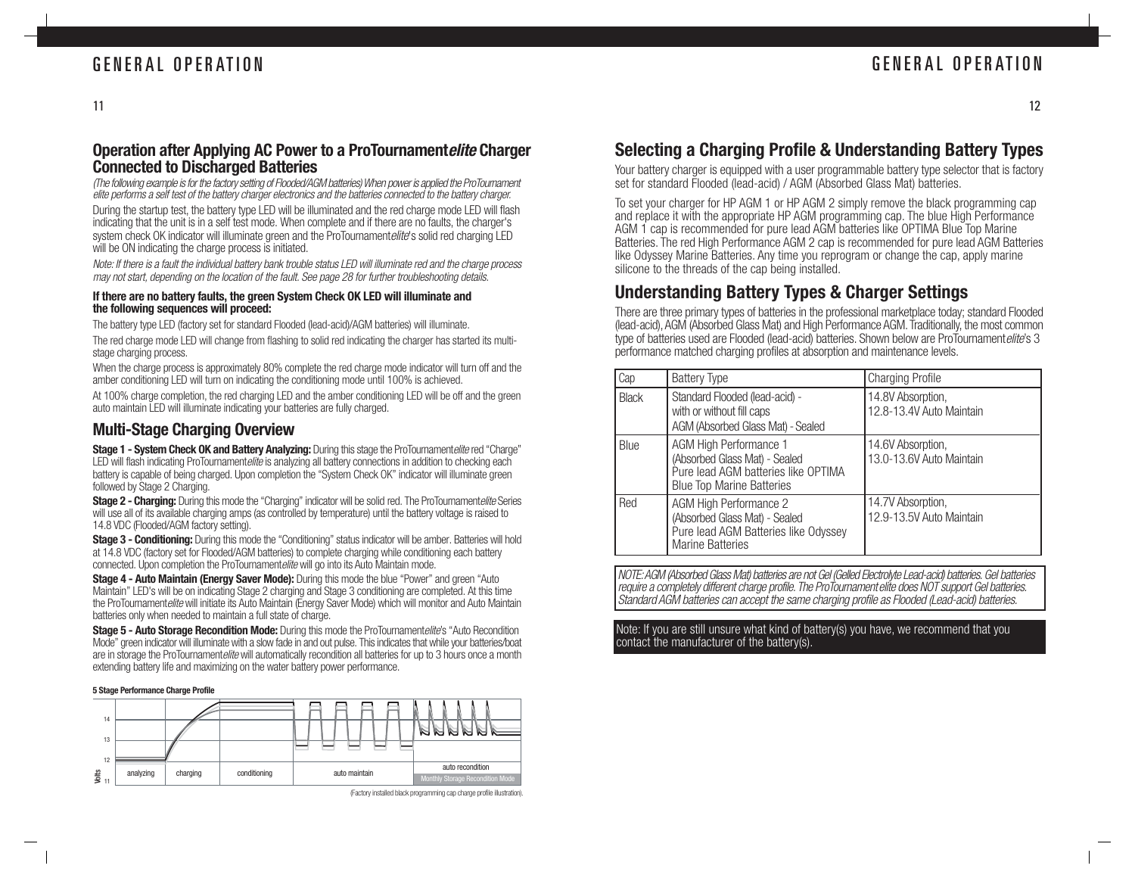#### **Operation after Applying AC Power to a ProTournamentelite Charger Connected to Discharged Batteries**

During the startup test, the battery type LED will be illuminated and the red charge mode LED will flash indicating that the unit is in a self test mode. When complete and if there are no faults, the charger's system check OK indicator will illuminate green and the ProTournamentelite's solid red charging LED will be ON indicating the charge process is initiated. (The following example is for the factory setting of Flooded/AGM batteries) When power is applied the ProTournament elite performs a self test of the battery charger electronics and the batteries connected to the battery charger.

Note: If there is a fault the individual battery bank trouble status LED will illuminate red and the charge process may not start, depending on the location of the fault. See page 28 for further troubleshooting details.

#### **If there are no battery faults, the green System Check OK LED will illuminate and the following sequences will proceed:**

The battery type LED (factory set for standard Flooded (lead-acid)/AGM batteries) will illuminate.

The red charge mode LED will change from flashing to solid red indicating the charger has started its multistage charging process.

When the charge process is approximately 80% complete the red charge mode indicator will turn off and the amber conditioning LED will turn on indicating the conditioning mode until 100% is achieved.

At 100% charge completion, the red charging LED and the amber conditioning LED will be off and the green auto maintain LED will illuminate indicating your batteries are fully charged.

### **Multi-Stage Charging Overview**

**Stage 1 - System Check OK and Battery Analyzing:** During this stage the ProTournamentelite red "Charge" LED will flash indicating ProTournamentelite is analyzing all battery connections in addition to checking each battery is capable of being charged. Upon completion the "System Check OK" indicator will illuminate green followed by Stage 2 Charging.

**Stage 2 - Charging:** During this mode the "Charging" indicator will be solid red. The ProTournamentelite Series will use all of its available charging amps (as controlled by temperature) until the battery voltage is raised to 14.8 VDC (Flooded/AGM factory setting).

**Stage 3 - Conditioning:** During this mode the "Conditioning" status indicator will be amber. Batteries will hold at 14.8 VDC (factory set for Flooded/AGM batteries) to complete charging while conditioning each battery connected. Upon completion the ProTournamentelite will go into its Auto Maintain mode.

**Stage 4 - Auto Maintain (Energy Saver Mode):** During this mode the blue "Power" and green "Auto Maintain" LED's will be on indicating Stage 2 charging and Stage 3 conditioning are completed. At this time the ProTournamentelite will initiate its Auto Maintain (Energy Saver Mode) which will monitor and Auto Maintain batteries only when needed to maintain a full state of charge.

**Stage 5 - Auto Storage Recondition Mode:** During this mode the ProTournamentelite's "Auto Recondition" Mode" green indicator will illuminate with a slow fade in and out pulse. This indicates that while your batteries/boat are in storage the ProTournamentelite will automatically recondition all batteries for up to 3 hours once a month extending battery life and maximizing on the water battery power performance.

#### **5 Stage Performance Charge Profile**



<sup>(</sup>Factory installed black programming cap charge profile illustration).

### **Selecting a Charging Profile & Understanding Battery Types**

Your battery charger is equipped with a user programmable battery type selector that is factory set for standard Flooded (lead-acid) / AGM (Absorbed Glass Mat) batteries.

To set your charger for HP AGM 1 or HP AGM 2 simply remove the black programming cap and replace it with the appropriate HP AGM programming cap. The blue High Performance AGM 1 cap is recommended for pure lead AGM batteries like OPTIMA Blue Top Marine Batteries. The red High Performance AGM 2 cap is recommended for pure lead AGM Batteries like Odyssey Marine Batteries. Any time you reprogram or change the cap, apply marine silicone to the threads of the cap being installed.

### **Understanding Battery Types & Charger Settings**

There are three primary types of batteries in the professional marketplace today; standard Flooded (lead-acid), AGM (Absorbed Glass Mat) and High Performance AGM. Traditionally, the most common type of batteries used are Flooded (lead-acid) batteries. Shown below are ProTournamentelite's 3 performance matched charging profiles at absorption and maintenance levels.

| Cap          | <b>Battery Type</b>                                                                                                                | <b>Charging Profile</b>                       |
|--------------|------------------------------------------------------------------------------------------------------------------------------------|-----------------------------------------------|
| <b>Black</b> | Standard Flooded (lead-acid) -<br>with or without fill caps<br>AGM (Absorbed Glass Mat) - Sealed                                   | 14.8V Absorption,<br>12.8-13.4V Auto Maintain |
| Blue         | AGM High Performance 1<br>(Absorbed Glass Mat) - Sealed<br>Pure lead AGM batteries like OPTIMA<br><b>Blue Top Marine Batteries</b> | 14.6V Absorption,<br>13.0-13.6V Auto Maintain |
| Red          | AGM High Performance 2<br>(Absorbed Glass Mat) - Sealed<br>Pure lead AGM Batteries like Odyssey<br><b>Marine Batteries</b>         | 14.7V Absorption,<br>12.9-13.5V Auto Maintain |

NOTE: AGM (Absorbed Glass Mat) batteries are not Gel (Gelled Electrolyte Lead-acid) batteries. Gel batteries require a completely different charge profile. The ProTournamentelite does NOT support Gel batteries. Standard AGM batteries can accept the same charging profile as Flooded (Lead-acid) batteries.

Note: If you are still unsure what kind of battery(s) you have, we recommend that you contact the manufacturer of the battery(s).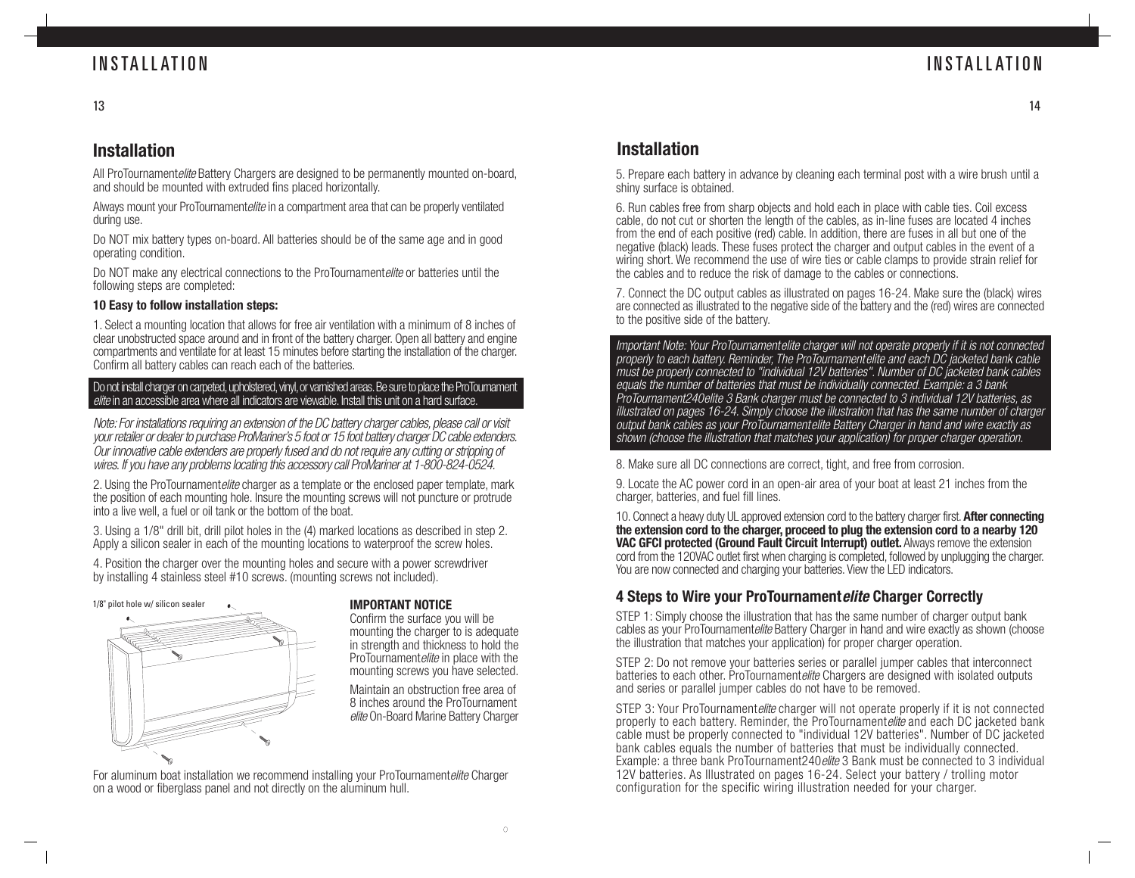### **INSTALLATION**

### **INSTALLATION**

14

### **Installation**

All ProTournamentelite Battery Chargers are designed to be permanently mounted on-board, and should be mounted with extruded fins placed horizontally.

Always mount your ProTournamentelite in a compartment area that can be properly ventilated during use.

Do NOT mix battery types on-board. All batteries should be of the same age and in good operating condition.

Do NOT make any electrical connections to the ProTournamentelite or batteries until the following steps are completed:

#### **10 Easy to follow installation steps:**

1. Select a mounting location that allows for free air ventilation with a minimum of 8 inches of clear unobstructed space around and in front of the battery charger. Open all battery and engine compartments and ventilate for at least 15 minutes before starting the installation of the charger. Confirm all battery cables can reach each of the batteries.

#### Do not install charger on carpeted, upholstered, vinyl, or varnished areas. Be sure to place the ProTournament elite in an accessible area where all indicators are viewable. Install this unit on a hard surface.

Note: For installations requiring an extension of the DC battery charger cables, please call or visit your retailer or dealer to purchase ProMariner's 5 foot or 15 foot battery charger DC cable extenders. Our innovative cable extenders are properly fused and do not require any cutting or stripping of wires. If you have any problems locating this accessory call ProMariner at 1-800-824-0524.

2. Using the ProTournamentelite charger as a template or the enclosed paper template, mark the position of each mounting hole. Insure the mounting screws will not puncture or protrude into a live well, a fuel or oil tank or the bottom of the boat.

3. Using a 1/8" drill bit, drill pilot holes in the (4) marked locations as described in step 2. Apply a silicon sealer in each of the mounting locations to waterproof the screw holes.

4. Position the charger over the mounting holes and secure with a power screwdriver by installing 4 stainless steel #10 screws. (mounting screws not included).



Confirm the surface you will be mounting the charger to is adequate in strength and thickness to hold the ProTournamentelite in place with the mounting screws you have selected.

Maintain an obstruction free area of 8 inches around the ProTournament elite On-Board Marine Battery Charger

For aluminum boat installation we recommend installing your ProTournamentelite Charger on a wood or fiberglass panel and not directly on the aluminum hull.

### **Installation**

5. Prepare each battery in advance by cleaning each terminal post with a wire brush until a shiny surface is obtained.

6. Run cables free from sharp objects and hold each in place with cable ties. Coil excess cable, do not cut or shorten the length of the cables, as in-line fuses are located 4 inches from the end of each positive (red) cable. In addition, there are fuses in all but one of the negative (black) leads. These fuses protect the charger and output cables in the event of a wiring short. We recommend the use of wire ties or cable clamps to provide strain relief for the cables and to reduce the risk of damage to the cables or connections.

7. Connect the DC output cables as illustrated on pages 16-24. Make sure the (black) wires are connected as illustrated to the negative side of the battery and the (red) wires are connected to the positive side of the battery.

Important Note: Your ProTournamentelite charger will not operate properly if it is not connected properly to each battery. Reminder, The ProTournamentelite and each DC jacketed bank cable must be properly connected to "individual 12V batteries". Number of DC jacketed bank cables equals the number of batteries that must be individually connected. Example: a 3 bank ProTournament240elite 3 Bank charger must be connected to 3 individual 12V batteries, as illustrated on pages 16-24. Simply choose the illustration that has the same number of charger output bank cables as your ProTournamentelite Battery Charger in hand and wire exactly as shown (choose the illustration that matches your application) for proper charger operation.

8. Make sure all DC connections are correct, tight, and free from corrosion.

9. Locate the AC power cord in an open-air area of your boat at least 21 inches from the charger, batteries, and fuel fill lines.

10. Connect a heavy duty UL approved extension cord to the battery charger first. **After connecting the extension cord to the charger, proceed to plug the extension cord to a nearby 120 VAC GFCI protected (Ground Fault Circuit Interrupt) outlet.** Always remove the extension cord from the 120VAC outlet first when charging is completed, followed by unplugging the charger. You are now connected and charging your batteries. View the LED indicators.

### **4 Steps to Wire your ProTournamentelite Charger Correctly**

STEP 1: Simply choose the illustration that has the same number of charger output bank cables as your ProTournamentelite Battery Charger in hand and wire exactly as shown (choose the illustration that matches your application) for proper charger operation.

STEP 2: Do not remove your batteries series or parallel jumper cables that interconnect batteries to each other. ProTournamentelite Chargers are designed with isolated outputs and series or parallel jumper cables do not have to be removed.

STEP 3: Your ProTournamentelite charger will not operate properly if it is not connected properly to each battery. Reminder, the ProTournamentelite and each DC jacketed bank cable must be properly connected to "individual 12V batteries". Number of DC jacketed bank cables equals the number of batteries that must be individually connected. Example: a three bank ProTournament240*elite* 3 Bank must be connected to 3 individual 12V batteries. As Illustrated on pages 16-24. Select your battery / trolling motor configuration for the specific wiring illustration needed for your charger.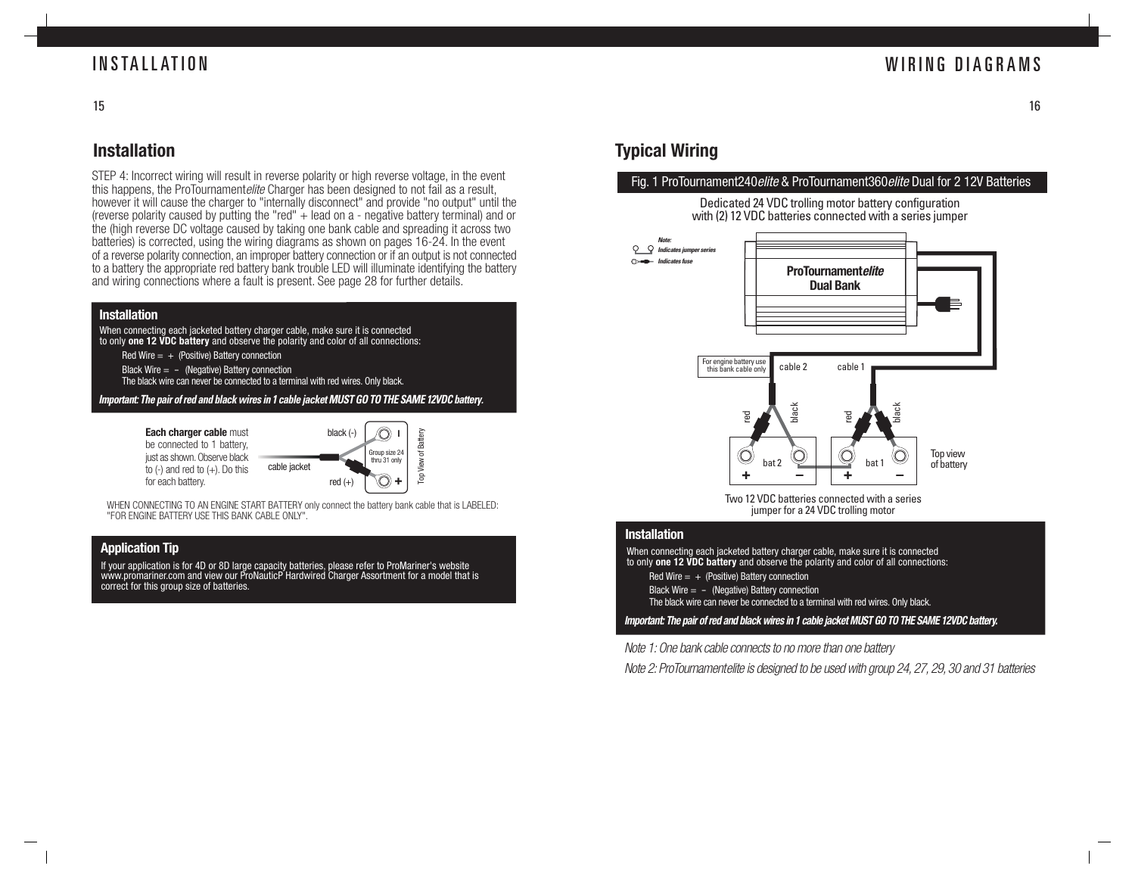### **INSTALLATION**

### WIRING DIAGRAMS

15

### **Installation**

STEP 4: Incorrect wiring will result in reverse polarity or high reverse voltage, in the event this happens, the ProTournamentelite Charger has been designed to not fail as a result. however it will cause the charger to "internally disconnect" and provide "no output" until the (reverse polarity caused by putting the "red"  $+$  lead on a - negative battery terminal) and or the (high reverse DC voltage caused by taking one bank cable and spreading it across two batteries) is corrected, using the wiring diagrams as shown on pages 16-24. In the event of a reverse polarity connection, an improper battery connection or if an output is not connected to a battery the appropriate red battery bank trouble LED will illuminate identifying the battery and wiring connections where a fault is present. See page 28 for further details.

#### **Installation**

When connecting each jacketed battery charger cable, make sure it is connected to only **one 12 VDC battery** and observe the polarity and color of all connections:

- Red Wire  $= +$  (Positive) Battery connection
- Black Wire  $= -$  (Negative) Battery connection
- The black wire can never be connected to a terminal with red wires. Only black.

**Important: The pair of red and black wires in 1 cable jacket MUST GO TO THE SAME 12VDC battery.**

**Each charger cable must** be connected to 1 battery. just as shown. Observe black to  $(-)$  and red to  $(+)$ . Do this for each battery.



WHEN CONNECTING TO AN ENGINE START BATTERY only connect the battery bank cable that is LABELED: "FOR ENGINE BATTERY USE THIS BANK CABLE ONLY".

#### **Application Tip**

If your application is for 4D or 8D large capacity batteries, please refer to ProMariner's website www.promariner.com and view our ProNauticP Hardwired Charger Assortment for a model that is correct for this group size of batteries.

### **Typical Wiring**

 $\circ$ 

#### Fig. 1 ProTournament240elite & ProTournament360elite Dual for 2 12V Batteries





Two 12 VDC batteries connected with a series jumper for a 24 VDC trolling motor

#### **Installation**

When connecting each jacketed battery charger cable, make sure it is connected to only **one 12 VDC battery** and observe the polarity and color of all connections:

Red Wire  $= +$  (Positive) Battery connection

Black Wire  $= -$  (Negative) Battery connection

The black wire can never be connected to a terminal with red wires. Only black.

**Important: The pair of red and black wires in 1 cable jacket MUST GO TO THE SAME 12VDC battery.**

Note 1: One bank cable connects to no more than one battery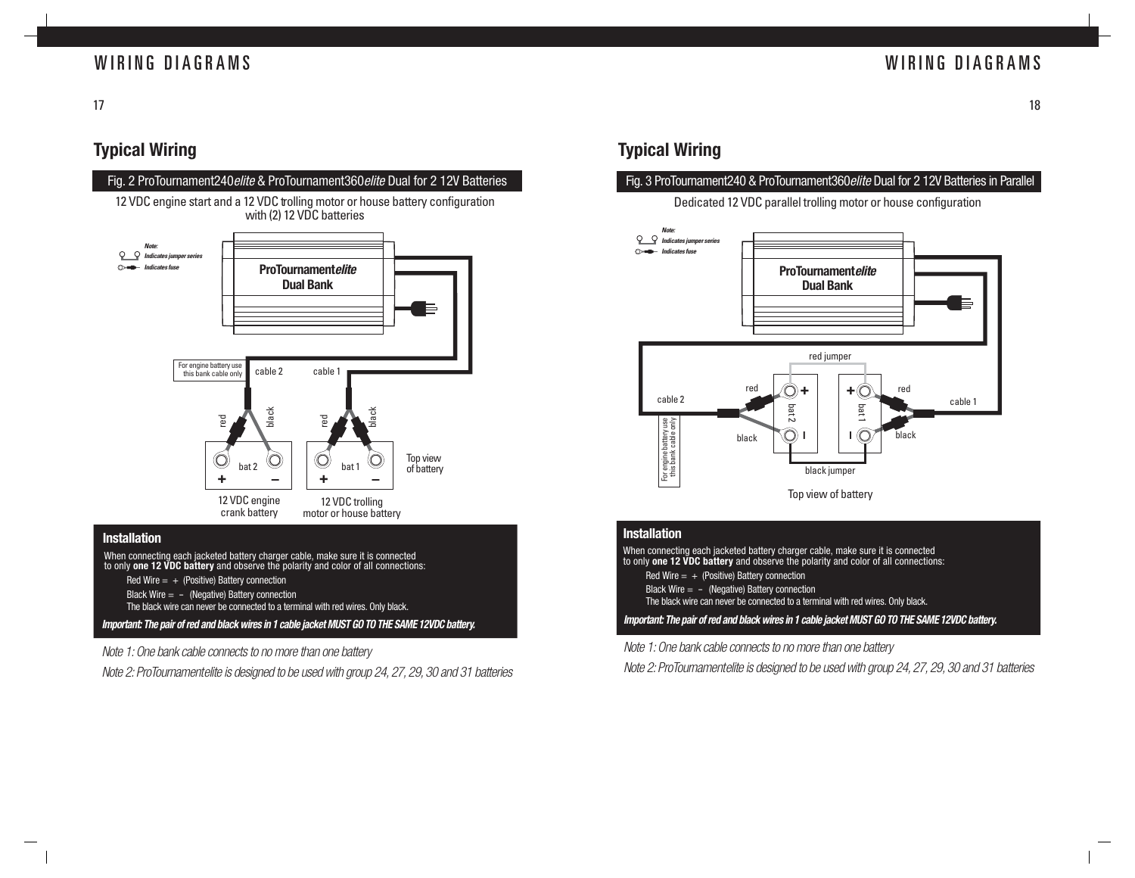### WIRING DIAGRAMS

17

### **Typical Wiring**



- Red Wire  $= +$  (Positive) Battery connection
- Black Wire  $= -$  (Negative) Battery connection
- The black wire can never be connected to a terminal with red wires. Only black.

**Important: The pair of red and black wires in 1 cable jacket MUST GO TO THE SAME 12VDC battery.**

Note 1: One bank cable connects to no more than one battery

Note 2: ProTournamentelite is designed to be used with group 24, 27, 29, 30 and 31 batteries

### **Typical Wiring**

#### Fig. 3 ProTournament240 & ProTournament360elite Dual for 2 12V Batteries in Parallel

Dedicated 12 VDC parallel trolling motor or house configuration



#### **Installation**

**Important: The pair of red and black wires in 1 cable jacket MUST GO TO THE SAME 12VDC battery.** When connecting each jacketed battery charger cable, make sure it is connected to only **one 12 VDC battery** and observe the polarity and color of all connections: Red Wire  $= +$  (Positive) Battery connection Black Wire  $= -$  (Negative) Battery connection The black wire can never be connected to a terminal with red wires. Only black.

Note 1: One bank cable connects to no more than one battery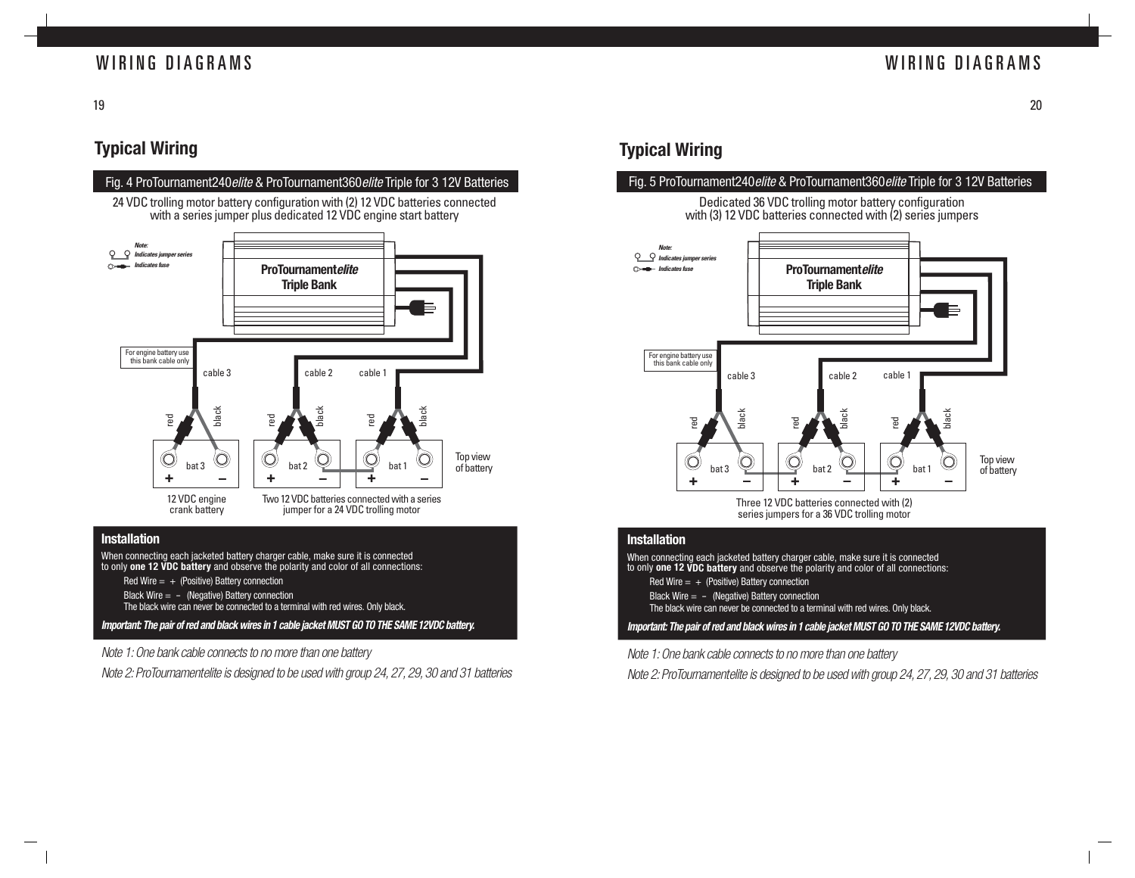### WIRING DIAGRAMS

19

### **Typical Wiring**



When connecting each jacketed battery charger cable, make sure it is connected to only **one 12 VDC battery** and observe the polarity and color of all connections:

- Red Wire  $= +$  (Positive) Battery connection
- Black Wire  $= -$  (Negative) Battery connection
- The black wire can never be connected to a terminal with red wires. Only black.

**Important: The pair of red and black wires in 1 cable jacket MUST GO TO THE SAME 12VDC battery.**

Note 1: One bank cable connects to no more than one battery

Note 2: ProTournamentelite is designed to be used with group 24, 27, 29, 30 and 31 batteries

### **Typical Wiring**

#### Fig. 5 ProTournament240elite & ProTournament360elite Triple for 3 12V Batteries





series jumpers for a 36 VDC trolling motor

#### **Installation**

When connecting each jacketed battery charger cable, make sure it is connected to only **one 12 VDC battery** and observe the polarity and color of all connections: Red Wire  $= +$  (Positive) Battery connection Black Wire  $=$  - (Negative) Battery connection The black wire can never be connected to a terminal with red wires. Only black.

**Important: The pair of red and black wires in 1 cable jacket MUST GO TO THE SAME 12VDC battery.**

Note 1: One bank cable connects to no more than one battery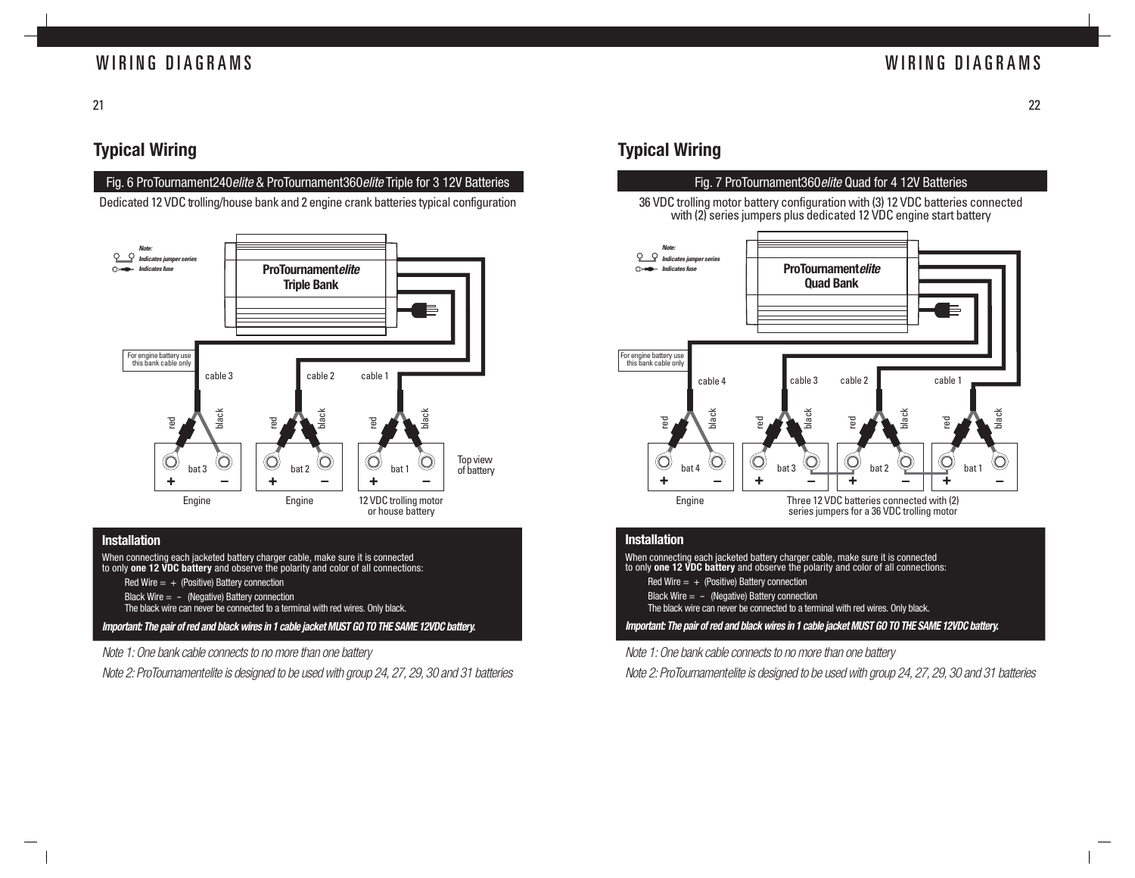### WIRING DIAGRAMS

21

### **Typical Wiring**

#### Fig. 6 ProTournament240 elite & ProTournament360 elite Triple for 3 12V Batteries

Dedicated 12 VDC trolling/house bank and 2 engine crank batteries typical configuration



#### **Installation**

When connecting each jacketed battery charger cable, make sure it is connected to only **one 12 VDC battery** and observe the polarity and color of all connections: Red Wire  $= +$  (Positive) Battery connection

- Black Wire  $= -$  (Negative) Battery connection
- The black wire can never be connected to a terminal with red wires. Only black.

**Important: The pair of red and black wires in 1 cable jacket MUST GO TO THE SAME 12VDC battery.**

Note 1: One bank cable connects to no more than one battery

Note 2: ProTournamentelite is designed to be used with group 24, 27, 29, 30 and 31 batteries

### **Typical Wiring**

#### Fig. 7 ProTournament360elite Quad for 4 12V Batteries 36 VDC trolling motor battery configuration with (3) 12 VDC batteries connected with (2) series jumpers plus dedicated 12 VDC engine start battery **Note:**  $\mathsf{C}$ **Indicates jumper series ProTournamentelite Indicates fuse Quad Bank** For engine battery use this bank cable only cable 2 cable 1 cable 4 cable 3 black black black ج red red red red  $\circledcirc$  $\circledcirc$ bat 1 bat 4  $\leq$  1  $\leq$  bat 3  $\leq$  1  $\leq$  bat 2 **+ \_ + + \_ \_ + \_** Engine Three 12 VDC batteries connected with (2) series jumpers for a 36 VDC trolling motor

#### **Installation**

**Important: The pair of red and black wires in 1 cable jacket MUST GO TO THE SAME 12VDC battery.** When connecting each jacketed battery charger cable, make sure it is connected to only **one 12 VDC battery** and observe the polarity and color of all connections: Red Wire  $= +$  (Positive) Battery connection Black Wire  $= -$  (Negative) Battery connection The black wire can never be connected to a terminal with red wires. Only black.

Note 1: One bank cable connects to no more than one battery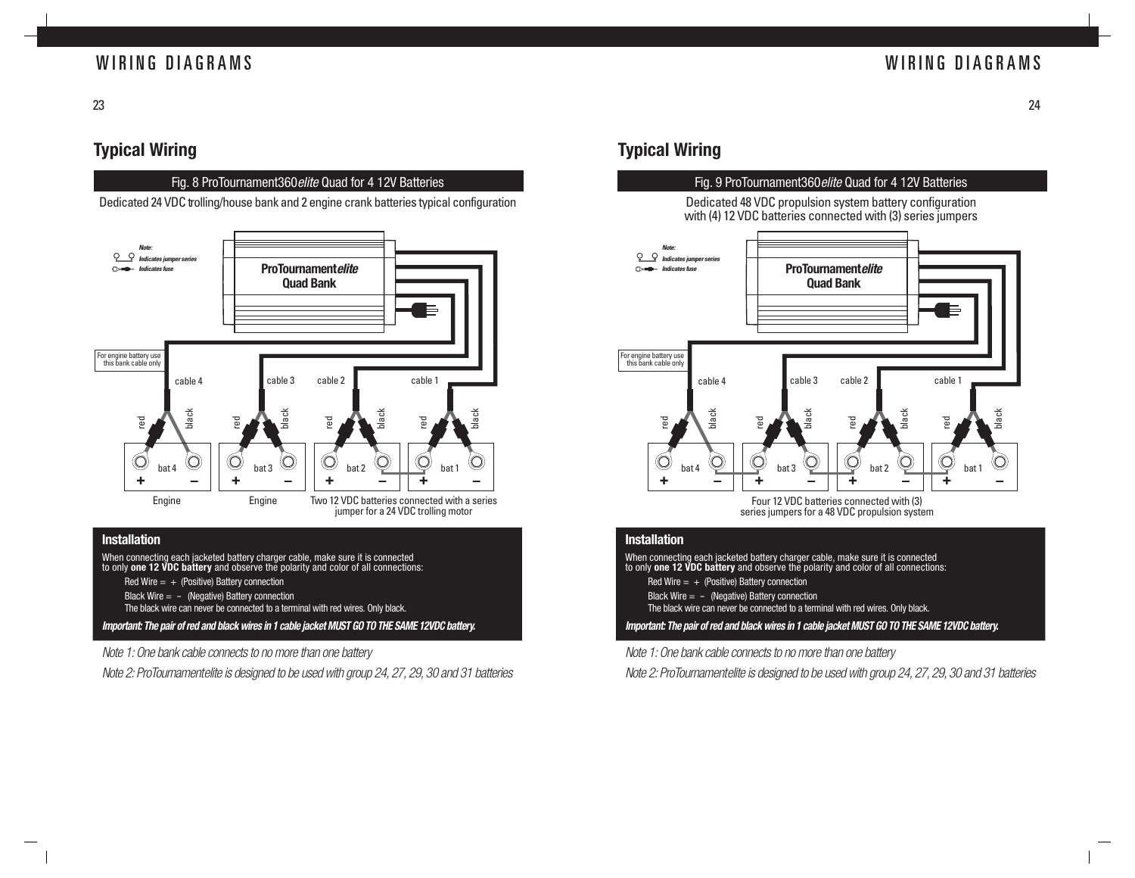### WIRING DIAGRAMS

23

### **Typical Wiring**

#### Fig. 8 ProTournament360elite Quad for 4 12V Batteries

Dedicated 24 VDC trolling/house bank and 2 engine crank batteries typical configuration



#### **Installation**

**Important: The pair of red and black wires in 1 cable jacket MUST GO TO THE SAME 12VDC battery.** When connecting each jacketed battery charger cable, make sure it is connected to only **one 12 VDC battery** and observe the polarity and color of all connections: Red Wire  $= +$  (Positive) Battery connection Black Wire  $= -$  (Negative) Battery connection The black wire can never be connected to a terminal with red wires. Only black.

Note 1: One bank cable connects to no more than one battery

Note 2: ProTournamentelite is designed to be used with group 24, 27, 29, 30 and 31 batteries

### **Typical Wiring**



#### **Installation**

When connecting each jacketed battery charger cable, make sure it is connected to only **one 12 VDC battery** and observe the polarity and color of all connections:

- Red Wire  $= +$  (Positive) Battery connection
- Black Wire  $= -$  (Negative) Battery connection

The black wire can never be connected to a terminal with red wires. Only black.

**Important: The pair of red and black wires in 1 cable jacket MUST GO TO THE SAME 12VDC battery.**

Note 1: One bank cable connects to no more than one battery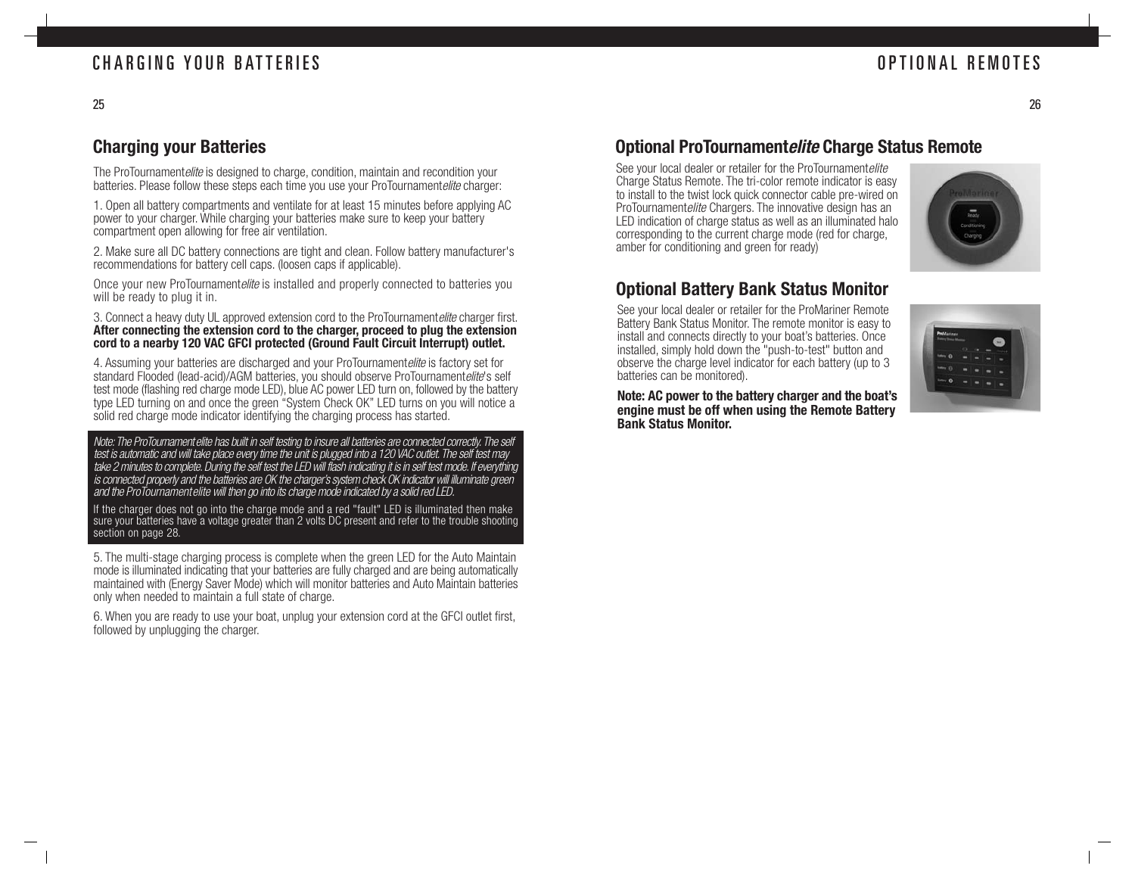### **Charging your Batteries**

The ProTournamentelite is designed to charge, condition, maintain and recondition your batteries. Please follow these steps each time you use your ProTournamentelite charger:

1. Open all battery compartments and ventilate for at least 15 minutes before applying AC power to your charger. While charging your batteries make sure to keep your battery compartment open allowing for free air ventilation.

2. Make sure all DC battery connections are tight and clean. Follow battery manufacturer's recommendations for battery cell caps. (loosen caps if applicable).

Once your new ProTournamentelite is installed and properly connected to batteries you will be ready to plug it in.

3. Connect a heavy duty UL approved extension cord to the ProTournamentelite charger first. **After connecting the extension cord to the charger, proceed to plug the extension cord to a nearby 120 VAC GFCI protected (Ground Fault Circuit Interrupt) outlet.**

4. Assuming your batteries are discharged and your ProTournamentelite is factory set for standard Flooded (lead-acid)/AGM batteries, you should observe ProTournamentelite's self test mode (flashing red charge mode LED), blue AC power LED turn on, followed by the battery type LED turning on and once the green "System Check OK" LED turns on you will notice a solid red charge mode indicator identifying the charging process has started.

Note: The ProTournament elite has built in self testing to insure all batteries are connected correctly. The self test is automatic and will take place every time the unit is plugged into a 120 VAC outlet. The self test may take 2 minutes to complete. During the self test the LED will flash indicating it is in self test mode. If everything is connected properly and the batteries are OK the charger's system check OK indicator will illuminate green and the ProTournamentelite will then go into its charge mode indicated by a solid red LED.

If the charger does not go into the charge mode and a red "fault" LED is illuminated then make sure your batteries have a voltage greater than 2 volts DC present and refer to the trouble shooting section on page 28.

5. The multi-stage charging process is complete when the green LED for the Auto Maintain mode is illuminated indicating that your batteries are fully charged and are being automatically maintained with (Energy Saver Mode) which will monitor batteries and Auto Maintain batteries only when needed to maintain a full state of charge.

6. When you are ready to use your boat, unplug your extension cord at the GFCI outlet first, followed by unplugging the charger.

### **Optional ProTournamentelite Charge Status Remote**

See your local dealer or retailer for the ProTournamentelite Charge Status Remote. The tri-color remote indicator is easy to install to the twist lock quick connector cable pre-wired on ProTournamentelite Chargers. The innovative design has an LED indication of charge status as well as an illuminated halo corresponding to the current charge mode (red for charge, amber for conditioning and green for ready)



### **Optional Battery Bank Status Monitor**

See your local dealer or retailer for the ProMariner Remote Battery Bank Status Monitor. The remote monitor is easy to install and connects directly to your boat's batteries. Once installed, simply hold down the "push-to-test" button and observe the charge level indicator for each battery (up to 3 batteries can be monitored).



**Note: AC power to the battery charger and the boat's engine must be off when using the Remote Battery Bank Status Monitor.**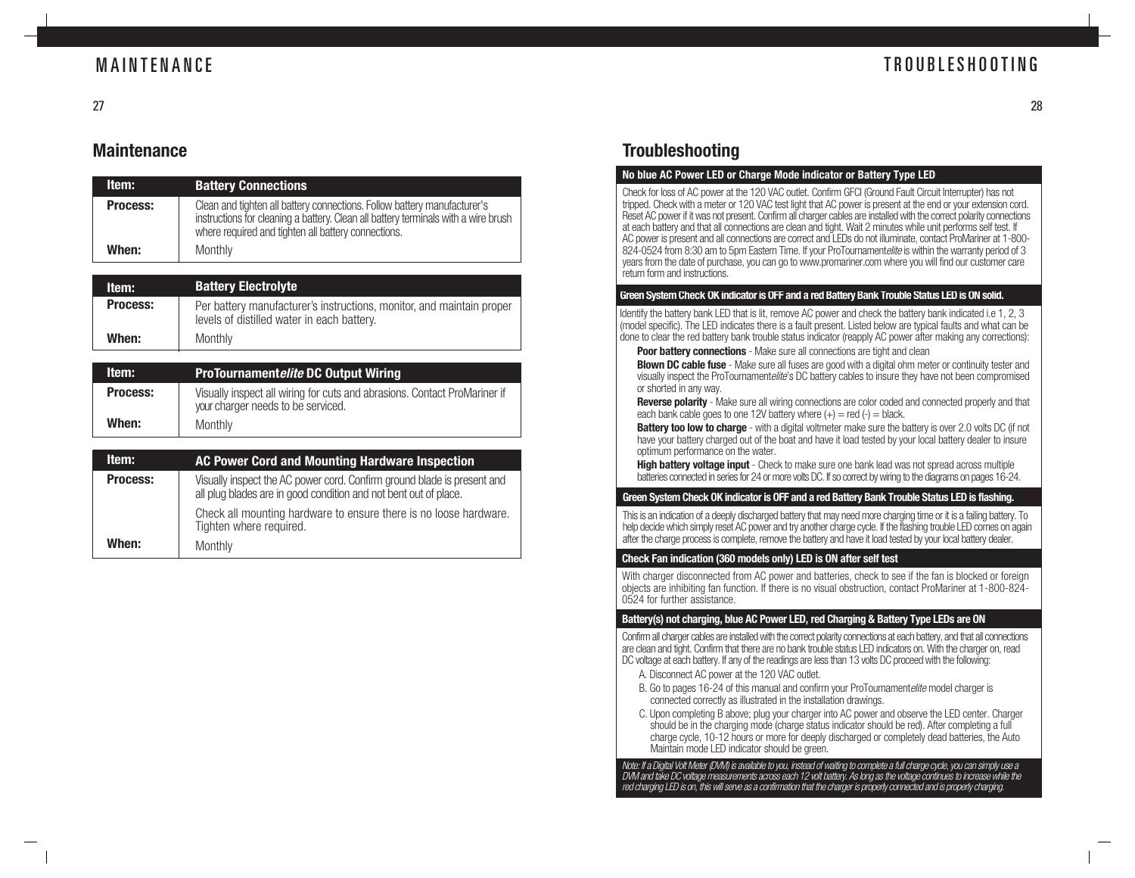### MAINTENANCE

### TROUBLESHOOTING

### **Maintenance**

| Item:           | <b>Battery Connections</b>                                                                                                                                                                                            |
|-----------------|-----------------------------------------------------------------------------------------------------------------------------------------------------------------------------------------------------------------------|
| <b>Process:</b> | Clean and tighten all battery connections. Follow battery manufacturer's<br>instructions for cleaning a battery. Clean all battery terminals with a wire brush<br>where required and tighten all battery connections. |
| When:           | Monthly                                                                                                                                                                                                               |
|                 |                                                                                                                                                                                                                       |
| Item:           | <b>Battery Electrolyte</b>                                                                                                                                                                                            |
| <b>Process:</b> | Per battery manufacturer's instructions, monitor, and maintain proper<br>levels of distilled water in each battery.                                                                                                   |
| When:           | Monthly                                                                                                                                                                                                               |
|                 |                                                                                                                                                                                                                       |
| Item:           | <b>ProTournamentelite DC Output Wiring</b>                                                                                                                                                                            |
| $D = - - -$     |                                                                                                                                                                                                                       |

|          | <u>I TO TOUTHAITICITICHED DO OULDUL WITHIN</u>                                                                  |
|----------|-----------------------------------------------------------------------------------------------------------------|
| Process: | Visually inspect all wiring for cuts and abrasions. Contact ProMariner if<br>your charger needs to be serviced. |
| When:    | Monthly                                                                                                         |

| Item:           | AC Power Cord and Mounting Hardware Inspection                                                                                              |
|-----------------|---------------------------------------------------------------------------------------------------------------------------------------------|
| <b>Process:</b> | Visually inspect the AC power cord. Confirm ground blade is present and<br>all plug blades are in good condition and not bent out of place. |
|                 | Check all mounting hardware to ensure there is no loose hardware.<br>Tighten where required.                                                |
| When:           | Monthly                                                                                                                                     |

### **Troubleshooting**

#### **No blue AC Power LED or Charge Mode indicator or Battery Type LED**

Check for loss of AC power at the 120 VAC outlet. Confirm GFCI (Ground Fault Circuit Interrupter) has not tripped. Check with a meter or 120 VAC test light that AC power is present at the end or your extension cord. Reset AC power if it was not present. Confirm all charger cables are installed with the correct polarity connections at each battery and that all connections are clean and tight. Wait 2 minutes while unit performs self test. If AC power is present and all connections are correct and LEDs do not illuminate, contact ProMariner at 1-800- 824-0524 from 8:30 am to 5pm Eastern Time. If your ProTournamentelite is within the warranty period of 3 years from the date of purchase, you can go to www.promariner.com where you will find our customer care return form and instructions.

#### **Green System Check OK indicator is OFF and a red Battery Bank Trouble Status LED is ON solid.**

Identify the battery bank LED that is lit, remove AC power and check the battery bank indicated i.e 1, 2, 3 (model specific). The LED indicates there is a fault present. Listed below are typical faults and what can be done to clear the red battery bank trouble status indicator (reapply AC power after making any corrections):

**Poor battery connections** - Make sure all connections are tight and clean

**Blown DC cable fuse** - Make sure all fuses are good with a digital ohm meter or continuity tester and visually inspect the ProTournamentelite's DC battery cables to insure they have not been compromised or shorted in any way.

**Reverse polarity** - Make sure all wiring connections are color coded and connected properly and that each bank cable goes to one 12V battery where  $(+)$  = red  $(-)$  = black.

**Battery too low to charge** - with a digital voltmeter make sure the battery is over 2.0 volts DC (if not have your battery charged out of the boat and have it load tested by your local battery dealer to insure optimum performance on the water.

**High battery voltage input** - Check to make sure one bank lead was not spread across multiple batteries connected in series for 24 or more volts DC. If so correct by wiring to the diagrams on pages 16-24.

#### **Green System Check OK indicator is OFF and a red Battery Bank Trouble Status LED is flashing.**

This is an indication of a deeply discharged battery that may need more charging time or it is a failing battery. To help decide which simply reset AC power and try another charge cycle. If the flashing trouble LED comes on again after the charge process is complete, remove the battery and have it load tested by your local battery dealer.

#### **Check Fan indication (360 models only) LED is ON after self test**

With charger disconnected from AC power and batteries, check to see if the fan is blocked or foreign objects are inhibiting fan function. If there is no visual obstruction, contact ProMariner at 1-800-824- 0524 for further assistance.

#### **Battery(s) not charging, blue AC Power LED, red Charging & Battery Type LEDs are ON**

Confirm all charger cables are installed with the correct polarity connections at each battery, and that all connections are clean and tight. Confirm that there are no bank trouble status LED indicators on. With the charger on, read DC voltage at each battery. If any of the readings are less than 13 volts DC proceed with the following:

- A. Disconnect AC power at the 120 VAC outlet.
- B. Go to pages 16-24 of this manual and confirm your ProTournamentelite model charger is connected correctly as illustrated in the installation drawings.
- C. Upon completing B above; plug your charger into AC power and observe the LED center. Charger should be in the charging mode (charge status indicator should be red). After completing a full charge cycle, 10-12 hours or more for deeply discharged or completely dead batteries, the Auto Maintain mode LED indicator should be green.

Note: If a Digital Volt Meter (DVM) is available to you, instead of waiting to complete a full charge cycle, you can simply use a DVM and take DC voltage measurements across each 12 volt battery. As long as the voltage continues to increase while the red charging LED is on, this will serve as a confirmation that the charger is properly connected and is properly charging.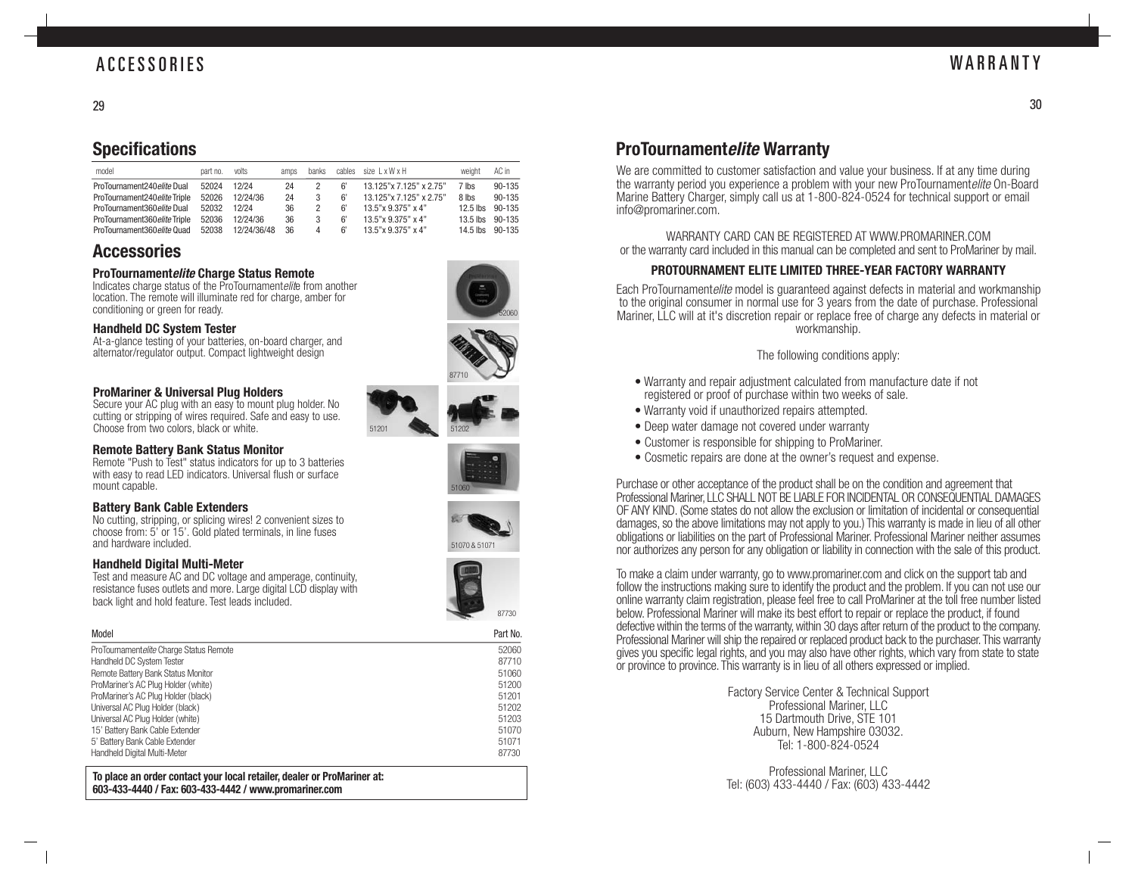### ACCESSORIES

30

#### 29

### **Specifications**

| model                         | part no. | volts       | amps | banks | cables | size LxWxH               | weight     | AC in  |
|-------------------------------|----------|-------------|------|-------|--------|--------------------------|------------|--------|
| ProTournament240 elite Dual   | 52024    | 12/24       | 24   |       |        | 13.125"x 7.125" x 2.75"  | 7 lbs      | 90-135 |
| ProTournament240 elite Triple | 52026    | 12/24/36    | 24   |       | 6'     | 13.125" x 7.125" x 2.75" | 8 lbs      | 90-135 |
| ProTournament360 elite Dual   | 52032    | 12/24       | 36   |       | 6'     | 13.5"x 9.375" x 4"       | $12.5$ lbs | 90-135 |
| ProTournament360eliteTriple   | 52036    | 12/24/36    | 36   |       | 6'     | $13.5$ "x $9.375$ " x 4" | $13.5$ lbs | 90-135 |
| ProTournament360 elite Quad   | 52038    | 12/24/36/48 | 36   |       |        | 13.5"x 9.375" x 4"       | $14.5$ lbs | 90-135 |

### **Accessories**

#### **ProTournamentelite Charge Status Remote**

Indicates charge status of the ProTournamentelite from another location. The remote will illuminate red for charge, amber for conditioning or green for ready.

#### **Handheld DC System Tester**

At-a-glance testing of your batteries, on-board charger, and alternator/regulator output. Compact lightweight design

#### **ProMariner & Universal Plug Holders**

Secure your AC plug with an easy to mount plug holder. No cutting or stripping of wires required. Safe and easy to use. Choose from two colors, black or white.

#### **Remote Battery Bank Status Monitor**

Remote "Push to Test" status indicators for up to 3 batteries with easy to read LED indicators. Universal flush or surface mount capable.

#### **Battery Bank Cable Extenders**

No cutting, stripping, or splicing wires! 2 convenient sizes to choose from: 5' or 15'. Gold plated terminals, in line fuses and hardware included. The state of the state of the state of the state of the state of the state of the state of the state of the state of the state of the state of the state of the state of the state of the state of the

#### **Handheld Digital Multi-Meter**

Test and measure AC and DC voltage and amperage, continuity, resistance fuses outlets and more. Large digital LCD display with back light and hold feature. Test leads included.

| Model                                   | Part No. |
|-----------------------------------------|----------|
| ProTournamentelite Charge Status Remote | 52060    |
| Handheld DC System Tester               | 87710    |
| Remote Battery Bank Status Monitor      | 51060    |
| ProMariner's AC Plug Holder (white)     | 51200    |
| ProMariner's AC Plug Holder (black)     | 51201    |
| Universal AC Plug Holder (black)        | 51202    |
| Universal AC Plug Holder (white)        | 51203    |
| 15' Battery Bank Cable Extender         | 51070    |
| 5' Battery Bank Cable Extender          | 51071    |
| Handheld Digital Multi-Meter            | 87730    |

**To place an order contact your local retailer, dealer or ProMariner at: 603-433-4440 / Fax: 603-433-4442 / www.promariner.com**







51060





### **ProTournamentelite Warranty**

We are committed to customer satisfaction and value your business. If at any time during the warranty period you experience a problem with your new ProTournamentelite On-Board Marine Battery Charger, simply call us at 1-800-824-0524 for technical support or email info@promariner.com.

WARRANTY CARD CAN BE REGISTERED AT WWW.PROMARINER.COM or the warranty card included in this manual can be completed and sent to ProMariner by mail.

#### **PROTOURNAMENT ELITE LIMITED THREE-YEAR FACTORY WARRANTY**

Each ProTournamentelite model is guaranteed against defects in material and workmanship to the original consumer in normal use for 3 years from the date of purchase. Professional Mariner, LLC will at it's discretion repair or replace free of charge any defects in material or workmanship.

#### The following conditions apply:

- Warranty and repair adjustment calculated from manufacture date if not registered or proof of purchase within two weeks of sale.
- Warranty void if unauthorized repairs attempted.
- Deep water damage not covered under warranty
- Customer is responsible for shipping to ProMariner.
- Cosmetic repairs are done at the owner's request and expense.

Purchase or other acceptance of the product shall be on the condition and agreement that Professional Mariner, LLC SHALL NOT BE LIABLE FOR INCIDENTAL OR CONSEQUENTIAL DAMAGES OF ANY KIND. (Some states do not allow the exclusion or limitation of incidental or consequential damages, so the above limitations may not apply to you.) This warranty is made in lieu of all other obligations or liabilities on the part of Professional Mariner. Professional Mariner neither assumes nor authorizes any person for any obligation or liability in connection with the sale of this product.

To make a claim under warranty, go to www.promariner.com and click on the support tab and follow the instructions making sure to identify the product and the problem. If you can not use our online warranty claim registration, please feel free to call ProMariner at the toll free number listed below. Professional Mariner will make its best effort to repair or replace the product, if found defective within the terms of the warranty, within 30 days after return of the product to the company. Professional Mariner will ship the repaired or replaced product back to the purchaser. This warranty gives you specific legal rights, and you may also have other rights, which vary from state to state or province to province. This warranty is in lieu of all others expressed or implied.

> Factory Service Center & Technical Support Professional Mariner, LLC 15 Dartmouth Drive, STE 101 Auburn, New Hampshire 03032. Tel: 1-800-824-0524

> Professional Mariner, LLC Tel: (603) 433-4440 / Fax: (603) 433-4442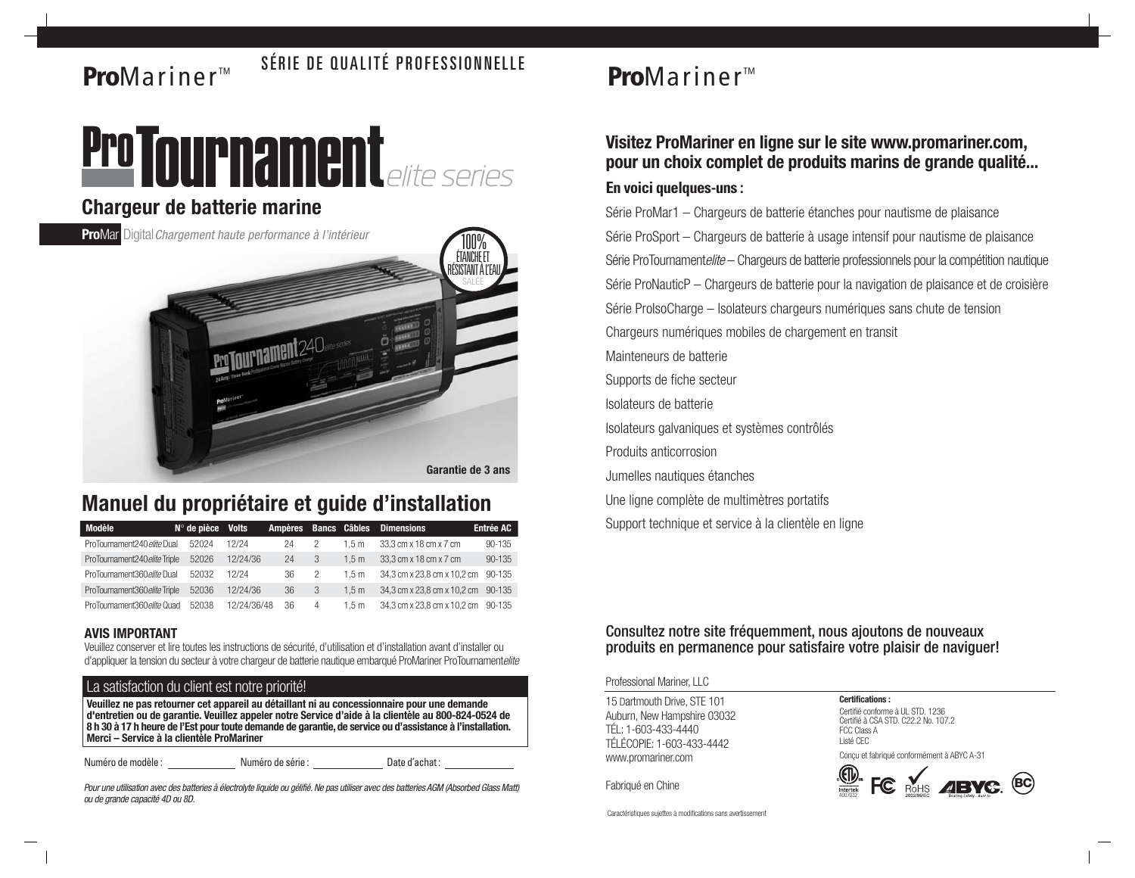# **Pro**Mariner<sup>™</sup> SÉRIE DE QUALITÉ PROFESSIONNELLE



### **Chargeur de batterie marine**

**ProMar** Digital Chargement haute performance à l'intérieur



### **Manuel du propriétaire et guide d'installation**

| <b>Modèle</b>                 | $N^\circ$ de pièce | <b>Volts</b> | <b>Ampères</b> |   | <b>Bancs Câbles</b> | <b>Dimensions</b>           | Entrée AC  |
|-------------------------------|--------------------|--------------|----------------|---|---------------------|-----------------------------|------------|
| ProTournament240 elite Dual   | 52024              | 12/24        | 24             |   | 1.5m                | 33.3 cm x 18 cm x 7 cm      | 90-135     |
| ProTournament240 elite Triple | 52026              | 12/24/36     | 24             | 3 | 1.5 m               | 33.3 cm x 18 cm x 7 cm      | 90-135     |
| ProTournament360eliteDual     | 52032              | 12/24        | 36             | 2 | 1.5 m               | 34.3 cm x 23.8 cm x 10.2 cm | $90 - 135$ |
| ProTournament360 elite Triple | 52036              | 12/24/36     | 36             | 3 | 1.5 <sub>m</sub>    | 34.3 cm x 23.8 cm x 10.2 cm | $90 - 135$ |
| ProTournament360elite Quad    | 52038              | 12/24/36/48  | 36             | 4 | 1.5 m               | 34,3 cm x 23,8 cm x 10,2 cm | 90-135     |

#### **AVIS IMPORTANT**

Veuillez conserver et lire toutes les instructions de sécurité, d'utilisation et d'installation avant d'installer ou d'appliquer la tension du secteur à votre chargeur de batterie nautique embarqué ProMariner ProTournamentelite

#### La satisfaction du client est notre priorité!

**Veuillez ne pas retourner cet appareil au détaillant ni au concessionnaire pour une demande d'entretien ou de garantie. Veuillez appeler notre Service d'aide à la clientèle au 800-824-0524 de 8 h 30 à 17 h heure de l'Est pour toute demande de garantie, de service ou d'assistance à l'installation. Merci – Service à la clientèle ProMariner**

Numéro de modèle : Numéro de série : Date d'achat :

Pour une utilisation avec des batteries à électrolyte liquide ou gélifié. Ne pas utiliser avec des batteries AGM (Absorbed Glass Matt) ou de grande capacité 4D ou 8D.

# **Pro**Mariner<sup>™</sup>

### **Visitez ProMariner en ligne sur le site www.promariner.com, pour un choix complet de produits marins de grande qualité...**

#### **En voici quelques-uns :**

Série ProMar1 – Chargeurs de batterie étanches pour nautisme de plaisance Série ProSport – Chargeurs de batterie à usage intensif pour nautisme de plaisance Série ProTournamentelite – Chargeurs de batterie professionnels pour la compétition nautique Série ProNauticP – Chargeurs de batterie pour la navigation de plaisance et de croisière Série ProIsoCharge – Isolateurs chargeurs numériques sans chute de tension Chargeurs numériques mobiles de chargement en transit Mainteneurs de batterie Supports de fiche secteur Isolateurs de batterie Isolateurs galvaniques et systèmes contrôlés Produits anticorrosion Jumelles nautiques étanches Une ligne complète de multimètres portatifs

Support technique et service à la clientèle en ligne

#### Consultez notre site fréquemment, nous ajoutons de nouveaux produits en permanence pour satisfaire votre plaisir de naviguer!

Professional Mariner, LLC

15 Dartmouth Drive, STE 101 Auburn, New Hampshire 03032 TÉL: 1-603-433-4440 TÉLÉCOPIE: 1-603-433-4442 www.promariner.com

Fabriqué en Chine

**Certifications :**

Certifié conforme à UL STD. 1236 Certifié à CSA STD. C22.2 No. 107.2 FCC Class A Listé CEC Conçu et fabriqué conformément à ABYC A-31



Caractéristiques sujettes à modifications sans avertissement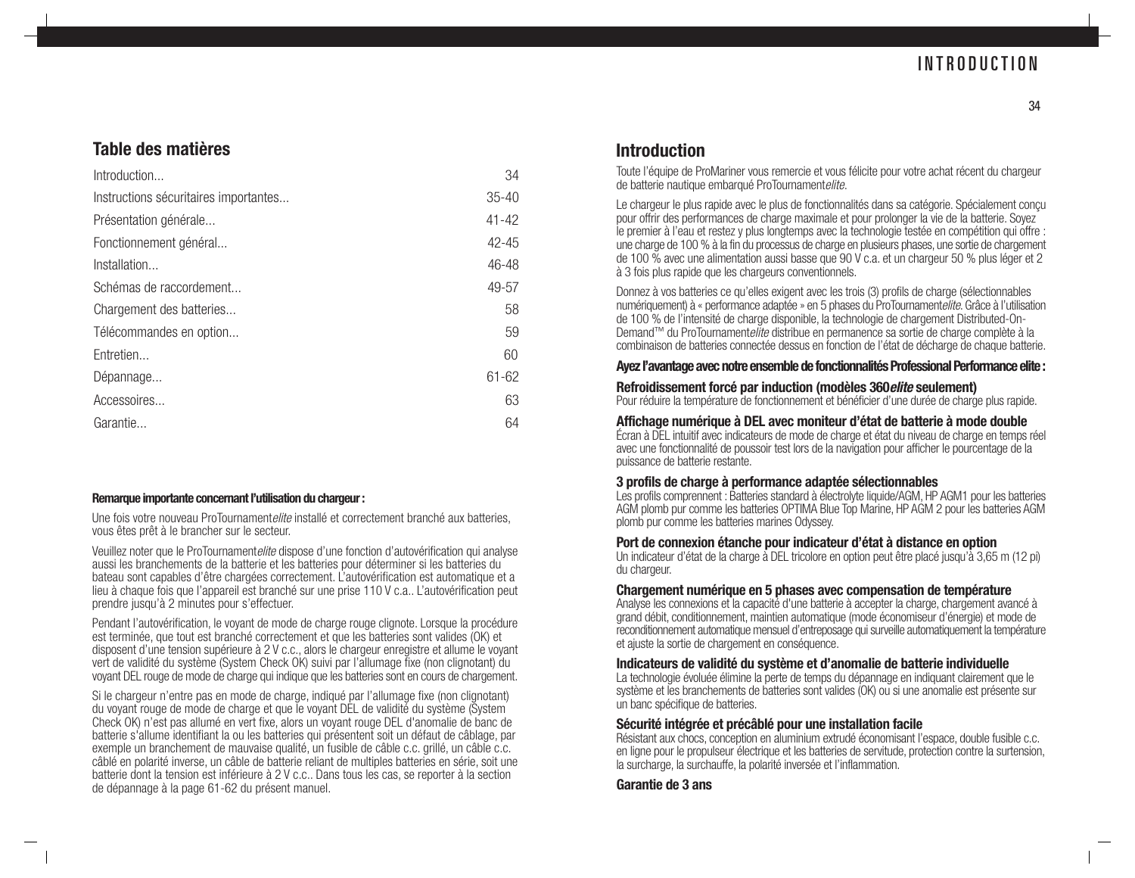### INTRODUCTION

### **Table des matières**

| Introduction                          | 34        |
|---------------------------------------|-----------|
| Instructions sécuritaires importantes | $35 - 40$ |
| Présentation générale                 | $41 - 42$ |
| Fonctionnement général                | $42 - 45$ |
| Installation                          | 46-48     |
| Schémas de raccordement               | 49-57     |
| Chargement des batteries              | 58        |
| Télécommandes en option               | 59        |
| Entretien                             | 60        |
| Dépannage                             | $61 - 62$ |
| Accessoires                           | 63        |
| Garantie                              | 64        |

#### **Remarque importante concernant l'utilisation du chargeur :**

Une fois votre nouveau ProTournamentelite installé et correctement branché aux batteries, vous êtes prêt à le brancher sur le secteur.

Veuillez noter que le ProTournamentelite dispose d'une fonction d'autovérification qui analyse aussi les branchements de la batterie et les batteries pour déterminer si les batteries du bateau sont capables d'être chargées correctement. L'autovérification est automatique et a lieu à chaque fois que l'appareil est branché sur une prise 110 V c.a.. L'autovérification peut prendre jusqu'à 2 minutes pour s'effectuer.

Pendant l'autovérification, le voyant de mode de charge rouge clignote. Lorsque la procédure est terminée, que tout est branché correctement et que les batteries sont valides (OK) et disposent d'une tension supérieure à 2 V c.c., alors le chargeur enregistre et allume le voyant vert de validité du système (System Check OK) suivi par l'allumage fixe (non clignotant) du voyant DEL rouge de mode de charge qui indique que les batteries sont en cours de chargement.

Si le chargeur n'entre pas en mode de charge, indiqué par l'allumage fixe (non clignotant) du voyant rouge de mode de charge et que le voyant DEL de validité du système (System Check OK) n'est pas allumé en vert fixe, alors un voyant rouge DEL d'anomalie de banc de batterie s'allume identifiant la ou les batteries qui présentent soit un défaut de câblage, par exemple un branchement de mauvaise qualité, un fusible de câble c.c. grillé, un câble c.c. câblé en polarité inverse, un câble de batterie reliant de multiples batteries en série, soit une batterie dont la tension est inférieure à 2 V c.c.. Dans tous les cas, se reporter à la section de dépannage à la page 61-62 du présent manuel.

### **Introduction**

Toute l'équipe de ProMariner vous remercie et vous félicite pour votre achat récent du chargeur de batterie nautique embarqué ProTournamentelite.

Le chargeur le plus rapide avec le plus de fonctionnalités dans sa catégorie. Spécialement conçu pour offrir des performances de charge maximale et pour prolonger la vie de la batterie. Soyez le premier à l'eau et restez y plus longtemps avec la technologie testée en compétition qui offre : une charge de 100 % à la fin du processus de charge en plusieurs phases, une sortie de chargement de 100 % avec une alimentation aussi basse que 90 V c.a. et un chargeur 50 % plus léger et 2 à 3 fois plus rapide que les chargeurs conventionnels.

Donnez à vos batteries ce qu'elles exigent avec les trois (3) profils de charge (sélectionnables numériquement) à « performance adaptée » en 5 phases du ProTournamentelite. Grâce à l'utilisation de 100 % de l'intensité de charge disponible, la technologie de chargement Distributed-On-Demand™ du ProTournament*elite* distribue en permanence sa sortie de charge complète à la combinaison de batteries connectée dessus en fonction de l'état de décharge de chaque batterie.

#### **Ayez l'avantage avec notre ensemble de fonctionnalités Professional Performance elite:**

#### **Refroidissement forcé par induction (modèles 360elite seulement)**

Pour réduire la température de fonctionnement et bénéficier d'une durée de charge plus rapide.

### **Affichage numérique à DEL avec moniteur d'état de batterie à mode double** Écran à DEL intuitif avec indicateurs de mode de charge et état du niveau de charge en temps réel

avec une fonctionnalité de poussoir test lors de la navigation pour afficher le pourcentage de la puissance de batterie restante.

#### **3 profils de charge à performance adaptée sélectionnables**

Les profils comprennent : Batteries standard à électrolyte liquide/AGM, HP AGM1 pour les batteries AGM plomb pur comme les batteries OPTIMA Blue Top Marine, HP AGM 2 pour les batteries AGM plomb pur comme les batteries marines Odyssey.

#### **Port de connexion étanche pour indicateur d'état à distance en option**

Un indicateur d'état de la charge à DEL tricolore en option peut être placé jusqu'à 3,65 m (12 pi) du chargeur.

#### **Chargement numérique en 5 phases avec compensation de température**

Analyse les connexions et la capacité d'une batterie à accepter la charge, chargement avancé à grand débit, conditionnement, maintien automatique (mode économiseur d'énergie) et mode de reconditionnement automatique mensuel d'entreposage qui surveille automatiquement la température et ajuste la sortie de chargement en conséquence.

#### **Indicateurs de validité du système et d'anomalie de batterie individuelle**

La technologie évoluée élimine la perte de temps du dépannage en indiquant clairement que le système et les branchements de batteries sont valides (OK) ou si une anomalie est présente sur un banc spécifique de batteries.

#### **Sécurité intégrée et précâblé pour une installation facile**

Résistant aux chocs, conception en aluminium extrudé économisant l'espace, double fusible c.c. en ligne pour le propulseur électrique et les batteries de servitude, protection contre la surtension, la surcharge, la surchauffe, la polarité inversée et l'inflammation.

**Garantie de 3 ans**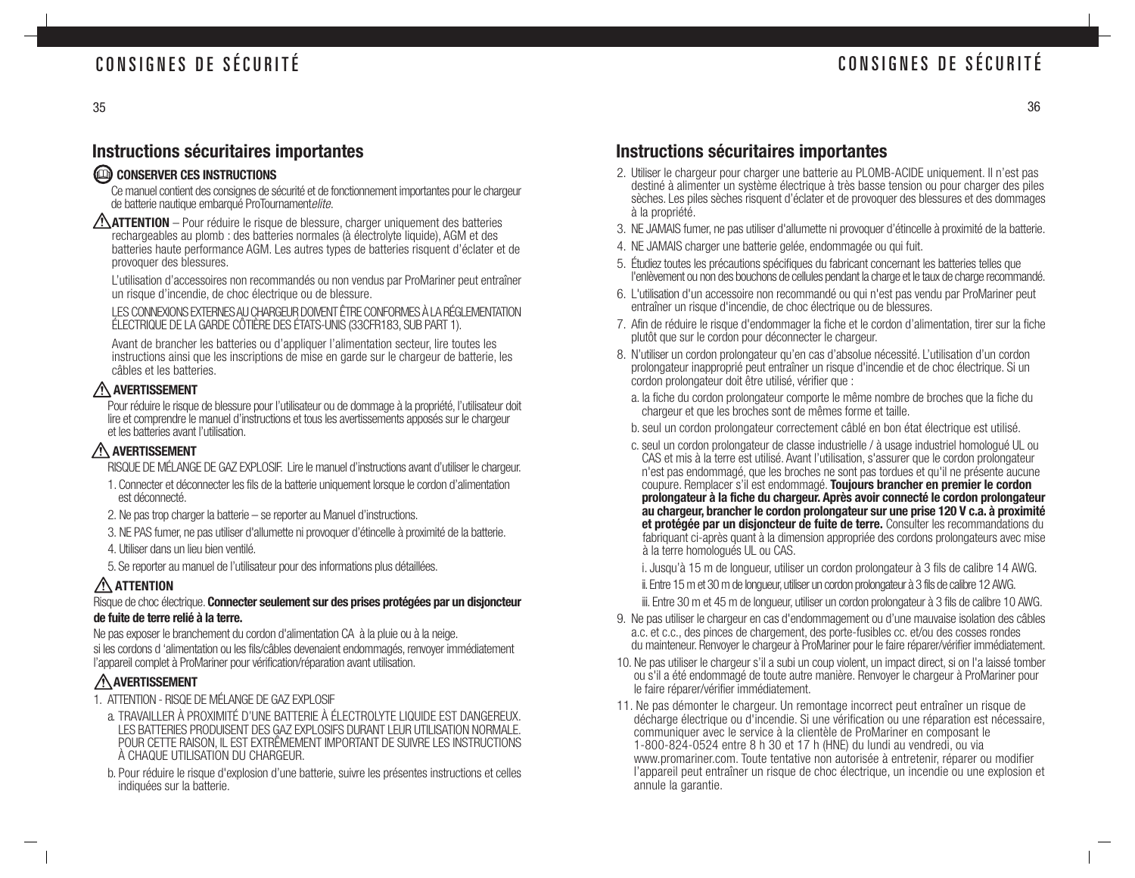### CONSIGNES DE SÉCURITÉ

36

### **Instructions sécuritaires importantes**

### CONSERVER CES INSTRUCTIONS

Ce manuel contient des consignes de sécurité et de fonctionnement importantes pour le chargeur de batterie nautique embarqué ProTournamentelite.

**ATTENTION** – Pour réduire le risque de blessure, charger uniquement des batteries rechargeables au plomb : des batteries normales (à électrolyte liquide), AGM et des batteries haute performance AGM. Les autres types de batteries risquent d'éclater et de provoquer des blessures.

L'utilisation d'accessoires non recommandés ou non vendus par ProMariner peut entraîner un risque d'incendie, de choc électrique ou de blessure.

LES CONNEXIONS EXTERNES AU CHARGEUR DOIVENT ÊTRE CONFORMES À LA RÉGLEMENTATION ÉLECTRIQUE DE LA GARDE CÔTIÈRE DES ÉTATS-UNIS (33CFR183, SUB PART 1).

Avant de brancher les batteries ou d'appliquer l'alimentation secteur, lire toutes les instructions ainsi que les inscriptions de mise en garde sur le chargeur de batterie, les câbles et les batteries.

### **AVERTISSEMENT**

Pour réduire le risque de blessure pour l'utilisateur ou de dommage à la propriété, l'utilisateur doit lire et comprendre le manuel d'instructions et tous les avertissements apposés sur le chargeur et les batteries avant l'utilisation.

### **AVERTISSEMENT**

RISQUE DE MÉLANGE DE GAZ EXPLOSIF. Lire le manuel d'instructions avant d'utiliser le chargeur.

- 1. Connecter et déconnecter les fils de la batterie uniquement lorsque le cordon d'alimentation est déconnecté.
- 2. Ne pas trop charger la batterie se reporter au Manuel d'instructions.
- 3. NE PAS fumer, ne pas utiliser d'allumette ni provoquer d'étincelle à proximité de la batterie.
- 4. Utiliser dans un lieu bien ventilé.

5. Se reporter au manuel de l'utilisateur pour des informations plus détaillées.

### **ATTENTION**

#### Risque de choc électrique. **Connecter seulement sur des prises protégées par un disjoncteur de fuite de terre relié à la terre.**

Ne pas exposer le branchement du cordon d'alimentation CA à la pluie ou à la neige. si les cordons d 'alimentation ou les fils/câbles devenaient endommagés, renvoyer immédiatement l'appareil complet à ProMariner pour vérification/réparation avant utilisation.

### **AVERTISSEMENT**

- 1. ATTENTION RISQE DE MÉLANGE DE GAZ EXPLOSIF
- a. TRAVAILLER À PROXIMITÉ D'UNE BATTERIE À ÉLECTROLYTE LIQUIDE EST DANGEREUX. LES BATTERIES PRODUISENT DES GAZ EXPLOSIFS DURANT LEUR UTILISATION NORMALE. POUR CETTE RAISON, IL EST EXTRÊMEMENT IMPORTANT DE SUIVRE LES INSTRUCTIONS À CHAQUE UTILISATION DU CHARGEUR.
- b. Pour réduire le risque d'explosion d'une batterie, suivre les présentes instructions et celles indiquées sur la batterie.

### **Instructions sécuritaires importantes**

- 2. Utiliser le chargeur pour charger une batterie au PLOMB-ACIDE uniquement. Il n'est pas destiné à alimenter un système électrique à très basse tension ou pour charger des piles sèches. Les piles sèches risquent d'éclater et de provoquer des blessures et des dommages à la propriété.
- 3. NE JAMAIS fumer, ne pas utiliser d'allumette ni provoquer d'étincelle à proximité de la batterie.
- 4. NE JAMAIS charger une batterie gelée, endommagée ou qui fuit.
- 5. Étudiez toutes les précautions spécifiques du fabricant concernant les batteries telles que l'enlèvement ou non des bouchons de cellules pendant la charge et le taux de charge recommandé.
- 6. L'utilisation d'un accessoire non recommandé ou qui n'est pas vendu par ProMariner peut entraîner un risque d'incendie, de choc électrique ou de blessures.
- 7. Afin de réduire le risque d'endommager la fiche et le cordon d'alimentation, tirer sur la fiche plutôt que sur le cordon pour déconnecter le chargeur.
- 8. N'utiliser un cordon prolongateur qu'en cas d'absolue nécessité. L'utilisation d'un cordon prolongateur inapproprié peut entraîner un risque d'incendie et de choc électrique. Si un cordon prolongateur doit être utilisé, vérifier que :
	- a. la fiche du cordon prolongateur comporte le même nombre de broches que la fiche du chargeur et que les broches sont de mêmes forme et taille.
	- b. seul un cordon prolongateur correctement câblé en bon état électrique est utilisé.
	- c. seul un cordon prolongateur de classe industrielle / à usage industriel homologué UL ou CAS et mis à la terre est utilisé. Avant l'utilisation, s'assurer que le cordon prolongateur <sup>n</sup>'est pas endommagé, que les broches ne sont pas tordues et qu'il ne présente aucune coupure. Remplacer s'il est endommagé. **Toujours brancher en premier le cordon prolongateur à la fiche du chargeur. Après avoir connecté le cordon prolongateur au chargeur, brancher le cordon prolongateur sur une prise 120 V c.a. à proximité et protégée par un disjoncteur de fuite de terre.** Consulter les recommandations du fabriquant ci-après quant à la dimension appropriée des cordons prolongateurs avec mise à la terre homologués UL ou CAS.

i. Jusqu'à 15 m de longueur, utiliser un cordon prolongateur à 3 fils de calibre 14 AWG.

ii. Entre 15 m et 30 m de longueur, utiliser un cordon prolongateur à 3 fils de calibre 12 AWG.

iii. Entre 30 m et 45 m de longueur, utiliser un cordon prolongateur à 3 fils de calibre 10 AWG.

- 9. Ne pas utiliser le chargeur en cas d'endommagement ou d'une mauvaise isolation des câbles a.c. et c.c., des pinces de chargement, des porte-fusibles cc. et/ou des cosses rondes du mainteneur. Renvoyer le chargeur à ProMariner pour le faire réparer/vérifier immédiatement.
- 10. Ne pas utiliser le chargeur s'il a subi un coup violent, un impact direct, si on l'a laissé tomber ou s'il a été endommagé de toute autre manière. Renvoyer le chargeur à ProMariner pour le faire réparer/vérifier immédiatement.
- 11. Ne pas démonter le chargeur. Un remontage incorrect peut entraîner un risque de décharge électrique ou d'incendie. Si une vérification ou une réparation est nécessaire, communiquer avec le service à la clientèle de ProMariner en composant le 1-800-824-0524 entre 8 h 30 et 17 h (HNE) du lundi au vendredi, ou via www.promariner.com. Toute tentative non autorisée à entretenir, réparer ou modifier l'appareil peut entraîner un risque de choc électrique, un incendie ou une explosion et annule la garantie.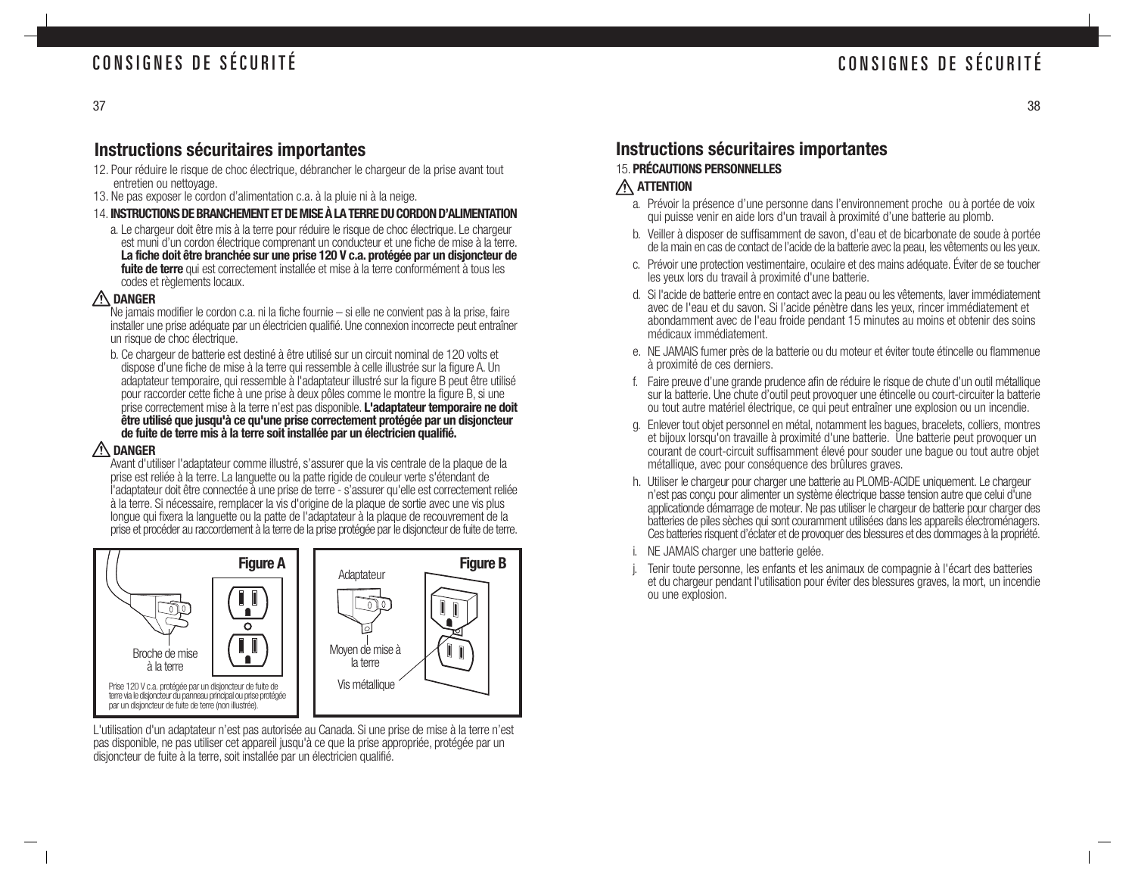#### 37

### **Instructions sécuritaires importantes**

- 12. Pour réduire le risque de choc électrique, débrancher le chargeur de la prise avant tout entretien ou nettoyage.
- 13. Ne pas exposer le cordon d'alimentation c.a. à la pluie ni à la neige.
- 14. **INSTRUCTIONS DE BRANCHEMENT ET DE MISE À LA TERRE DU CORDON D'ALIMENTATION**
	- a. Le chargeur doit être mis à la terre pour réduire le risque de choc électrique. Le chargeur est muni d'un cordon électrique comprenant un conducteur et une fiche de mise à la terre. **La fiche doit être branchée sur une prise 120 V c.a. protégée par un disjoncteur de fuite de terre** qui est correctement installée et mise à la terre conformément à tous les codes et règlements locaux.

#### **DANGER**

Ne jamais modifier le cordon c.a. ni la fiche fournie – si elle ne convient pas à la prise, faire installer une prise adéquate par un électricien qualifié. Une connexion incorrecte peut entraîner un risque de choc électrique.

b. Ce chargeur de batterie est destiné à être utilisé sur un circuit nominal de 120 volts et dispose d'une fiche de mise à la terre qui ressemble à celle illustrée sur la figure A. Un adaptateur temporaire, qui ressemble à l'adaptateur illustré sur la figure B peut être utilisé pour raccorder cette fiche à une prise à deux pôles comme le montre la figure B, si une prise correctement mise à la terre n'est pas disponible. **L'adaptateur temporaire ne doit être utilisé que jusqu'à ce qu'une prise correctement protégée par un disjoncteur de fuite de terre mis à la terre soit installée par un électricien qualifié.**

#### **DANGER**

Avant d'utiliser l'adaptateur comme illustré, s'assurer que la vis centrale de la plaque de la prise est reliée à la terre. La languette ou la patte rigide de couleur verte s'étendant de l'adaptateur doit être connectée à une prise de terre - s'assurer qu'elle est correctement reliée à la terre. Si nécessaire, remplacer la vis d'origine de la plaque de sortie avec une vis plus longue qui fixera la languette ou la patte de l'adaptateur à la plaque de recouvrement de la prise et procéder au raccordement à la terre de la prise protégée par le disjoncteur de fuite de terre.



L'utilisation d'un adaptateur n'est pas autorisée au Canada. Si une prise de mise à la terre n'est pas disponible, ne pas utiliser cet appareil jusqu'à ce que la prise appropriée, protégée par un disjoncteur de fuite à la terre, soit installée par un électricien qualifié.

### **Instructions sécuritaires importantes**

### 15. **PRÉCAUTIONS PERSONNELLES**

### **ATTENTION**

- a. Prévoir la présence d'une personne dans l'environnement proche ou à portée de voix qui puisse venir en aide lors d'un travail à proximité d'une batterie au plomb.
- b. Veiller à disposer de suffisamment de savon, d'eau et de bicarbonate de soude à portée de la main en cas de contact de l'acide de la batterie avec la peau, les vêtements ou les yeux.
- c. Prévoir une protection vestimentaire, oculaire et des mains adéquate. Éviter de se toucher les yeux lors du travail à proximité d'une batterie.
- d. Si l'acide de batterie entre en contact avec la peau ou les vêtements, laver immédiatement avec de l'eau et du savon. Si l'acide pénètre dans les yeux, rincer immédiatement et abondamment avec de l'eau froide pendant 15 minutes au moins et obtenir des soins médicaux immédiatement.
- e. NE JAMAIS fumer près de la batterie ou du moteur et éviter toute étincelle ou flammenue à proximité de ces derniers.
- f. Faire preuve d'une grande prudence afin de réduire le risque de chute d'un outil métallique sur la batterie. Une chute d'outil peut provoquer une étincelle ou court-circuiter la batterie ou tout autre matériel électrique, ce qui peut entraîner une explosion ou un incendie.
- g. Enlever tout objet personnel en métal, notamment les bagues, bracelets, colliers, montres et bijoux lorsqu'on travaille à proximité d'une batterie. Une batterie peut provoquer un courant de court-circuit suffisamment élevé pour souder une bague ou tout autre objet métallique, avec pour conséquence des brûlures graves.
- h. Utiliser le chargeur pour charger une batterie au PLOMB-ACIDE uniquement. Le chargeur <sup>n</sup>'est pas conçu pour alimenter un système électrique basse tension autre que celui d'une applicationde démarrage de moteur. Ne pas utiliser le chargeur de batterie pour charger des batteries de piles sèches qui sont couramment utilisées dans les appareils électroménagers. Ces batteries risquent d'éclater et de provoquer des blessures et des dommages à la propriété.
- i. NE JAMAIS charger une batterie gelée.
- j. Tenir toute personne, les enfants et les animaux de compagnie à l'écart des batteries et du chargeur pendant l'utilisation pour éviter des blessures graves, la mort, un incendie ou une explosion.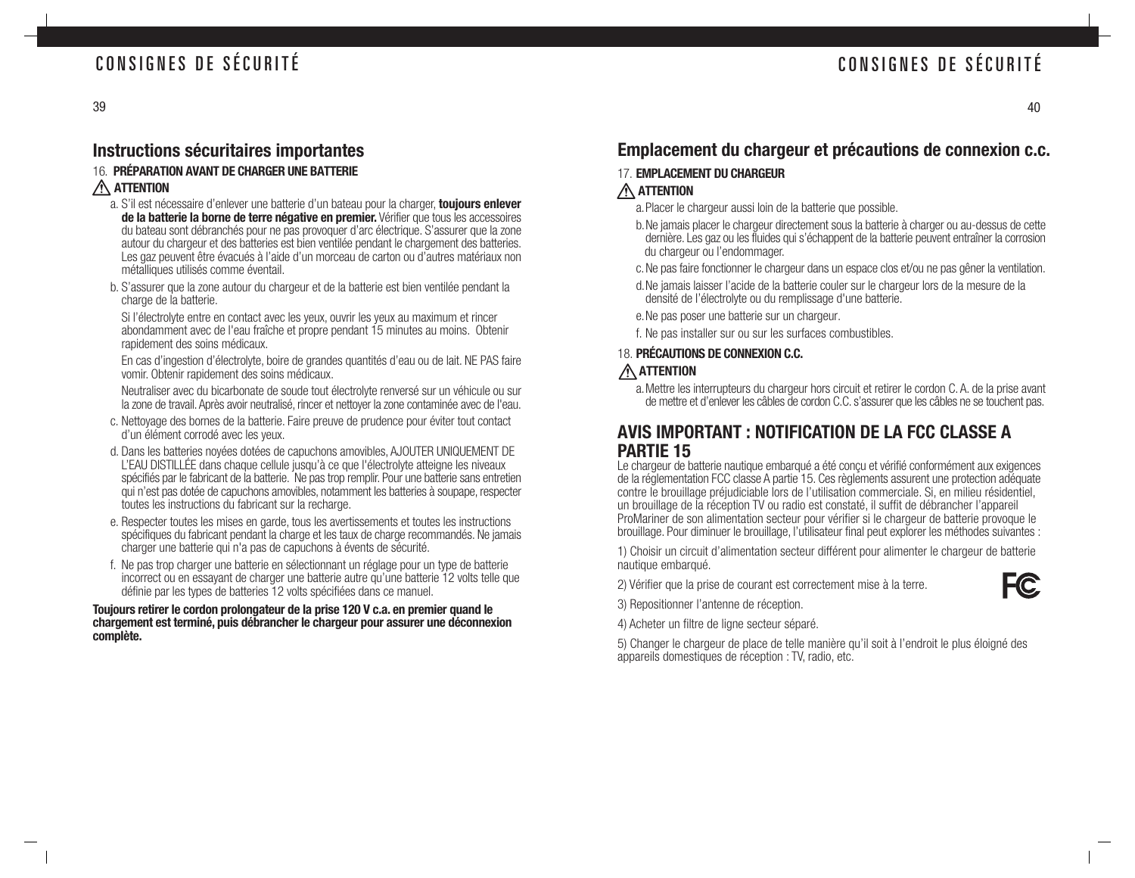### **Instructions sécuritaires importantes**

### 16. **PRÉPARATION AVANT DE CHARGER UNE BATTERIE**

### **ATTENTION**

- a. S'il est nécessaire d'enlever une batterie d'un bateau pour la charger, **toujours enlever de la batterie la borne de terre négative en premier.** Vérifier que tous les accessoires du bateau sont débranchés pour ne pas provoquer d'arc électrique. S'assurer que la zone autour du chargeur et des batteries est bien ventilée pendant le chargement des batteries. Les gaz peuvent être évacués à l'aide d'un morceau de carton ou d'autres matériaux non métalliques utilisés comme éventail.
- b. S'assurer que la zone autour du chargeur et de la batterie est bien ventilée pendant la charge de la batterie.

Si l'électrolyte entre en contact avec les yeux, ouvrir les yeux au maximum et rincer abondamment avec de l'eau fraîche et propre pendant 15 minutes au moins. Obtenir rapidement des soins médicaux.

En cas d'ingestion d'électrolyte, boire de grandes quantités d'eau ou de lait. NE PAS faire vomir. Obtenir rapidement des soins médicaux.

Neutraliser avec du bicarbonate de soude tout électrolyte renversé sur un véhicule ou sur la zone de travail. Après avoir neutralisé, rincer et nettoyer la zone contaminée avec de l'eau.

- c. Nettoyage des bornes de la batterie. Faire preuve de prudence pour éviter tout contact d'un élément corrodé avec les yeux.
- d. Dans les batteries noyées dotées de capuchons amovibles, AJOUTER UNIQUEMENT DE L'EAU DISTILLÉE dans chaque cellule jusqu'à ce que l'électrolyte atteigne les niveaux spécifiés par le fabricant de la batterie. Ne pas trop remplir. Pour une batterie sans entretien qui n'est pas dotée de capuchons amovibles, notamment les batteries à soupape, respecter toutes les instructions du fabricant sur la recharge.
- e. Respecter toutes les mises en garde, tous les avertissements et toutes les instructions spécifiques du fabricant pendant la charge et les taux de charge recommandés. Ne jamais charger une batterie qui n'a pas de capuchons à évents de sécurité.
- f. Ne pas trop charger une batterie en sélectionnant un réglage pour un type de batterie incorrect ou en essayant de charger une batterie autre qu'une batterie 12 volts telle que définie par les types de batteries 12 volts spécifiées dans ce manuel.

#### **Toujours retirer le cordon prolongateur de la prise 120 V c.a. en premier quand le chargement est terminé, puis débrancher le chargeur pour assurer une déconnexion complète.**

### **Emplacement du chargeur et précautions de connexion c.c.**

#### 17. **EMPLACEMENT DU CHARGEUR ATTENTION**

- a.Placer le chargeur aussi loin de la batterie que possible.
- b.Ne jamais placer le chargeur directement sous la batterie à charger ou au-dessus de cette dernière. Les gaz ou les fluides qui s'échappent de la batterie peuvent entraîner la corrosion du chargeur ou l'endommager.
- c.Ne pas faire fonctionner le chargeur dans un espace clos et/ou ne pas gêner la ventilation.
- d.Ne jamais laisser l'acide de la batterie couler sur le chargeur lors de la mesure de la densité de l'électrolyte ou du remplissage d'une batterie.
- e.Ne pas poser une batterie sur un chargeur.
- f. Ne pas installer sur ou sur les surfaces combustibles.

### 18. **PRÉCAUTIONS DE CONNEXION C.C.**

### **ATTENTION**

a.Mettre les interrupteurs du chargeur hors circuit et retirer le cordon C. A. de la prise avant de mettre et d'enlever les câbles de cordon C.C. s'assurer que les câbles ne se touchent pas.

### **AVIS IMPORTANT : NOTIFICATION DE LA FCC CLASSE A PARTIE 15**

Le chargeur de batterie nautique embarqué a été conçu et vérifié conformément aux exigences de la réglementation FCC classe A partie 15. Ces règlements assurent une protection adéquate contre le brouillage préjudiciable lors de l'utilisation commerciale. Si, en milieu résidentiel, un brouillage de la réception TV ou radio est constaté, il suffit de débrancher l'appareil ProMariner de son alimentation secteur pour vérifier si le chargeur de batterie provoque le brouillage. Pour diminuer le brouillage, l'utilisateur final peut explorer les méthodes suivantes :

1) Choisir un circuit d'alimentation secteur différent pour alimenter le chargeur de batterie nautique embarqué.

2) Vérifier que la prise de courant est correctement mise à la terre.

3) Repositionner l'antenne de réception.

4) Acheter un filtre de ligne secteur séparé.

5) Changer le chargeur de place de telle manière qu'il soit à l'endroit le plus éloigné des appareils domestiques de réception : TV, radio, etc.

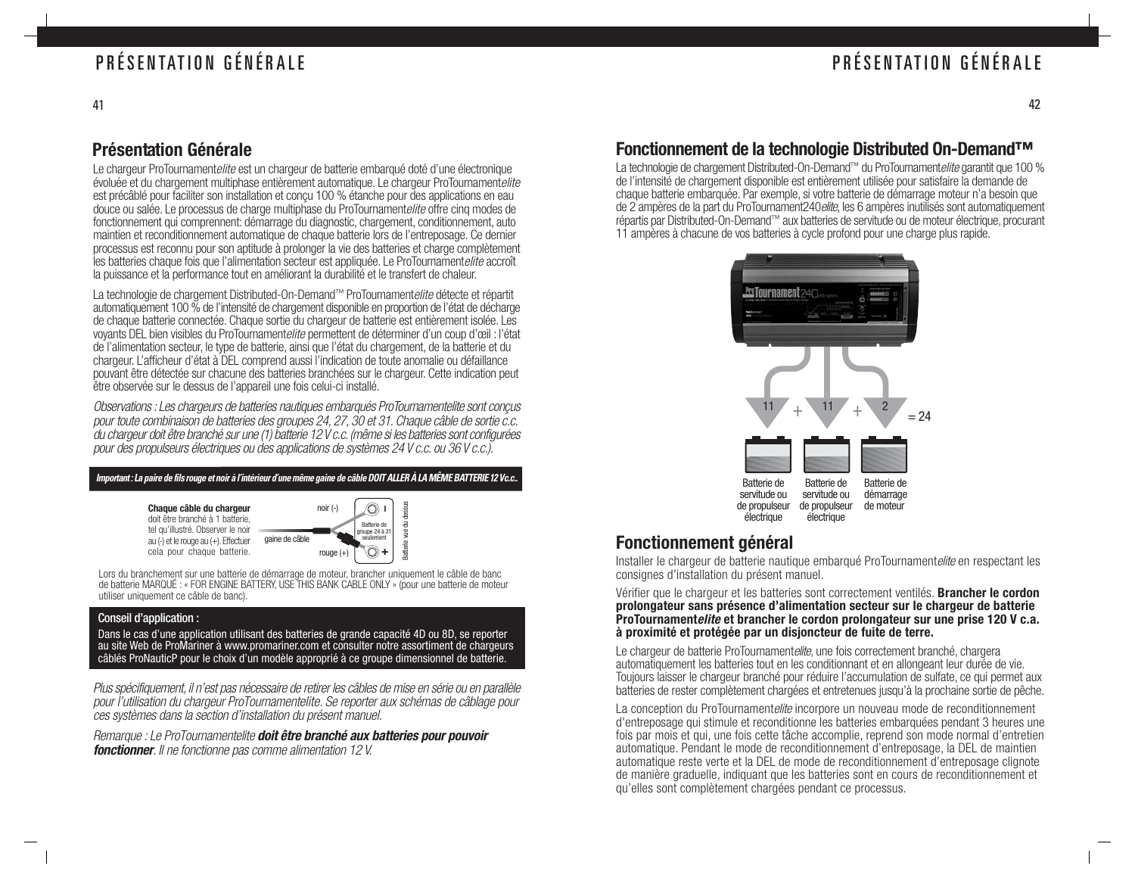### PRÉSENTATION GÉNÉRALE

### **Présentation Générale**

Le chargeur ProTournamentelite est un chargeur de batterie embarqué doté d'une électronique évoluée et du chargement multiphase entièrement automatique. Le chargeur ProTournamentelite est précâblé pour faciliter son installation et conçu 100 % étanche pour des applications en eau douce ou salée. Le processus de charge multiphase du ProTournamentelite offre cinq modes de fonctionnement qui comprennent: démarrage du diagnostic, chargement, conditionnement, auto maintien et reconditionnement automatique de chaque batterie lors de l'entreposage. Ce dernier processus est reconnu pour son aptitude à prolonger la vie des batteries et charge complètement les batteries chaque fois que l'alimentation secteur est appliquée. Le ProTournamentelite accroît la puissance et la performance tout en améliorant la durabilité et le transfert de chaleur.

La technologie de chargement Distributed-On-Demand™ ProTournamentelite détecte et répartit automatiquement 100 % de l'intensité de chargement disponible en proportion de l'état de décharge de chaque batterie connectée. Chaque sortie du chargeur de batterie est entièrement isolée. Les voyants DEL bien visibles du ProTournamentelite permettent de déterminer d'un coup d'œil : l'état de l'alimentation secteur, le type de batterie, ainsi que l'état du chargement, de la batterie et du chargeur. L'afficheur d'état à DEL comprend aussi l'indication de toute anomalie ou défaillance pouvant être détectée sur chacune des batteries branchées sur le chargeur. Cette indication peut être observée sur le dessus de l'appareil une fois celui-ci installé.

Observations : Les chargeurs de batteries nautiques embarqués ProTournamentelite sont conçus pour toute combinaison de batteries des groupes 24, 27, 30 et 31. Chaque câble de sortie c.c. du chargeur doit être branché sur une (1) batterie 12 V c.c. (même si les batteries sont configurées pour des propulseurs électriques ou des applications de systèmes 24 V c.c. ou 36 V c.c.).

| Important : La paire de fils rouge et noir à l'intérieur d'une même gaine de câble DOIT ALLER <u>À LA MÊME BATTERIE 12 Vc.c</u>                                           |                |                                                                        |                                           |
|---------------------------------------------------------------------------------------------------------------------------------------------------------------------------|----------------|------------------------------------------------------------------------|-------------------------------------------|
| Chaque câble du chargeur<br>doit être branché à 1 batterie,<br>tel qu'illustré. Observer le noir<br>$au(-)$ et le rouge $au(+)$ . Effectuer<br>cela pour chaque batterie. | gaine de câble | $noir(-)$<br>Batterie de<br>groupe 24 à 31<br>seulement<br>rouge $(+)$ | dessus<br>콩<br>鸟<br>Batterie <sup>®</sup> |

Lors du branchement sur une batterie de démarrage de moteur, brancher uniquement le câble de banc de batterie MARQUÉ : « FOR ENGINE BATTERY, USE THIS BANK CABLE ONLY » (pour une batterie de moteur utiliser uniquement ce câble de banc).

#### Conseil d'application :

Dans le cas d'une application utilisant des batteries de grande capacité 4D ou 8D, se reporter au site Web de ProMariner à www.promariner.com et consulter notre assortiment de chargeurs câblés ProNauticP pour le choix d'un modèle approprié à ce groupe dimensionnel de batterie.

Plus spécifiquement, il n'est pas nécessaire de retirer les câbles de mise en série ou en parallèle pour l'utilisation du chargeur ProTournamentelite. Se reporter aux schémas de câblage pour ces systèmes dans la section d'installation du présent manuel.

Remarque : Le ProTournamentelite **doit être branché aux batteries pour pouvoir fonctionner**. Il ne fonctionne pas comme alimentation 12 V.

### **Fonctionnement de la technologie Distributed On-Demand™**

La technologie de chargement Distributed-On-Demand™ du ProTournament*elite* garantit que 100 % de l'intensité de chargement disponible est entièrement utilisée pour satisfaire la demande de chaque batterie embarquée. Par exemple, si votre batterie de démarrage moteur n'a besoin que de 2 ampères de la part du ProTournament240elite, les 6 ampères inutilisés sont automatiquement répartis par Distributed-On-Demand™ aux batteries de servitude ou de moteur électrique, procurant 11 ampères à chacune de vos batteries à cycle profond pour une charge plus rapide.



### **Fonctionnement général**

Installer le chargeur de batterie nautique embarqué ProTournamentelite en respectant les consignes d'installation du présent manuel.

Vérifier que le chargeur et les batteries sont correctement ventilés. **Brancher le cordon prolongateur sans présence d'alimentation secteur sur le chargeur de batterie ProTournamentelite et brancher le cordon prolongateur sur une prise 120 V c.a. à proximité et protégée par un disjoncteur de fuite de terre.**

Le chargeur de batterie ProTournamentelite, une fois correctement branché, chargera automatiquement les batteries tout en les conditionnant et en allongeant leur durée de vie. Toujours laisser le chargeur branché pour réduire l'accumulation de sulfate, ce qui permet aux batteries de rester complètement chargées et entretenues jusqu'à la prochaine sortie de pêche.

La conception du ProTournamentelite incorpore un nouveau mode de reconditionnement d'entreposage qui stimule et reconditionne les batteries embarquées pendant 3 heures une fois par mois et qui, une fois cette tâche accomplie, reprend son mode normal d'entretien automatique. Pendant le mode de reconditionnement d'entreposage, la DEL de maintien automatique reste verte et la DEL de mode de reconditionnement d'entreposage clignote de manière graduelle, indiquant que les batteries sont en cours de reconditionnement et qu'elles sont complètement chargées pendant ce processus.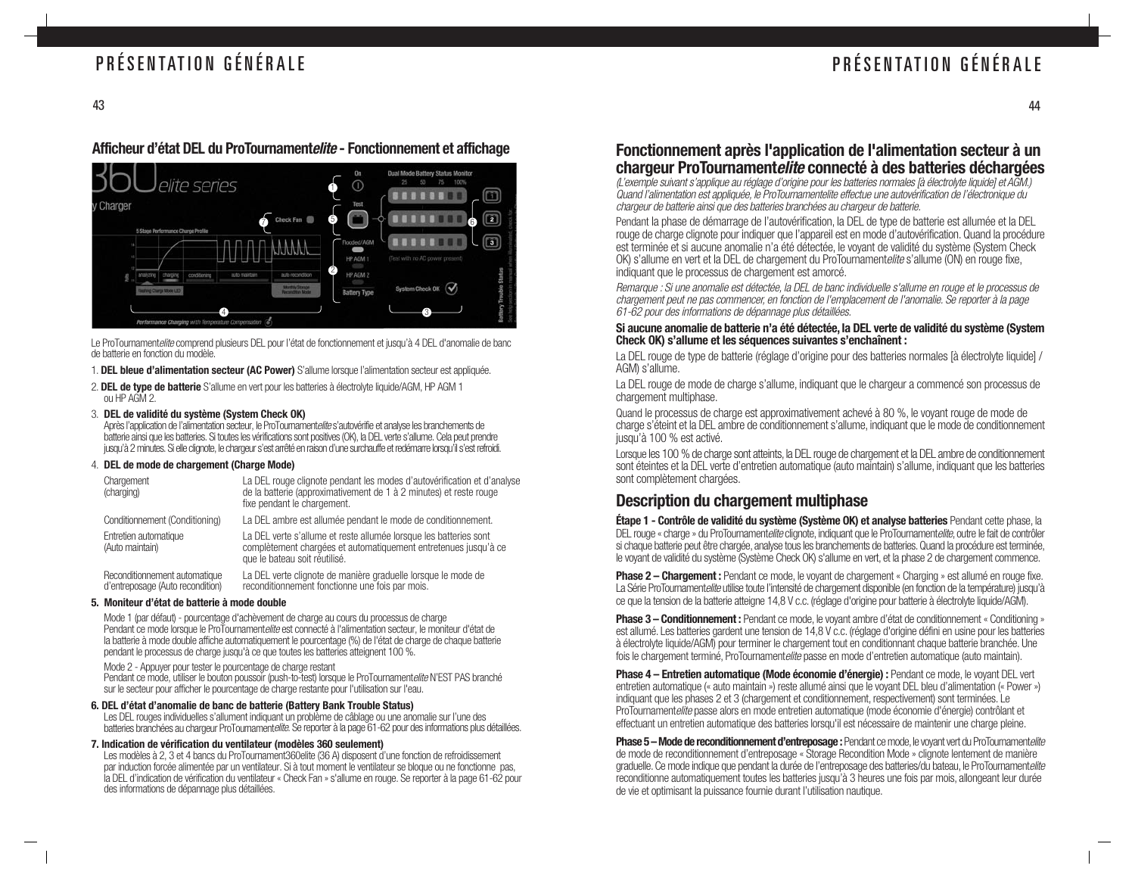### PRÉSENTATION GÉNÉRALE

### PRÉSENTATION GÉNÉRALE

#### **Afficheur d'état DEL du ProTournamentelite - Fonctionnement et affichage**



Le ProTournamentelite comprend plusieurs DEL pour l'état de fonctionnement et jusqu'à 4 DEL d'anomalie de banc de batterie en fonction du modèle.

- 1. **DEL bleue d'alimentation secteur (AC Power)** S'allume lorsque l'alimentation secteur est appliquée.
- 2. **DEL de type de batterie** S'allume en vert pour les batteries à électrolyte liquide/AGM, HP AGM 1 ou HP AGM 2.

#### 3. **DEL de validité du système (System Check OK)**

Après l'application de l'alimentation secteur, le ProToumamentelite s'autovérifie et analyse les branchements de batterie ainsi que les batteries. Si toutes les vérifications sont positives (OK), la DEL verte s'allume. Cela peut prendre jusqu'à 2 minutes. Si elle clignote, le chargeur s'est arrêté en raison d'une surchauffe et redémarre lorsqu'il s'est refroidi.

#### 4. **DEL de mode de chargement (Charge Mode)**

| Chargement<br>(charging)                                          | La DEL rouge clignote pendant les modes d'autovérification et d'analyse<br>de la batterie (approximativement de 1 à 2 minutes) et reste rouge<br>fixe pendant le chargement. |
|-------------------------------------------------------------------|------------------------------------------------------------------------------------------------------------------------------------------------------------------------------|
| Conditionnement (Conditioning)                                    | La DEL ambre est allumée pendant le mode de conditionnement.                                                                                                                 |
| Entretien automatique<br>(Auto maintain)                          | La DEL verte s'allume et reste allumée lorsque les batteries sont<br>complètement chargées et automatiquement entretenues jusqu'à ce<br>que le bateau soit réutilisé.        |
| Reconditionnement automatique<br>d'entreposage (Auto recondition) | La DEL verte clignote de manière graduelle lorsque le mode de<br>reconditionnement fonctionne une fois par mois.                                                             |

#### **5. Moniteur d'état de batterie à mode double**

Mode 1 (par défaut) - pourcentage d'achèvement de charge au cours du processus de charge Pendant ce mode lorsque le ProTournamentelite est connecté à l'alimentation secteur, le moniteur d'état de la batterie à mode double affiche automatiquement le pourcentage (%) de l'état de charge de chaque batterie pendant le processus de charge jusqu'à ce que toutes les batteries atteignent 100 %.

Mode 2 - Appuyer pour tester le pourcentage de charge restant

Pendant ce mode, utiliser le bouton poussoir (push-to-test) lorsque le ProTournamentelite N'EST PAS branché sur le secteur pour afficher le pourcentage de charge restante pour l'utilisation sur l'eau.

#### **6. DEL d'état d'anomalie de banc de batterie (Battery Bank Trouble Status)**

Les DEL rouges individuelles s'allument indiquant un problème de câblage ou une anomalie sur l'une des batteries branchées au chargeur ProTournamentelite. Se reporter à la page 61-62 pour des informations plus détaillées.

#### **7. Indication de vérification du ventilateur (modèles 360 seulement)**

Les modèles à 2, 3 et 4 bancs du ProTournament360elite (36 A) disposent d'une fonction de refroidissement par induction forcée alimentée par un ventilateur. Si à tout moment le ventilateur se bloque ou ne fonctionne pas, la DEL d'indication de vérification du ventilateur « Check Fan » s'allume en rouge. Se reporter à la page 61-62 pour des informations de dépannage plus détaillées.

#### **Fonctionnement après l'application de l'alimentation secteur à un chargeur ProTournamentelite connecté à des batteries déchargées**

(L'exemple suivant s'applique au réglage d'origine pour les batteries normales [à électrolyte liquide] et AGM.) Quand l'alimentation est appliquée, le ProTournamentelite effectue une autovérification de l'électronique du chargeur de batterie ainsi que des batteries branchées au chargeur de batterie.

Pendant la phase de démarrage de l'autovérification, la DEL de type de batterie est allumée et la DEL rouge de charge clignote pour indiquer que l'appareil est en mode d'autovérification. Quand la procédure est terminée et si aucune anomalie n'a été détectée, le voyant de validité du système (System Check OK) s'allume en vert et la DEL de chargement du ProTournamentelite s'allume (ON) en rouge fixe, indiquant que le processus de chargement est amorcé.

Remarque : Si une anomalie est détectée, la DEL de banc individuelle s'allume en rouge et le processus de chargement peut ne pas commencer, en fonction de l'emplacement de l'anomalie. Se reporter à la page 61-62 pour des informations de dépannage plus détaillées.

#### **Si aucune anomalie de batterie n'a été détectée, la DEL verte de validité du système (System Check OK) s'allume et les séquences suivantes s'enchaînent :**

La DEL rouge de type de batterie (réglage d'origine pour des batteries normales [à électrolyte liquide] / AGM) s'allume.

La DEL rouge de mode de charge s'allume, indiquant que le chargeur a commencé son processus de chargement multiphase.

Quand le processus de charge est approximativement achevé à 80 %, le voyant rouge de mode de charge s'éteint et la DEL ambre de conditionnement s'allume, indiquant que le mode de conditionnement jusqu'à 100 % est activé.

Lorsque les 100 % de charge sont atteints, la DEL rouge de chargement et la DEL ambre de conditionnement sont éteintes et la DEL verte d'entretien automatique (auto maintain) s'allume, indiquant que les batteries sont complètement chargées.

### **Description du chargement multiphase**

**Étape 1 - Contrôle de validité du système (Système OK) et analyse batteries** Pendant cette phase, la DEL rouge « charge » du ProTournamentelite clignote, indiquant que le ProTournamentelite, outre le fait de contrôler si chaque batterie peut être chargée, analyse tous les branchements de batteries. Quand la procédure est terminée, le voyant de validité du système (Système Check OK) s'allume en vert, et la phase 2 de chargement commence.

**Phase 2 – Chargement :** Pendant ce mode, le voyant de chargement « Charging » est allumé en rouge fixe. La Série ProTournamentelite utilise toute l'intensité de chargement disponible (en fonction de la température) jusqu'à ce que la tension de la batterie atteigne 14,8 V c.c. (réglage d'origine pour batterie à électrolyte liquide/AGM).

**Phase 3 – Conditionnement :** Pendant ce mode, le voyant ambre d'état de conditionnement « Conditioning » est allumé. Les batteries gardent une tension de 14,8 V c.c. (réglage d'origine défini en usine pour les batteries à électrolyte liquide/AGM) pour terminer le chargement tout en conditionnant chaque batterie branchée. Une fois le chargement terminé. ProTournamentelite passe en mode d'entretien automatique (auto maintain).

**Phase 4 – Entretien automatique (Mode économie d'énergie) :** Pendant ce mode, le voyant DEL vert entretien automatique (« auto maintain ») reste allumé ainsi que le voyant DEL bleu d'alimentation (« Power ») indiquant que les phases 2 et 3 (chargement et conditionnement, respectivement) sont terminées. Le ProTournamentelite passe alors en mode entretien automatique (mode économie d'énergie) contrôlant et effectuant un entretien automatique des batteries lorsqu'il est nécessaire de maintenir une charge pleine.

**Phase 5 – Mode de reconditionnement d'entreposage :** Pendant ce mode, le voyant vert du ProTournament*elite* de mode de reconditionnement d'entreposage « Storage Recondition Mode » clignote lentement de manière graduelle. Ce mode indique que pendant la durée de l'entreposage des batteries/du bateau, le ProTournamentelite reconditionne automatiquement toutes les batteries jusqu'à 3 heures une fois par mois, allongeant leur durée de vie et optimisant la puissance fournie durant l'utilisation nautique.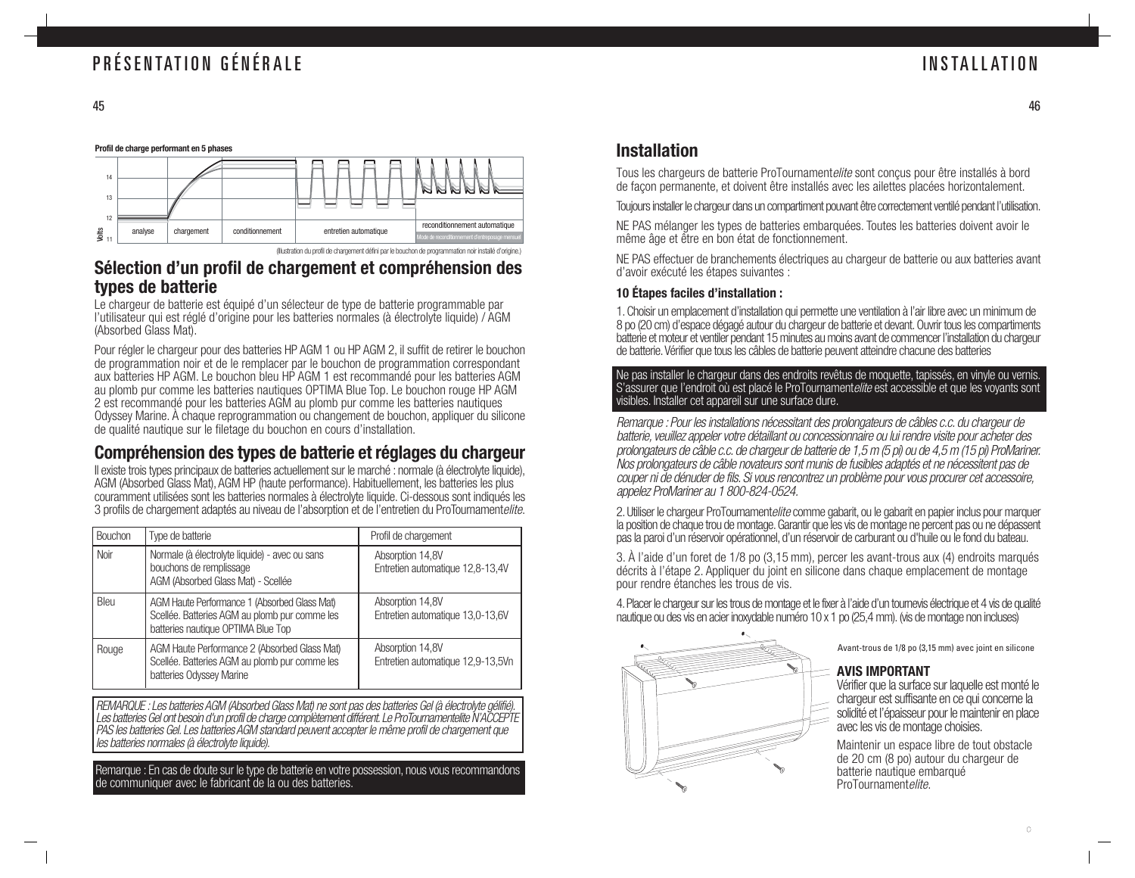

### **Sélection d'un profil de chargement et compréhension des types de batterie**

Le chargeur de batterie est équipé d'un sélecteur de type de batterie programmable par l'utilisateur qui est réglé d'origine pour les batteries normales (à électrolyte liquide) / AGM (Absorbed Glass Mat).

Pour régler le chargeur pour des batteries HP AGM 1 ou HP AGM 2, il suffit de retirer le bouchon de programmation noir et de le remplacer par le bouchon de programmation correspondant aux batteries HP AGM. Le bouchon bleu HP AGM 1 est recommandé pour les batteries AGM au plomb pur comme les batteries nautiques OPTIMA Blue Top. Le bouchon rouge HP AGM Odyssey Marine. À chaque reprogrammation ou changement de bouchon, appliquer du silicone de qualité nautique sur le filetage du bouchon en cours d'installation.

### **Compréhension des types de batterie et réglages du chargeur**

Il existe trois types principaux de batteries actuellement sur le marché : normale (à électrolyte liquide), AGM (Absorbed Glass Mat), AGM HP (haute performance). Habituellement, les batteries les plus couramment utilisées sont les batteries normales à électrolyte liquide. Ci-dessous sont indiqués les 3 profils de chargement adaptés au niveau de l'absorption et de l'entretien du ProTournamentelite.

| Bouchon | Type de batterie                                                                                                                    | Profil de chargement                                  |
|---------|-------------------------------------------------------------------------------------------------------------------------------------|-------------------------------------------------------|
| Noir    | Normale (à électrolyte liquide) - avec ou sans<br>bouchons de remplissage<br>AGM (Absorbed Glass Mat) - Scellée                     | Absorption 14,8V<br>Entretien automatique 12,8-13,4V  |
| Bleu    | AGM Haute Performance 1 (Absorbed Glass Mat)<br>Scellée. Batteries AGM au plomb pur comme les<br>batteries nautique OPTIMA Blue Top | Absorption 14,8V<br>Entretien automatique 13,0-13,6V  |
| Rouge   | AGM Haute Performance 2 (Absorbed Glass Mat)<br>Scellée. Batteries AGM au plomb pur comme les<br>batteries Odyssey Marine           | Absorption 14,8V<br>Entretien automatique 12,9-13,5Vn |

REMARQUE : Les batteries AGM (Absorbed Glass Mat) ne sont pas des batteries Gel (à électrolyte gélifié). Les batteries Gel ont besoin d'un profil de charge complètement différent. Le ProTournamentelite N'ACCEPTE PAS les batteries Gel. Les batteries AGM standard peuvent accepter le même profil de chargement que les batteries normales (à électrolyte liquide).

Remarque : En cas de doute sur le type de batterie en votre possession, nous vous recommandons de communiquer avec le fabricant de la ou des batteries.

### **Installation**

Tous les chargeurs de batterie ProTournamentelite sont conçus pour être installés à bord de façon permanente, et doivent être installés avec les ailettes placées horizontalement.

Toujours installer le chargeur dans un compartiment pouvant être correctement ventilé pendant l'utilisation.

NE PAS mélanger les types de batteries embarquées. Toutes les batteries doivent avoir le même âge et être en bon état de fonctionnement.

NE PAS effectuer de branchements électriques au chargeur de batterie ou aux batteries avant d'avoir exécuté les étapes suivantes :

#### **10 Étapes faciles d'installation :**

1. Choisir un emplacement d'installation qui permette une ventilation à l'air libre avec un minimum de 8 po (20 cm) d'espace dégagé autour du chargeur de batterie et devant. Ouvrir tous les compartiments batterie et moteur et ventiler pendant 15 minutes au moins avant de commencer l'installation du chargeur de batterie. Vérifier que tous les câbles de batterie peuvent atteindre chacune des batteries

Ne pas installer le chargeur dans des endroits revêtus de moquette, tapissés, en vinyle ou vernis. S'assurer que l'endroit où est placé le ProTournamentelite est accessible et que les voyants sont visibles. Installer cet appareil sur une surface dure.

Remarque : Pour les installations nécessitant des prolongateurs de câbles c.c. du chargeur de batterie, veuillez appeler votre détaillant ou concessionnaire ou lui rendre visite pour acheter des prolongateurs de câble c.c. de chargeur de batterie de 1,5 m (5 pi) ou de 4,5 m (15 pi) ProMariner. Nos prolongateurs de câble novateurs sont munis de fusibles adaptés et ne nécessitent pas de couper ni de dénuder de fils. Si vous rencontrez un problème pour vous procurer cet accessoire, appelez ProMariner au 1 800-824-0524.

2. Utiliser le chargeur ProTournamentelite comme gabarit, ou le gabarit en papier inclus pour marquer la position de chaque trou de montage. Garantir que les vis de montage ne percent pas ou ne dépassent pas la paroi d'un réservoir opérationnel, d'un réservoir de carburant ou d'huile ou le fond du bateau.

3. À l'aide d'un foret de 1/8 po (3,15 mm), percer les avant-trous aux (4) endroits marqués décrits à l'étape 2. Appliquer du joint en silicone dans chaque emplacement de montage pour rendre étanches les trous de vis.

4. Placer le chargeur sur les trous de montage et le fixer à l'aide d'un tournevis électrique et 4 vis de qualité nautique ou des vis en acier inoxydable numéro 10 x 1 po (25,4 mm). (vis de montage non incluses)



Avant-trous de 1/8 po (3,15 mm) avec joint en silicone

#### **AVIS IMPORTANT**

Vérifier que la surface sur laquelle est monté le chargeur est suffisante en ce qui concerne la solidité et l'épaisseur pour le maintenir en place avec les vis de montage choisies.

Maintenir un espace libre de tout obstacle de 20 cm (8 po) autour du chargeur de batterie nautique embarqué ProTournamentelite.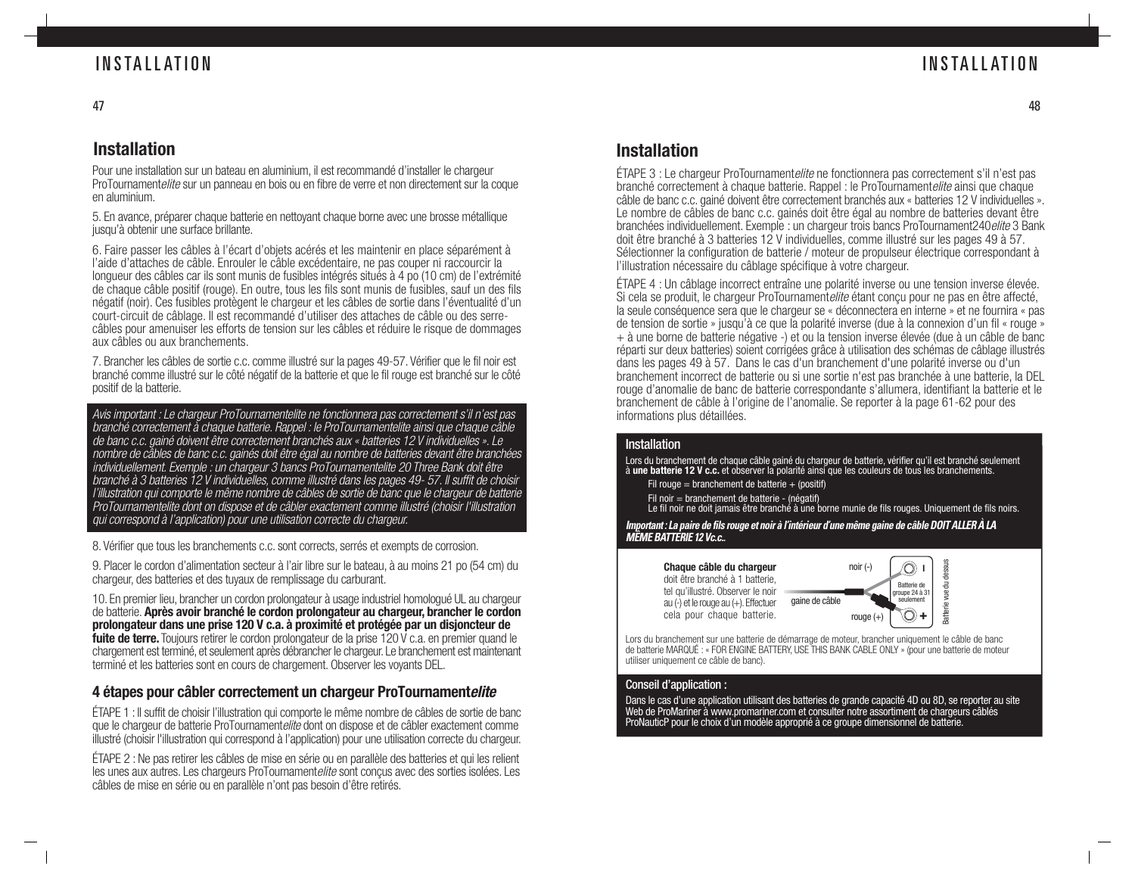### INSTALLATION

### **Installation**

Pour une installation sur un bateau en aluminium, il est recommandé d'installer le chargeur ProTournamentelite sur un panneau en bois ou en fibre de verre et non directement sur la coque en aluminium.

5. En avance, préparer chaque batterie en nettoyant chaque borne avec une brosse métallique jusqu'à obtenir une surface brillante.

6. Faire passer les câbles à l'écart d'objets acérés et les maintenir en place séparément à l'aide d'attaches de câble. Enrouler le câble excédentaire, ne pas couper ni raccourcir la longueur des câbles car ils sont munis de fusibles intégrés situés à 4 po (10 cm) de l'extrémité de chaque câble positif (rouge). En outre, tous les fils sont munis de fusibles, sauf un des fils négatif (noir). Ces fusibles protègent le chargeur et les câbles de sortie dans l'éventualité d'un court-circuit de câblage. Il est recommandé d'utiliser des attaches de câble ou des serrecâbles pour amenuiser les efforts de tension sur les câbles et réduire le risque de dommages aux câbles ou aux branchements.

7. Brancher les câbles de sortie c.c. comme illustré sur la pages 49-57. Vérifier que le fil noir est branché comme illustré sur le côté négatif de la batterie et que le fil rouge est branché sur le côté positif de la batterie.

Avis important : Le chargeur ProTournamentelite ne fonctionnera pas correctement s'il n'est pas branché correctement à chaque batterie. Rappel : le ProTournamentelite ainsi que chaque câble de banc c.c. gainé doivent être correctement branchés aux « batteries 12 V individuelles ». Le nombre de câbles de banc c.c. gainés doit être égal au nombre de batteries devant être branchées individuellement. Exemple : un chargeur 3 bancs ProTournamentelite 20 Three Bank doit être branché à 3 batteries 12 V individuelles, comme illustré dans les pages 49- 57. Il suffit de choisir l'illustration qui comporte le même nombre de câbles de sortie de banc que le chargeur de batterie ProTournamentelite dont on dispose et de câbler exactement comme illustré (choisir l'illustration qui correspond à l'application) pour une utilisation correcte du chargeur.

8. Vérifier que tous les branchements c.c. sont corrects, serrés et exempts de corrosion.

9. Placer le cordon d'alimentation secteur à l'air libre sur le bateau, à au moins 21 po (54 cm) du chargeur, des batteries et des tuyaux de remplissage du carburant.

10. En premier lieu, brancher un cordon prolongateur à usage industriel homologué UL au chargeur de batterie. **Après avoir branché le cordon prolongateur au chargeur, brancher le cordon prolongateur dans une prise 120 V c.a. à proximité et protégée par un disjoncteur de fuite de terre.** Toujours retirer le cordon prolongateur de la prise 120 V c.a. en premier quand le chargement est terminé, et seulement après débrancher le chargeur. Le branchement est maintenant terminé et les batteries sont en cours de chargement. Observer les voyants DEL.

### **4 étapes pour câbler correctement un chargeur ProTournamentelite**

ÉTAPE 1 : Il suffit de choisir l'illustration qui comporte le même nombre de câbles de sortie de banc que le chargeur de batterie ProTournamentelite dont on dispose et de câbler exactement comme illustré (choisir l'illustration qui correspond à l'application) pour une utilisation correcte du chargeur.

ÉTAPE 2 : Ne pas retirer les câbles de mise en série ou en parallèle des batteries et qui les relient les unes aux autres. Les chargeurs ProTournamentelite sont conçus avec des sorties isolées. Les câbles de mise en série ou en parallèle n'ont pas besoin d'être retirés.

### **Installation**

ÉTAPE 3 : Le chargeur ProTournamentelite ne fonctionnera pas correctement s'il n'est pas branché correctement à chaque batterie. Rappel : le ProTournamentelite ainsi que chaque câble de banc c.c. gainé doivent être correctement branchés aux « batteries 12 V individuelles ». Le nombre de câbles de banc c.c. gainés doit être égal au nombre de batteries devant être branchées individuellement. Exemple : un chargeur trois bancs ProTournament240elite 3 Bank doit être branché à 3 batteries 12 V individuelles, comme illustré sur les pages 49 à 57. Sélectionner la configuration de batterie / moteur de propulseur électrique correspondant à l'illustration nécessaire du câblage spécifique à votre chargeur.

ÉTAPE 4 : Un câblage incorrect entraîne une polarité inverse ou une tension inverse élevée. Si cela se produit, le chargeur ProTournamentelite étant conçu pour ne pas en être affecté, la seule conséquence sera que le chargeur se « déconnectera en interne » et ne fournira « pas de tension de sortie » jusqu'à ce que la polarité inverse (due à la connexion d'un fil « rouge » + à une borne de batterie négative -) et ou la tension inverse élevée (due à un câble de banc réparti sur deux batteries) soient corrigées grâce à utilisation des schémas de câblage illustrés dans les pages 49 à 57. Dans le cas d'un branchement d'une polarité inverse ou d'un branchement incorrect de batterie ou si une sortie n'est pas branchée à une batterie, la DEL rouge d'anomalie de banc de batterie correspondante s'allumera, identifiant la batterie et le branchement de câble à l'origine de l'anomalie. Se reporter à la page 61-62 pour des informations plus détaillées.

#### **Installation**

Lors du branchement de chaque câble gainé du chargeur de batterie, vérifier qu'il est branché seulement<br>à **une batterie 12 V c.c.** et observer la polarité ainsi que les couleurs de tous les branchements.

- Fil rouge = branchement de batterie  $+$  (positif)
- 
- Fil noir = branchement de batterie (négatif) Le fil noir ne doit jamais être branché à une borne munie de fils rouges. Uniquement de fils noirs.

**Important : La paire de fils rouge et noir à l'intérieur d'une même gaine de câble DOIT ALLER À LA MÊME BATTERIE 12 Vc.c..**

#### **Chaque câble du chargeur**

doit être branché à 1 batterie, tel qu'illustré. Observer le noir au (-) et le rouge au (+). Effectuer



Lors du branchement sur une batterie de démarrage de moteur, brancher uniquement le câble de banc de batterie MARQUÉ : « FOR ENGINE BATTERY, USE THIS BANK CABLE ONLY » (pour une batterie de moteur utiliser uniquement ce câble de banc).

#### Conseil d'application :

Dans le cas d'une application utilisant des batteries de grande capacité 4D ou 8D, se reporter au site Web de ProMariner à www.promariner.com et consulter notre assortiment de chargeurs câblés ProNauticP pour le choix d'un modèle approprié à ce groupe dimensionnel de batterie.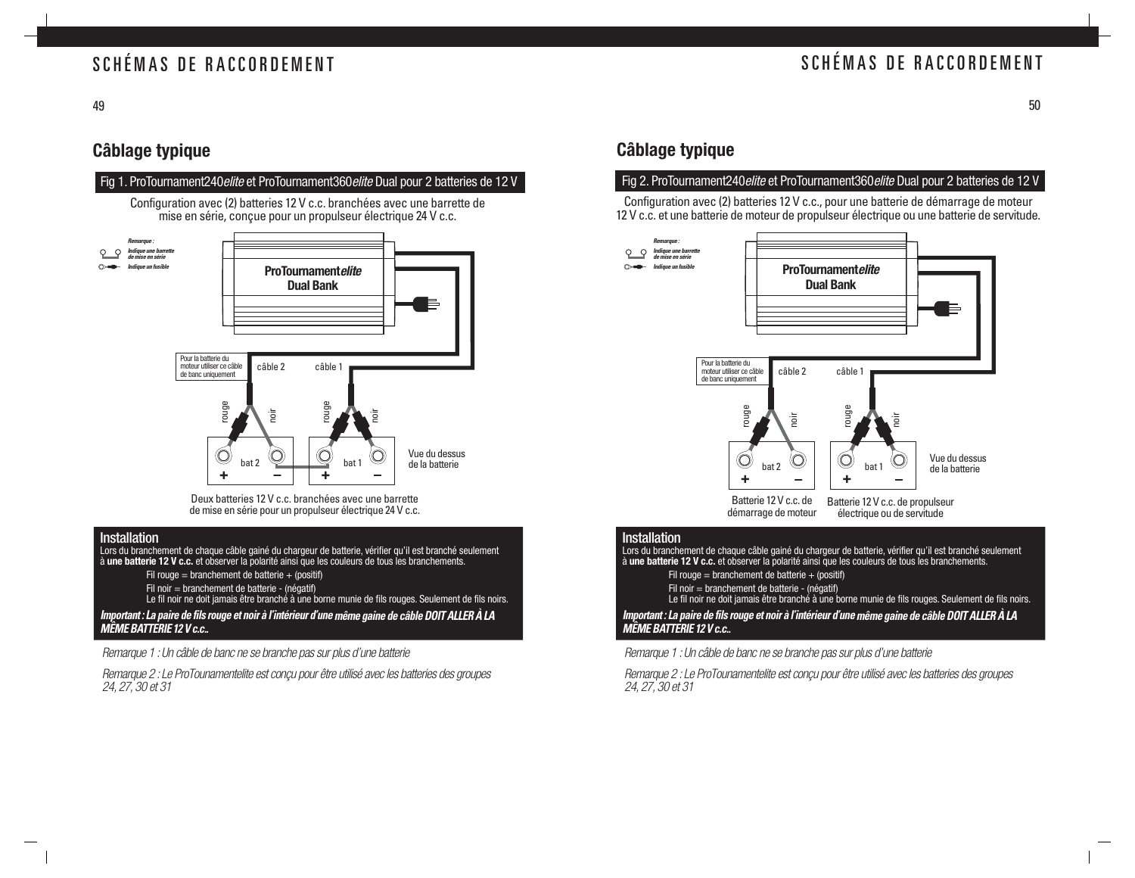### SCHÉMAS DE RACCORDEMENT

### **Câblage typique**



Deux batteries 12 V c.c. branchées avec une barrette de mise en série pour un propulseur électrique 24 V c.c.

#### Installation

Lors du branchement de chaque câble gainé du chargeur de batterie, vérifier qu'il est branché seulement<br>à **une batterie 12 V c.c.** et observer la polarité ainsi que les couleurs de tous les branchements.

Fil rouge = branchement de batterie + (positif)

Fil noir = branchement de batterie - (négatif) Le fil noir ne doit jamais être branché à une borne munie de fils rouges. Seulement de fils noirs.

**Important : La paire de fils rouge et noir à l'intérieur d'une même gaine de câble DOIT ALLER À LA MÊME BATTERIE 12 V c.c..**

Remarque 1 : Un câble de banc ne se branche pas sur plus d'une batterie

Remarque 2 : Le ProTounamentelite est conçu pour être utilisé avec les batteries des groupes 24, 27, 30 et 31

### **Câblage typique**

#### Fig 2. ProTournament240elite et ProTournament360elite Dual pour 2 batteries de 12 V

Configuration avec (2) batteries 12 V c.c., pour une batterie de démarrage de moteur 12 V c.c. et une batterie de moteur de propulseur électrique ou une batterie de servitude.



#### Installation

Lors du branchement de chaque câble gainé du chargeur de batterie, vérifier qu'il est branché seulement<br>à **une batterie 12 V c.c.** et observer la polarité ainsi que les couleurs de tous les branchements.

- Fil rouge = branchement de batterie  $+$  (positif)
- 
- Fil noir = branchement de batterie (négatif) Le fil noir ne doit jamais être branché à une borne munie de fils rouges. Seulement de fils noirs.

**Important : La paire de fils rouge et noir à l'intérieur d'une même gaine de câble DOIT ALLER À LA MÊME BATTERIE 12 V c.c..**

Remarque 1 : Un câble de banc ne se branche pas sur plus d'une batterie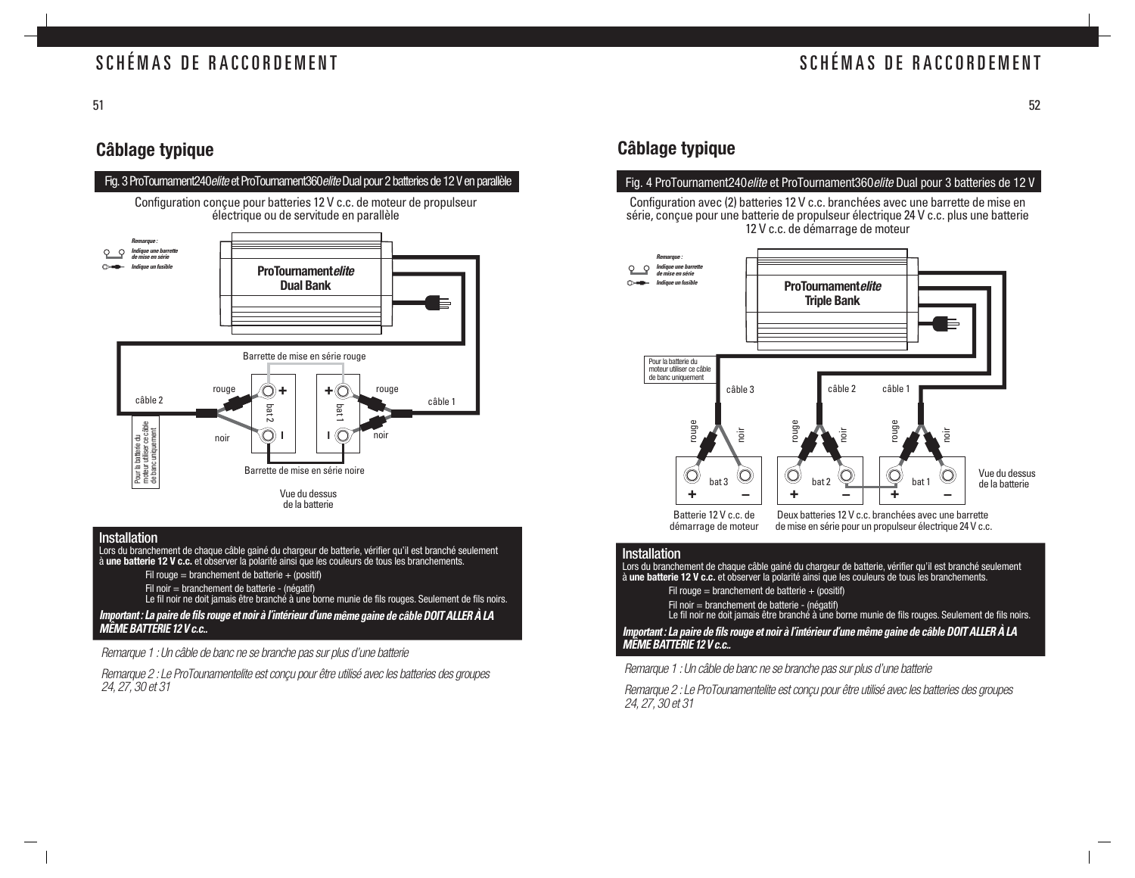### SCHÉMAS DE RACCORDEMENT

51

### **Câblage typique**



#### **Installation** Installation

Lors du branchement de chaque câble gainé du chargeur de batterie, vérifier qu'il est branché seulement<br>à **une batterie 12 V c.c.** et observer la polarité ainsi que les couleurs de tous les branchements.

- Fil rouge = branchement de batterie  $+$  (positif)
- 
- Fil noir = branchement de batterie (négatif) Le fil noir ne doit jamais être branché à une borne munie de fils rouges. Seulement de fils noirs.

### **Important : La paire de fils rouge et noir à l'intérieur d'une même gaine de câble DOIT ALLER À LA MÊME BATTERIE 12 V c.c..**

Remarque 1 : Un câble de banc ne se branche pas sur plus d'une batterie

Remarque 2 : Le ProTounamentelite est conçu pour être utilisé avec les batteries des groupes 24, 27, 30 et 31

### **Câblage typique**

#### Fig. 4 ProTournament240 elite et ProTournament360 elite Dual pour 3 batteries de 12 V

Configuration avec (2) batteries 12 V c.c. branchées avec une barrette de mise en série, conçue pour une batterie de propulseur électrique 24 V c.c. plus une batterie 12 V c.c. de démarrage de moteur



Batterie 12 V c.c. de démarrage de moteur

Deux batteries 12 V c.c. branchées avec une barrette de mise en série pour un propulseur électrique 24 V c.c.

#### **Installation**

Lors du branchement de chaque câble gainé du chargeur de batterie, vérifier qu'il est branché seulement<br>à **une batterie 12 V c.c.** et observer la polarité ainsi que les couleurs de tous les branchements.

Fil rouge = branchement de batterie + (positif)

Fil noir = branchement de batterie - (négatif) Le fil noir ne doit jamais être branché à une borne munie de fils rouges. Seulement de fils noirs.

**Important : La paire de fils rouge et noir à l'intérieur d'une même gaine de câble DOIT ALLER À LA MÊME BATTERIE 12 V c.c..**

Remarque 1 : Un câble de banc ne se branche pas sur plus d'une batterie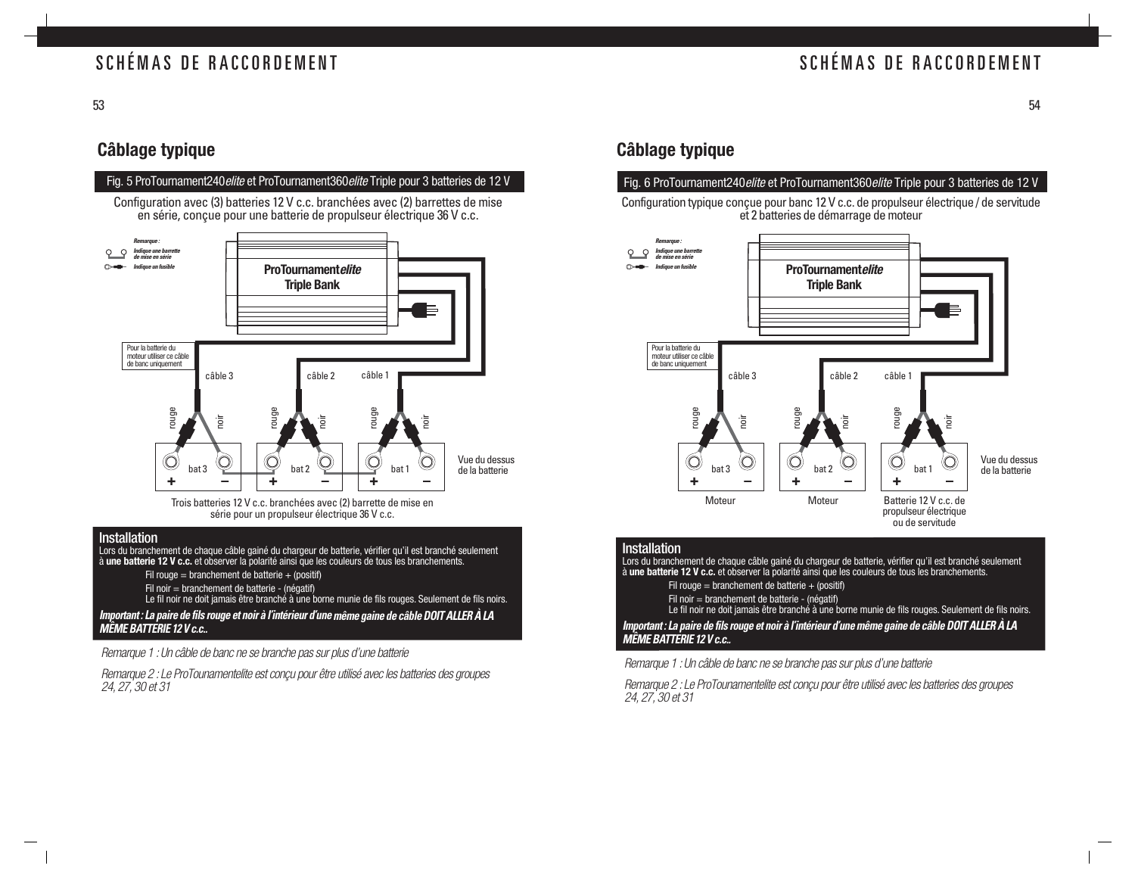### SCHÉMAS DE RACCORDEMENT

53

### **Câblage typique**



#### Installation

Lors du branchement de chaque câble gainé du chargeur de batterie, vérifier qu'il est branché seulement<br>à **une batterie 12 V c.c.** et observer la polarité ainsi que les couleurs de tous les branchements.

- Fil rouge = branchement de batterie  $+$  (positif)
- 
- Fil noir = branchement de batterie (négatif) Le fil noir ne doit jamais être branché à une borne munie de fils rouges. Seulement de fils noirs.

### **Important : La paire de fils rouge et noir à l'intérieur d'une même gaine de câble DOIT ALLER À LA MÊME BATTERIE 12 V c.c..**

Remarque 1 : Un câble de banc ne se branche pas sur plus d'une batterie

Remarque 2 : Le ProTounamentelite est conçu pour être utilisé avec les batteries des groupes 24, 27, 30 et 31

### **Câblage typique**

#### Fig. 6 ProTournament240 elite et ProTournament360 elite Triple pour 3 batteries de 12 V

Configuration typique conçue pour banc 12 V c.c. de propulseur électrique / de servitude et 2 batteries de démarrage de moteur



#### **Installation**

Lors du branchement de chaque câble gainé du chargeur de batterie, vérifier qu'il est branché seulement à **une batterie 12 V c.c.** et observer la polarité ainsi que les couleurs de tous les branchements.

- Fil rouge = branchement de batterie + (positif)
- 
- Fil noir = branchement de batterie (négatif) Le fil noir ne doit jamais être branché à une borne munie de fils rouges. Seulement de fils noirs.

**Important : La paire de fils rouge et noir à l'intérieur d'une même gaine de câble DOIT ALLER À LA MÊME BATTERIE 12 V c.c..**

Remarque 1 : Un câble de banc ne se branche pas sur plus d'une batterie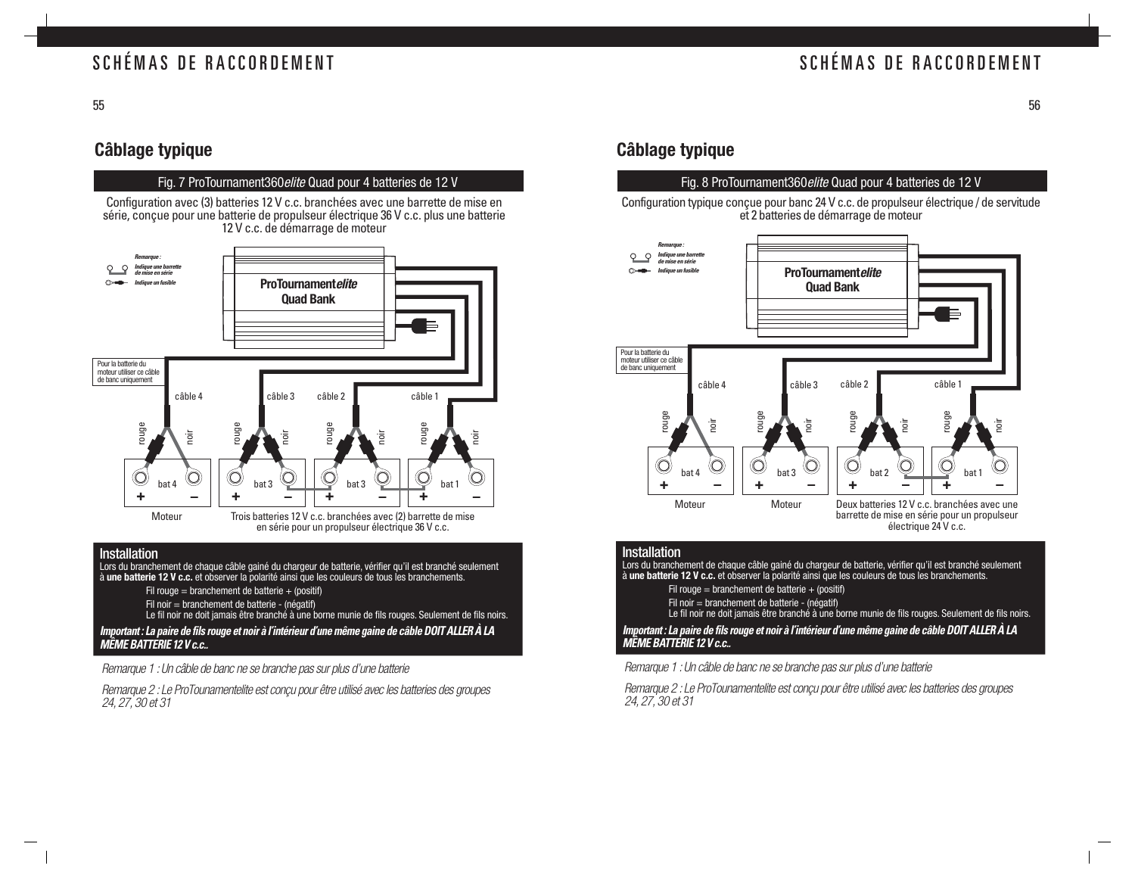### SCHÉMAS DE RACCORDEMENT

55

### **Câblage typique**

#### Fig. 7 ProTournament360elite Quad pour 4 batteries de 12 V

Configuration avec (3) batteries 12 V c.c. branchées avec une barrette de mise en série, conçue pour une batterie de propulseur électrique 36 V c.c. plus une batterie 12 V c.c. de démarrage de moteur



#### **Installation**

Lors du branchement de chaque câble gainé du chargeur de batterie, vérifier qu'il est branché seulement à **une batterie 12 V c.c.** et observer la polarité ainsi que les couleurs de tous les branchements.

Fil rouge = branchement de batterie + (positif)

Fil noir = branchement de batterie - (négatif)

Le fil noir ne doit jamais être branché à une borne munie de fils rouges. Seulement de fils noirs.

**Important : La paire de fils rouge et noir à l'intérieur d'une même gaine de câble DOIT ALLER À LA MÊME BATTERIE 12 V c.c..**

Remarque 1 : Un câble de banc ne se branche pas sur plus d'une batterie

Remarque 2 : Le ProTounamentelite est conçu pour être utilisé avec les batteries des groupes 24, 27, 30 et 31

### **Câblage typique**

#### Fig. 8 ProTournament360elite Quad pour 4 batteries de 12 V

Configuration typique conçue pour banc 24 V c.c. de propulseur électrique / de servitude et 2 batteries de démarrage de moteur



#### **Installation**

Lors du branchement de chaque câble gainé du chargeur de batterie, vérifier qu'il est branché seulement à **une batterie 12 V c.c.** et observer la polarité ainsi que les couleurs de tous les branchements.

Fil rouge = branchement de batterie + (positif)

Fil noir = branchement de batterie - (négatif)

Le fil noir ne doit jamais être branché à une borne munie de fils rouges. Seulement de fils noirs.

**Important : La paire de fils rouge et noir à l'intérieur d'une même gaine de câble DOIT ALLER À LA MÊME BATTERIE 12 V c.c..**

Remarque 1 : Un câble de banc ne se branche pas sur plus d'une batterie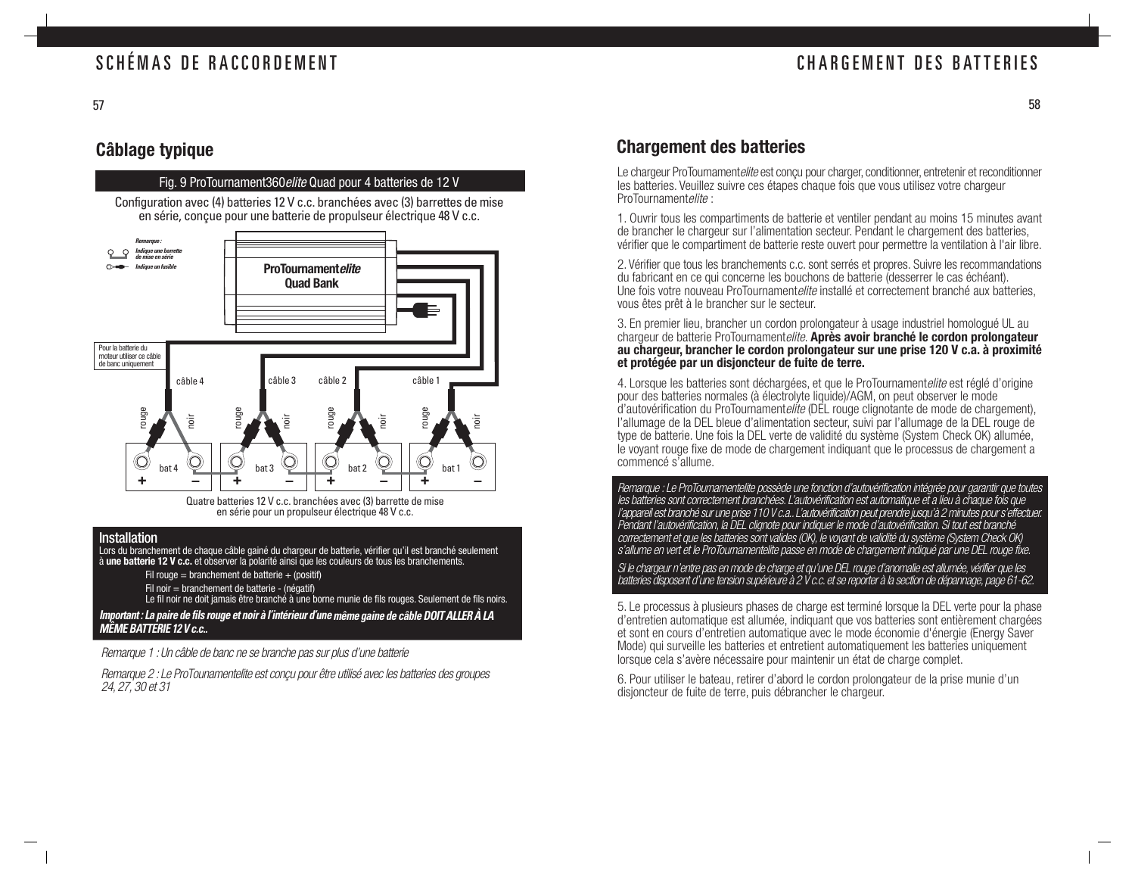### **Câblage typique**

Fig. 9 ProTournament360elite Quad pour 4 batteries de 12 V

Configuration avec (4) batteries 12 V c.c. branchées avec (3) barrettes de mise en série, conçue pour une batterie de propulseur électrique 48 V c.c.



Quatre batteries 12 V c.c. branchées avec (3) barrette de mise en série pour un propulseur électrique 48 V c.c.

#### Installation

Lors du branchement de chaque câble gainé du chargeur de batterie, vérifier qu'il est branché seulement<br>à **une batterie 12 V c.c.** et observer la polarité ainsi que les couleurs de tous les branchements.

- Fil rouge = branchement de batterie  $+$  (positif)
- Fil noir = branchement de batterie (négatif)
- Le fil noir ne doit jamais être branché à une borne munie de fils rouges. Seulement de fils noirs.

**Important : La paire de fils rouge et noir à l'intérieur d'une même gaine de câble DOIT ALLER À LA MÊME BATTERIE 12 V c.c..**

Remarque 1 : Un câble de banc ne se branche pas sur plus d'une batterie

Remarque 2 : Le ProTounamentelite est conçu pour être utilisé avec les batteries des groupes 24, 27, 30 et 31

### **Chargement des batteries**

Le chargeur ProTournamentelite est conçu pour charger, conditionner, entretenir et reconditionner les batteries. Veuillez suivre ces étapes chaque fois que vous utilisez votre chargeur ProTournamentelite :

1. Ouvrir tous les compartiments de batterie et ventiler pendant au moins 15 minutes avant de brancher le chargeur sur l'alimentation secteur. Pendant le chargement des batteries, vérifier que le compartiment de batterie reste ouvert pour permettre la ventilation à l'air libre.

2. Vérifier que tous les branchements c.c. sont serrés et propres. Suivre les recommandations du fabricant en ce qui concerne les bouchons de batterie (desserrer le cas échéant). Une fois votre nouveau ProTournamentelite installé et correctement branché aux batteries, vous êtes prêt à le brancher sur le secteur.

3. En premier lieu, brancher un cordon prolongateur à usage industriel homologué UL au chargeur de batterie ProTournamentelite. **Après avoir branché le cordon prolongateur au chargeur, brancher le cordon prolongateur sur une prise 120 V c.a. à proximité et protégée par un disjoncteur de fuite de terre.**

4. Lorsque les batteries sont déchargées, et que le ProTournamentelite est réglé d'origine pour des batteries normales (à électrolyte liquide)/AGM, on peut observer le mode d'autovérification du ProTournamentelite (DEL rouge clignotante de mode de chargement), l'allumage de la DEL bleue d'alimentation secteur, suivi par l'allumage de la DEL rouge de type de batterie. Une fois la DEL verte de validité du système (System Check OK) allumée, le voyant rouge fixe de mode de chargement indiquant que le processus de chargement a commencé s'allume.

Remarque : Le ProTournamentelite possède une fonction d'autovérification intégrée pour garantir que toutes les batteries sont correctement branchées. L'autovérification est automatique et a lieu à chaque fois que l'appareil est branché sur une prise 110 V c.a.. L'autovérification peut prendre jusqu'à 2 minutes pour s'effectuer. Pendant l'autovérification, la DEL clignote pour indiquer le mode d'autovérification. Si tout est branché correctement et que les batteries sont valides (OK), le voyant de validité du système (System Check OK) <sup>s</sup>'allume en vert et le ProTournamentelite passe en mode de chargement indiqué par une DEL rouge fixe.

Si le chargeur n'entre pas en mode de charge et qu'une DEL rouge d'anomalie est allumée, vérifier que les batteries disposent d'une tension supérieure à 2 V c.c. et se reporter à la section de dépannage, page 61-62.

5. Le processus à plusieurs phases de charge est terminé lorsque la DEL verte pour la phase d'entretien automatique est allumée, indiquant que vos batteries sont entièrement chargées et sont en cours d'entretien automatique avec le mode économie d'énergie (Energy Saver Mode) qui surveille les batteries et entretient automatiquement les batteries uniquement lorsque cela s'avère nécessaire pour maintenir un état de charge complet.

6. Pour utiliser le bateau, retirer d'abord le cordon prolongateur de la prise munie d'un disjoncteur de fuite de terre, puis débrancher le chargeur.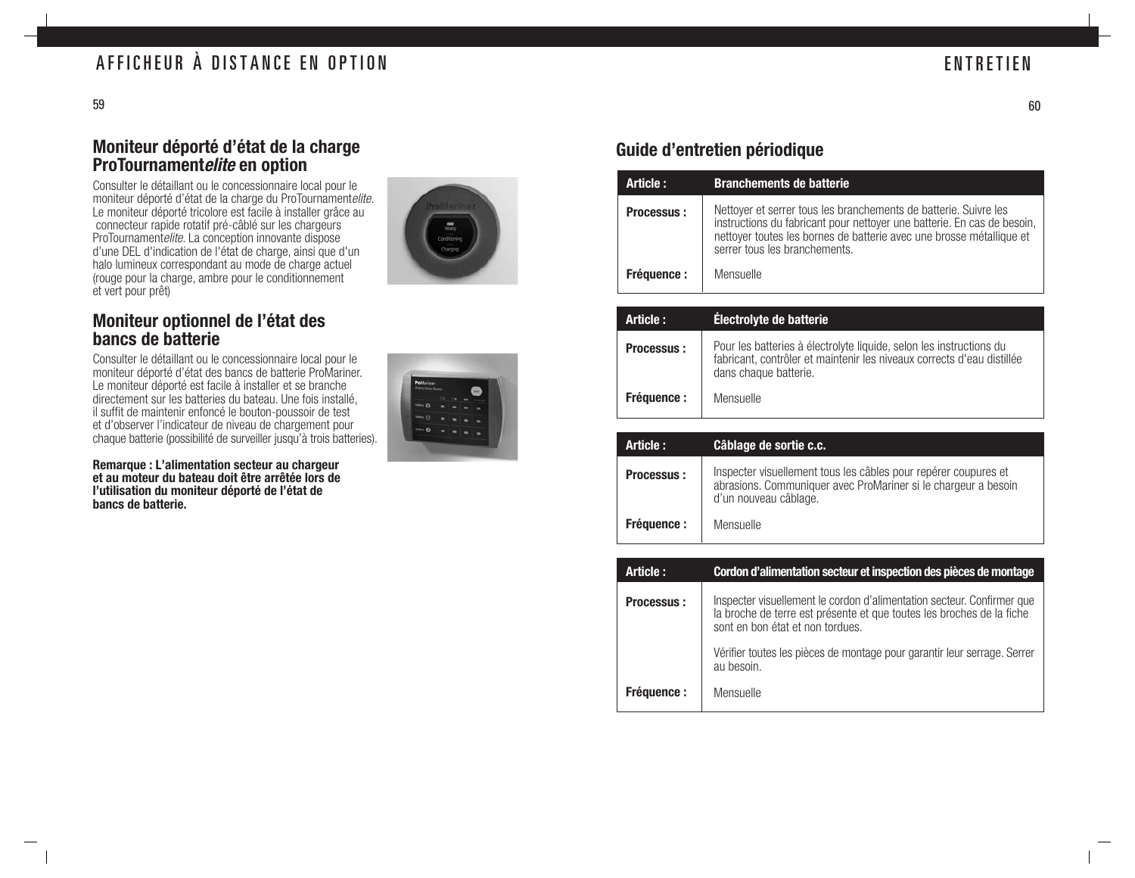### **Moniteur déporté d'état de la charge ProTournamentelite en option**

Consulter le détaillant ou le concessionnaire local pour le moniteur déporté d'état de la charge du ProTournamentelite. Le moniteur déporté tricolore est facile à installer grâce au connecteur rapide rotatif pré-câblé sur les chargeurs ProTournamentelite. La conception innovante dispose d'une DEL d'indication de l'état de charge, ainsi que d'un halo lumineux correspondant au mode de charge actuel (rouge pour la charge, ambre pour le conditionnement et vert pour prêt)

### **Moniteur optionnel de l'état des bancs de batterie**

Consulter le détaillant ou le concessionnaire local pour le moniteur déporté d'état des bancs de batterie ProMariner. Le moniteur déporté est facile à installer et se branche directement sur les batteries du bateau. Une fois installé, il suffit de maintenir enfoncé le bouton-poussoir de test et d'observer l'indicateur de niveau de chargement pour chaque batterie (possibilité de surveiller jusqu'à trois batteries).

**Remarque : L'alimentation secteur au chargeur et au moteur du bateau doit être arrêtée lors de l'utilisation du moniteur déporté de l'état de bancs de batterie.**

![](_page_31_Picture_8.jpeg)

### **Guide d'entretien périodique**

| Article:          | <b>Branchements de batterie</b>                                                                                                                                                                                                                      |
|-------------------|------------------------------------------------------------------------------------------------------------------------------------------------------------------------------------------------------------------------------------------------------|
| <b>Processus:</b> | Nettoyer et serrer tous les branchements de batterie. Suivre les<br>instructions du fabricant pour nettoyer une batterie. En cas de besoin,<br>nettoyer toutes les bornes de batterie avec une brosse métallique et<br>serrer tous les branchements. |
| <b>Fréquence:</b> | Mensuelle                                                                                                                                                                                                                                            |

| Article:          | Électrolyte de batterie                                                                                                                                                |
|-------------------|------------------------------------------------------------------------------------------------------------------------------------------------------------------------|
| <b>Processus:</b> | Pour les batteries à électrolyte liquide, selon les instructions du<br>fabricant, contrôler et maintenir les niveaux corrects d'eau distillée<br>dans chaque batterie. |
| <b>Fréquence:</b> | Mensuelle                                                                                                                                                              |

| Article:          | Câblage de sortie c.c.                                                                                                                                     |
|-------------------|------------------------------------------------------------------------------------------------------------------------------------------------------------|
| <b>Processus:</b> | Inspecter visuellement tous les câbles pour repérer coupures et<br>abrasions. Communiquer avec ProMariner si le chargeur a besoin<br>d'un nouveau câblage. |
| <b>Fréquence:</b> | Mensuelle                                                                                                                                                  |

| Article:          | Cordon d'alimentation secteur et inspection des pièces de montage                                                                                                                   |
|-------------------|-------------------------------------------------------------------------------------------------------------------------------------------------------------------------------------|
| <b>Processus:</b> | Inspecter visuellement le cordon d'alimentation secteur. Confirmer que<br>la broche de terre est présente et que toutes les broches de la fiche<br>sont en bon état et non tordues. |
|                   | Vérifier toutes les pièces de montage pour garantir leur serrage. Serrer<br>au besoin.                                                                                              |
| <b>Fréquence:</b> | Mensuelle                                                                                                                                                                           |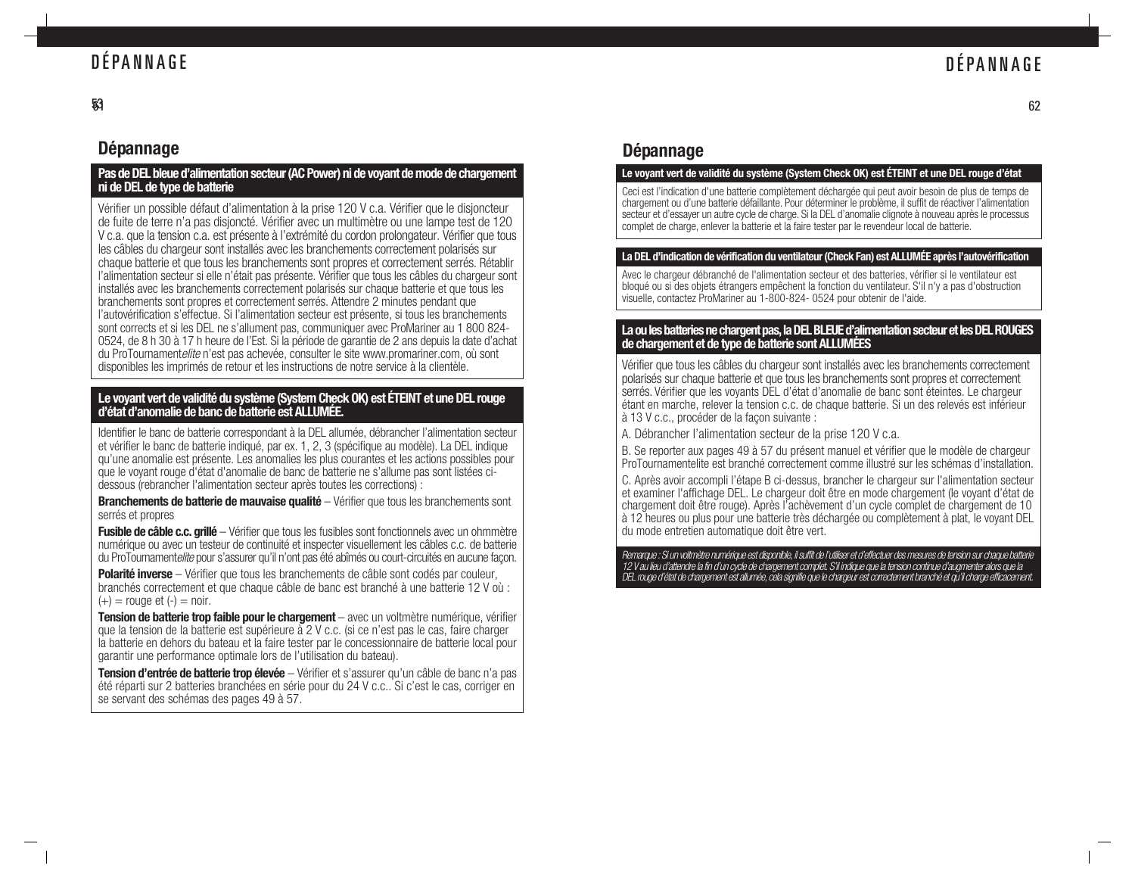### DÉPANNAGE

#### 53

### **Dépannage**

#### **Pas de DEL bleue d'alimentation secteur (AC Power) ni de voyant de mode de chargement ni de DEL de type de batterie**

Vérifier un possible défaut d'alimentation à la prise 120 V c.a. Vérifier que le disjoncteur de fuite de terre n'a pas disjoncté. Vérifier avec un multimètre ou une lampe test de 120 V c.a. que la tension c.a. est présente à l'extrémité du cordon prolongateur. Vérifier que tous les câbles du chargeur sont installés avec les branchements correctement polarisés sur chaque batterie et que tous les branchements sont propres et correctement serrés. Rétablir l'alimentation secteur si elle n'était pas présente. Vérifier que tous les câbles du chargeur sont installés avec les branchements correctement polarisés sur chaque batterie et que tous les branchements sont propres et correctement serrés. Attendre 2 minutes pendant que l'autovérification s'effectue. Si l'alimentation secteur est présente, si tous les branchements sont corrects et si les DEL ne s'allument pas, communiquer avec ProMariner au 1 800 824- 0524, de 8 h 30 à 17 h heure de l'Est. Si la période de garantie de 2 ans depuis la date d'achat du ProTournamentelite n'est pas achevée, consulter le site www.promariner.com, où sont disponibles les imprimés de retour et les instructions de notre service à la clientèle.

## **Le voyant vert de validité du système (System Check OK) est ÉTEINT et une DEL rouge d'état d'anomalie de banc de batterie est ALLUMÉE.**

Identifier le banc de batterie correspondant à la DEL allumée, débrancher l'alimentation secteur et vérifier le banc de batterie indiqué, par ex. 1, 2, 3 (spécifique au modèle). La DEL indique qu'une anomalie est présente. Les anomalies les plus courantes et les actions possibles pour que le voyant rouge d'état d'anomalie de banc de batterie ne s'allume pas sont listées cidessous (rebrancher l'alimentation secteur après toutes les corrections) :

**Branchements de batterie de mauvaise qualité** – Vérifier que tous les branchements sont serrés et propres

**Fusible de câble c.c. grillé** – Vérifier que tous les fusibles sont fonctionnels avec un ohmmètre numérique ou avec un testeur de continuité et inspecter visuellement les câbles c.c. de batterie du ProTournamente lite pour s'assurer qu'il n'ont pas été abîmés ou court-circuités en aucune facon.

**Polarité inverse** – Vérifier que tous les branchements de câble sont codés par couleur, branchés correctement et que chaque câble de banc est branché à une batterie 12 V où :  $(+)$  = rouge et  $(-)$  = noir.

**Tension de batterie trop faible pour le chargement** – avec un voltmètre numérique, vérifier que la tension de la batterie est supérieure à 2 V c.c. (si ce n'est pas le cas, faire charger la batterie en dehors du bateau et la faire tester par le concessionnaire de batterie local pour garantir une performance optimale lors de l'utilisation du bateau).

**Tension d'entrée de batterie trop élevée** – Vérifier et s'assurer qu'un câble de banc n'a pas été réparti sur 2 batteries branchées en série pour du 24 V c.c.. Si c'est le cas, corriger en se servant des schémas des pages 49 à 57.

### **Dépannage**

#### **Le voyant vert de validité du système (System Check OK) est ÉTEINT et une DEL rouge d'état**

Ceci est l'indication d'une batterie complètement déchargée qui peut avoir besoin de plus de temps de chargement ou d'une batterie défaillante. Pour déterminer le problème, il suffit de réactiver l'alimentation secteur et d'essayer un autre cycle de charge. Si la DEL d'anomalie clignote à nouveau après le processus complet de charge, enlever la batterie et la faire tester par le revendeur local de batterie.

#### **La DEL d'indication de vérification du ventilateur (Check Fan) est ALLUMÉE après l'autovérification**

Avec le chargeur débranché de l'alimentation secteur et des batteries, vérifier si le ventilateur est bloqué ou si des objets étrangers empêchent la fonction du ventilateur. S'il n'y a pas d'obstruction visuelle, contactez ProMariner au 1-800-824-0524 pour obtenir de l'aide.

### **La ou les batteries ne chargent pas, la DEL BLEUE d'alimentation secteur et les DEL ROUGES de chargement et de type de batterie sont ALLUMÉES**

Vérifier que tous les câbles du chargeur sont installés avec les branchements correctement polarisés sur chaque batterie et que tous les branchements sont propres et correctement serrés. Vérifier que les voyants DEL d'état d'anomalie de banc sont éteintes. Le chargeur étant en marche, relever la tension c.c. de chaque batterie. Si un des relevés est inférieur à 13 V c.c., procéder de la façon suivante :

A. Débrancher l'alimentation secteur de la prise 120 V c.a.

B. Se reporter aux pages 49 à 57 du présent manuel et vérifier que le modèle de chargeur ProTournamentelite est branché correctement comme illustré sur les schémas d'installation.

C. Après avoir accompli l'étape B ci-dessus, brancher le chargeur sur l'alimentation secteur et examiner l'affichage DEL. Le chargeur doit être en mode chargement (le voyant d'état de chargement doit être rouge). Après l'achèvement d'un cycle complet de chargement de 10 à 12 heures ou plus pour une batterie très déchargée ou complètement à plat, le voyant DEL du mode entretien automatique doit être vert.

Remarque: Si un voltmètre numérique est disponible, il suffit de l'utiliser et d'effectuer des mesures de tension sur chaque batterie 12 V au lieu d'attendre la fin d'un cycle de chargement complet. S'il indique que la tension continue d'augmenter alors que la DEL rouge d'état de chargement est allumée, cela signifie que le chargeur est correctement branché et qu'il charge efficacement.